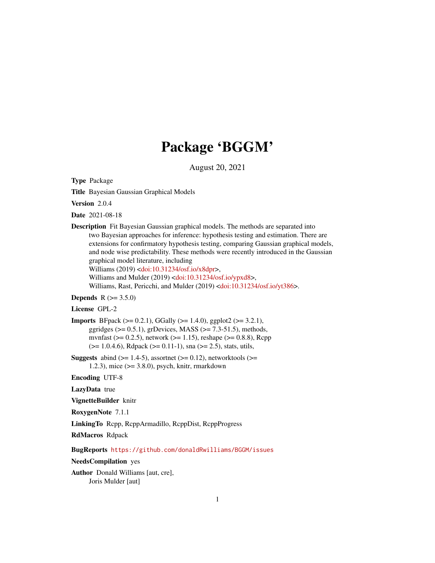# Package 'BGGM'

August 20, 2021

<span id="page-0-0"></span>Type Package

Title Bayesian Gaussian Graphical Models

Version 2.0.4

Date 2021-08-18

Description Fit Bayesian Gaussian graphical models. The methods are separated into two Bayesian approaches for inference: hypothesis testing and estimation. There are extensions for confirmatory hypothesis testing, comparing Gaussian graphical models, and node wise predictability. These methods were recently introduced in the Gaussian graphical model literature, including Williams (2019) [<doi:10.31234/osf.io/x8dpr>](https://doi.org/10.31234/osf.io/x8dpr), Williams and Mulder (2019) [<doi:10.31234/osf.io/ypxd8>](https://doi.org/10.31234/osf.io/ypxd8),

Williams, Rast, Pericchi, and Mulder (2019) [<doi:10.31234/osf.io/yt386>](https://doi.org/10.31234/osf.io/yt386).

# **Depends** R  $(>= 3.5.0)$

# License GPL-2

- Imports BFpack (>= 0.2.1), GGally (>= 1.4.0), ggplot2 (>= 3.2.1), ggridges ( $> = 0.5.1$ ), grDevices, MASS ( $> = 7.3-51.5$ ), methods, mvnfast ( $> = 0.2.5$ ), network ( $> = 1.15$ ), reshape ( $> = 0.8.8$ ), Rcpp  $(>= 1.0.4.6)$ , Rdpack  $(>= 0.11-1)$ , sna  $(>= 2.5)$ , stats, utils,
- **Suggests** abind  $(>= 1.4-5)$ , assortnet  $(>= 0.12)$ , networktools  $(>= 1.4-5)$ 1.2.3), mice (>= 3.8.0), psych, knitr, rmarkdown

Encoding UTF-8

LazyData true

VignetteBuilder knitr

RoxygenNote 7.1.1

LinkingTo Rcpp, RcppArmadillo, RcppDist, RcppProgress

RdMacros Rdpack

BugReports <https://github.com/donaldRwilliams/BGGM/issues>

#### NeedsCompilation yes

Author Donald Williams [aut, cre], Joris Mulder [aut]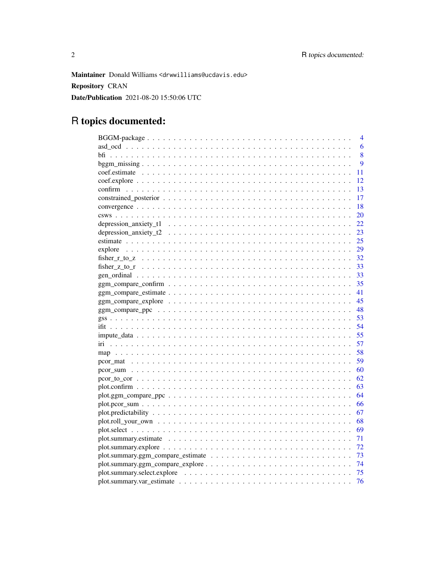Maintainer Donald Williams <drwwilliams@ucdavis.edu> **Repository CRAN** Date/Publication 2021-08-20 15:50:06 UTC

# R topics documented:

|                                                                                                                       | 4  |
|-----------------------------------------------------------------------------------------------------------------------|----|
|                                                                                                                       | 6  |
|                                                                                                                       | 8  |
|                                                                                                                       | 9  |
|                                                                                                                       | 11 |
|                                                                                                                       | 12 |
|                                                                                                                       | 13 |
|                                                                                                                       | 17 |
|                                                                                                                       | 18 |
|                                                                                                                       | 20 |
|                                                                                                                       | 22 |
|                                                                                                                       | 23 |
|                                                                                                                       | 25 |
| explore                                                                                                               | 29 |
|                                                                                                                       | 32 |
|                                                                                                                       | 33 |
|                                                                                                                       | 33 |
| $ggm\_compare\_confirm \ldots \ldots \ldots \ldots \ldots \ldots \ldots \ldots \ldots \ldots \ldots \ldots$           | 35 |
|                                                                                                                       | 41 |
|                                                                                                                       | 45 |
|                                                                                                                       | 48 |
|                                                                                                                       | 53 |
|                                                                                                                       | 54 |
| $\text{impute\_data} \dots \dots \dots \dots \dots \dots \dots \dots \dots \dots \dots \dots \dots \dots \dots \dots$ | 55 |
|                                                                                                                       | 57 |
|                                                                                                                       | 58 |
|                                                                                                                       | 59 |
|                                                                                                                       | 60 |
|                                                                                                                       | 62 |
|                                                                                                                       | 63 |
|                                                                                                                       | 64 |
|                                                                                                                       | 66 |
|                                                                                                                       | 67 |
|                                                                                                                       | 68 |
|                                                                                                                       | 69 |
|                                                                                                                       | 71 |
|                                                                                                                       | 72 |
|                                                                                                                       | 73 |
|                                                                                                                       | 74 |
|                                                                                                                       | 75 |
|                                                                                                                       | 76 |
|                                                                                                                       |    |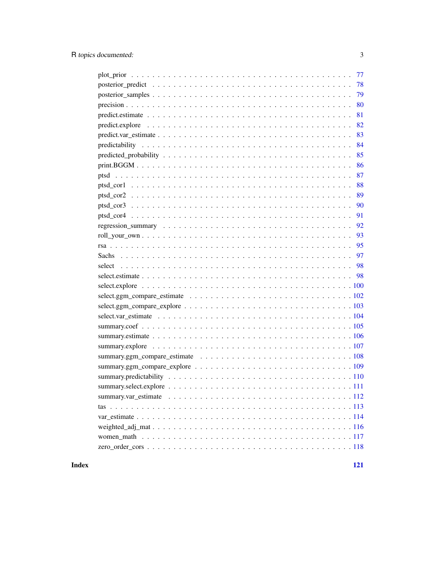| 79 |
|----|
| 80 |
| 81 |
| 82 |
| 83 |
| 84 |
| 85 |
| 86 |
| 87 |
| 88 |
| 89 |
| 90 |
| 91 |
| 92 |
| 93 |
| 95 |
|    |
|    |
|    |
|    |
|    |
|    |
|    |
|    |
|    |
|    |
|    |
|    |
|    |
|    |
|    |
|    |
|    |
|    |
|    |
|    |

# **Index**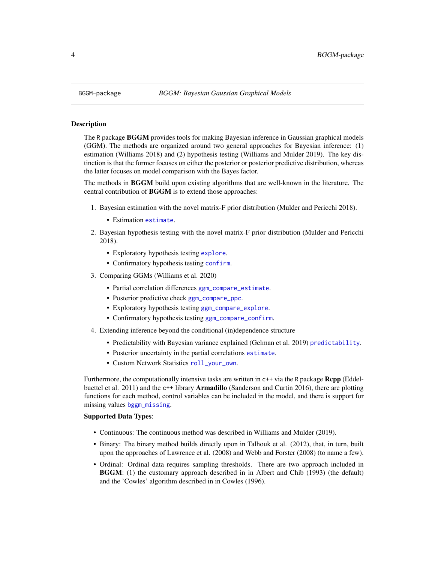#### Description

The R package BGGM provides tools for making Bayesian inference in Gaussian graphical models (GGM). The methods are organized around two general approaches for Bayesian inference: (1) estimation (Williams 2018) and (2) hypothesis testing (Williams and Mulder 2019). The key distinction is that the former focuses on either the posterior or posterior predictive distribution, whereas the latter focuses on model comparison with the Bayes factor.

The methods in BGGM build upon existing algorithms that are well-known in the literature. The central contribution of BGGM is to extend those approaches:

- 1. Bayesian estimation with the novel matrix-F prior distribution (Mulder and Pericchi 2018).
	- Estimation [estimate](#page-24-1).
- 2. Bayesian hypothesis testing with the novel matrix-F prior distribution (Mulder and Pericchi 2018).
	- Exploratory hypothesis testing [explore](#page-28-1).
	- Confirmatory hypothesis testing [confirm](#page-12-1).
- 3. Comparing GGMs (Williams et al. 2020)
	- Partial correlation differences [ggm\\_compare\\_estimate](#page-40-1).
	- Posterior predictive check [ggm\\_compare\\_ppc](#page-47-1).
	- Exploratory hypothesis testing [ggm\\_compare\\_explore](#page-44-1).
	- Confirmatory hypothesis testing [ggm\\_compare\\_confirm](#page-34-1).
- 4. Extending inference beyond the conditional (in)dependence structure
	- Predictability with Bayesian variance explained (Gelman et al. 2019) [predictability](#page-83-1).
	- Posterior uncertainty in the partial correlations [estimate](#page-24-1).
	- Custom Network Statistics [roll\\_your\\_own](#page-92-1).

Furthermore, the computationally intensive tasks are written in  $c++$  via the R package **Rcpp** (Eddelbuettel et al. 2011) and the c++ library **Armadillo** (Sanderson and Curtin 2016), there are plotting functions for each method, control variables can be included in the model, and there is support for missing values [bggm\\_missing](#page-8-1).

#### Supported Data Types:

- Continuous: The continuous method was described in Williams and Mulder (2019).
- Binary: The binary method builds directly upon in Talhouk et al. (2012), that, in turn, built upon the approaches of Lawrence et al. (2008) and Webb and Forster (2008) (to name a few).
- Ordinal: Ordinal data requires sampling thresholds. There are two approach included in BGGM: (1) the customary approach described in in Albert and Chib (1993) (the default) and the 'Cowles' algorithm described in in Cowles (1996).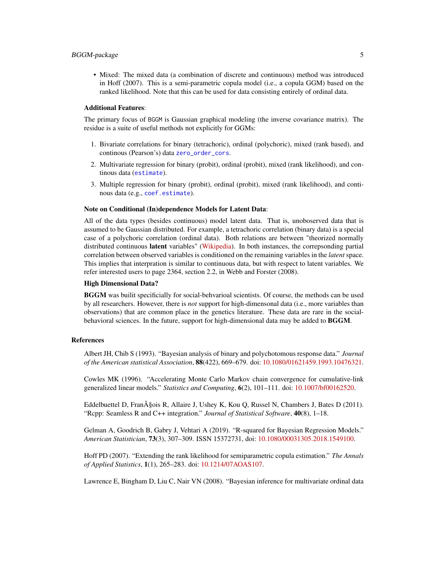• Mixed: The mixed data (a combination of discrete and continuous) method was introduced in Hoff (2007). This is a semi-parametric copula model (i.e., a copula GGM) based on the ranked likelihood. Note that this can be used for data consisting entirely of ordinal data.

#### Additional Features:

The primary focus of BGGM is Gaussian graphical modeling (the inverse covariance matrix). The residue is a suite of useful methods not explicitly for GGMs:

- 1. Bivariate correlations for binary (tetrachoric), ordinal (polychoric), mixed (rank based), and continous (Pearson's) data [zero\\_order\\_cors](#page-117-1).
- 2. Multivariate regression for binary (probit), ordinal (probit), mixed (rank likelihood), and continous data ([estimate](#page-24-1)).
- 3. Multiple regression for binary (probit), ordinal (probit), mixed (rank likelihood), and continous data (e.g., [coef.estimate](#page-10-1)).

#### Note on Conditional (In)dependence Models for Latent Data:

All of the data types (besides continuous) model latent data. That is, unoboserved data that is assumed to be Gaussian distributed. For example, a tetrachoric correlation (binary data) is a special case of a polychoric correlation (ordinal data). Both relations are between "theorized normally distributed continuous latent variables" [\(Wikipedia\)](https://en.wikipedia.org/wiki/Polychoric_correlation). In both instances, the correpsonding partial correlation between observed variables is conditioned on the remaining variables in the *latent* space. This implies that interpration is similar to continuous data, but with respect to latent variables. We refer interested users to page 2364, section 2.2, in Webb and Forster (2008).

#### High Dimensional Data?

BGGM was builit specificially for social-behvarioal scientists. Of course, the methods can be used by all researchers. However, there is *not* support for high-dimensonal data (i.e., more variables than observations) that are common place in the genetics literature. These data are rare in the socialbehavioral sciences. In the future, support for high-dimensional data may be added to BGGM.

#### References

Albert JH, Chib S (1993). "Bayesian analysis of binary and polychotomous response data." *Journal of the American statistical Association*, 88(422), 669–679. doi: [10.1080/01621459.1993.10476321.](https://doi.org/10.1080/01621459.1993.10476321)

Cowles MK (1996). "Accelerating Monte Carlo Markov chain convergence for cumulative-link generalized linear models." *Statistics and Computing*, 6(2), 101–111. doi: [10.1007/bf00162520.](https://doi.org/10.1007/bf00162520)

Eddelbuettel D, FranA§ois R, Allaire J, Ushey K, Kou Q, Russel N, Chambers J, Bates D (2011). "Rcpp: Seamless R and C++ integration." *Journal of Statistical Software*, 40(8), 1–18.

Gelman A, Goodrich B, Gabry J, Vehtari A (2019). "R-squared for Bayesian Regression Models." *American Statistician*, 73(3), 307–309. ISSN 15372731, doi: [10.1080/00031305.2018.1549100.](https://doi.org/10.1080/00031305.2018.1549100)

Hoff PD (2007). "Extending the rank likelihood for semiparametric copula estimation." *The Annals of Applied Statistics*, 1(1), 265–283. doi: [10.1214/07AOAS107.](https://doi.org/10.1214/07-AOAS107)

Lawrence E, Bingham D, Liu C, Nair VN (2008). "Bayesian inference for multivariate ordinal data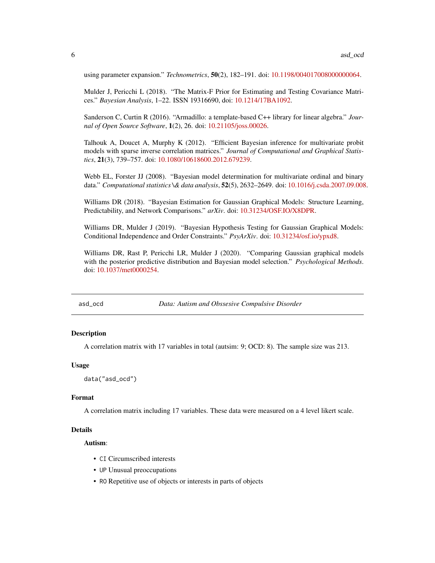<span id="page-5-0"></span>using parameter expansion." *Technometrics*, 50(2), 182–191. doi: [10.1198/004017008000000064.](https://doi.org/10.1198/004017008000000064)

Mulder J, Pericchi L (2018). "The Matrix-F Prior for Estimating and Testing Covariance Matrices." *Bayesian Analysis*, 1–22. ISSN 19316690, doi: [10.1214/17BA1092.](https://doi.org/10.1214/17-BA1092)

Sanderson C, Curtin R (2016). "Armadillo: a template-based C++ library for linear algebra." *Journal of Open Source Software*, 1(2), 26. doi: [10.21105/joss.00026.](https://doi.org/10.21105/joss.00026)

Talhouk A, Doucet A, Murphy K (2012). "Efficient Bayesian inference for multivariate probit models with sparse inverse correlation matrices." *Journal of Computational and Graphical Statistics*, 21(3), 739–757. doi: [10.1080/10618600.2012.679239.](https://doi.org/10.1080/10618600.2012.679239)

Webb EL, Forster JJ (2008). "Bayesian model determination for multivariate ordinal and binary data." *Computational statistics \& data analysis*, 52(5), 2632–2649. doi: [10.1016/j.csda.2007.09.008.](https://doi.org/10.1016/j.csda.2007.09.008)

Williams DR (2018). "Bayesian Estimation for Gaussian Graphical Models: Structure Learning, Predictability, and Network Comparisons." *arXiv*. doi: [10.31234/OSF.IO/X8DPR.](https://doi.org/10.31234/OSF.IO/X8DPR)

Williams DR, Mulder J (2019). "Bayesian Hypothesis Testing for Gaussian Graphical Models: Conditional Independence and Order Constraints." *PsyArXiv*. doi: [10.31234/osf.io/ypxd8.](https://doi.org/10.31234/osf.io/ypxd8)

Williams DR, Rast P, Pericchi LR, Mulder J (2020). "Comparing Gaussian graphical models with the posterior predictive distribution and Bayesian model selection." *Psychological Methods*. doi: [10.1037/met0000254.](https://doi.org/10.1037/met0000254)

asd\_ocd *Data: Autism and Obssesive Compulsive Disorder*

# Description

A correlation matrix with 17 variables in total (autsim: 9; OCD: 8). The sample size was 213.

#### Usage

```
data("asd_ocd")
```
#### Format

A correlation matrix including 17 variables. These data were measured on a 4 level likert scale.

#### Details

Autism:

- CI Circumscribed interests
- UP Unusual preoccupations
- RO Repetitive use of objects or interests in parts of objects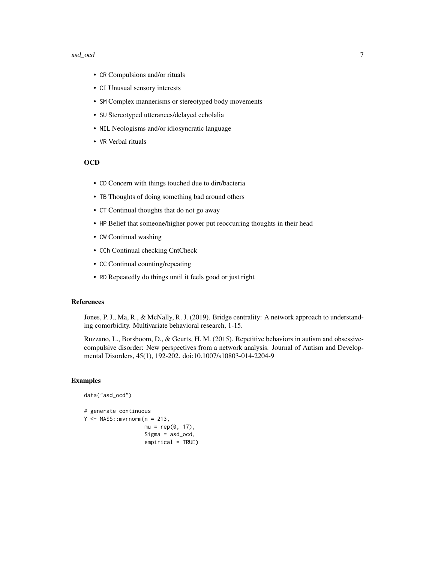#### asd\_ocd 7

- CR Compulsions and/or rituals
- CI Unusual sensory interests
- SM Complex mannerisms or stereotyped body movements
- SU Stereotyped utterances/delayed echolalia
- NIL Neologisms and/or idiosyncratic language
- VR Verbal rituals

# **OCD**

- CD Concern with things touched due to dirt/bacteria
- TB Thoughts of doing something bad around others
- CT Continual thoughts that do not go away
- HP Belief that someone/higher power put reoccurring thoughts in their head
- CW Continual washing
- CCh Continual checking CntCheck
- CC Continual counting/repeating
- RD Repeatedly do things until it feels good or just right

#### References

Jones, P. J., Ma, R., & McNally, R. J. (2019). Bridge centrality: A network approach to understanding comorbidity. Multivariate behavioral research, 1-15.

Ruzzano, L., Borsboom, D., & Geurts, H. M. (2015). Repetitive behaviors in autism and obsessivecompulsive disorder: New perspectives from a network analysis. Journal of Autism and Developmental Disorders, 45(1), 192-202. doi:10.1007/s10803-014-2204-9

# **Examples**

```
data("asd_ocd")
# generate continuous
Y \leq - MASS::mvrnorm(n = 213,
                   mu = rep(0, 17),Sigma = asd_ocd,
                   empirical = TRUE)
```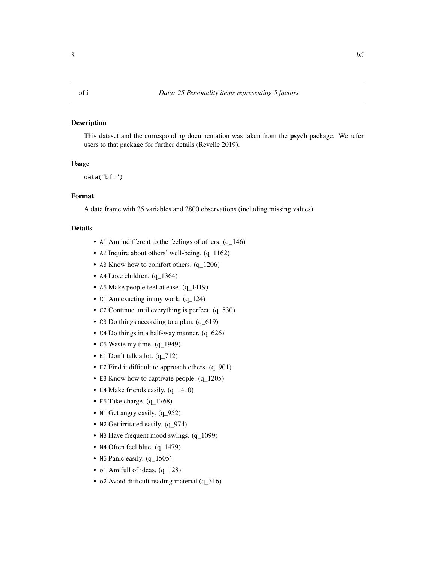## <span id="page-7-0"></span>Description

This dataset and the corresponding documentation was taken from the psych package. We refer users to that package for further details (Revelle 2019).

# Usage

data("bfi")

# Format

A data frame with 25 variables and 2800 observations (including missing values)

# Details

- A1 Am indifferent to the feelings of others. (q\_146)
- A2 Inquire about others' well-being. (q\_1162)
- A3 Know how to comfort others.  $(q_1206)$
- A4 Love children. (q\_1364)
- A5 Make people feel at ease. (q\_1419)
- C1 Am exacting in my work.  $(q_124)$
- C2 Continue until everything is perfect. (q\_530)
- C3 Do things according to a plan. (q\_619)
- C4 Do things in a half-way manner. (q\_626)
- C5 Waste my time. (q\_1949)
- E1 Don't talk a lot. (q\_712)
- E2 Find it difficult to approach others. (q\_901)
- E3 Know how to captivate people.  $(q_1205)$
- E4 Make friends easily.  $(q_1410)$
- E5 Take charge. (q\_1768)
- N1 Get angry easily. (q\_952)
- N2 Get irritated easily. (q\_974)
- N3 Have frequent mood swings. (q\_1099)
- N4 Often feel blue. (q\_1479)
- N5 Panic easily. (q\_1505)
- o1 Am full of ideas. (q\_128)
- o2 Avoid difficult reading material.(q\_316)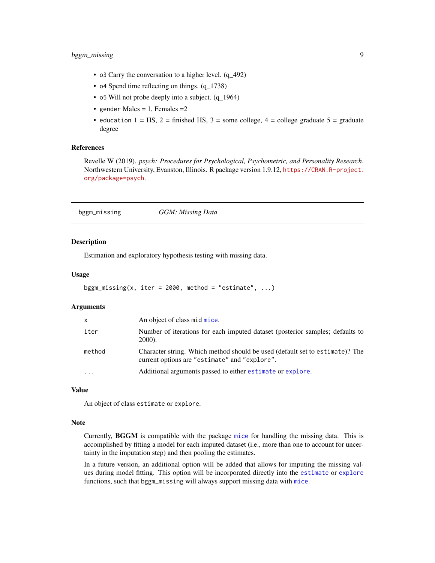- <span id="page-8-0"></span>• o3 Carry the conversation to a higher level. (q\_492)
- o4 Spend time reflecting on things. (q\_1738)
- o5 Will not probe deeply into a subject. (q\_1964)
- gender Males =  $1$ , Females =  $2$
- education  $1 = HS$ ,  $2 =$  finished HS,  $3 =$  some college,  $4 =$  college graduate  $5 =$  graduate degree

#### References

Revelle W (2019). *psych: Procedures for Psychological, Psychometric, and Personality Research*. Northwestern University, Evanston, Illinois. R package version 1.9.12, [https://CRAN.R-project.](https://CRAN.R-project.org/package=psych) [org/package=psych](https://CRAN.R-project.org/package=psych).

<span id="page-8-1"></span>

| bggm_missing | GGM: Missing Data |  |
|--------------|-------------------|--|
|--------------|-------------------|--|

#### Description

Estimation and exploratory hypothesis testing with missing data.

#### Usage

```
bggm_missing(x, iter = 2000, method = "estimate", \ldots)
```
#### Arguments

| $\mathsf{x}$            | An object of class mid mice.                                                                                                  |
|-------------------------|-------------------------------------------------------------------------------------------------------------------------------|
| iter                    | Number of iterations for each imputed dataset (posterior samples; defaults to<br><b>2000</b> ).                               |
| method                  | Character string. Which method should be used (default set to estimate)? The<br>current options are "estimate" and "explore". |
| $\cdot$ $\cdot$ $\cdot$ | Additional arguments passed to either estimate or explore.                                                                    |

#### Value

An object of class estimate or explore.

#### Note

Currently, BGGM is compatible with the package [mice](#page-0-0) for handling the missing data. This is accomplished by fitting a model for each imputed dataset (i.e., more than one to account for uncertainty in the imputation step) and then pooling the estimates.

In a future version, an additional option will be added that allows for imputing the missing values during model fitting. This option will be incorporated directly into the [estimate](#page-24-1) or [explore](#page-28-1) functions, such that bggm\_missing will always support missing data with [mice](#page-0-0).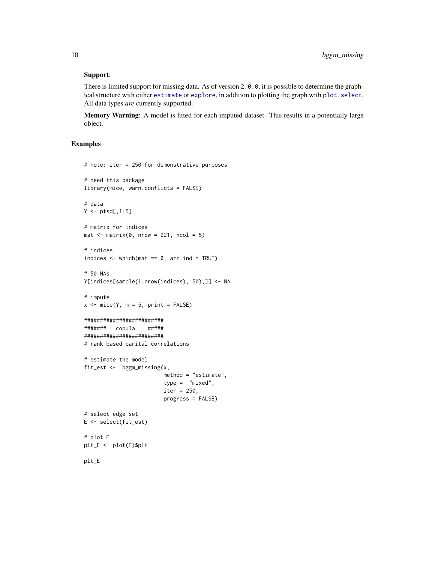### Support:

There is limited support for missing data. As of version 2.0.0, it is possible to determine the graphical structure with either [estimate](#page-24-1) or [explore](#page-28-1), in addition to plotting the graph with [plot.select](#page-68-1). All data types *are* currently supported.

Memory Warning: A model is fitted for each imputed dataset. This results in a potentially large object.

#### Examples

```
# note: iter = 250 for demonstrative purposes
# need this package
library(mice, warn.conflicts = FALSE)
# data
Y \leftarrow \text{ptsd[, 1:5}# matrix for indices
mat \leq matrix(0, nrow = 221, ncol = 5)
# indices
indices \leq which(mat == 0, arr.ind = TRUE)
# 50 NAs
Y[indices[sample(1:nrow(indices), 50),]] <- NA
# impute
x \le - mice(Y, m = 5, print = FALSE)
#########################
####### copula #####
#########################
# rank based parital correlations
# estimate the model
fit_est <- bggm_missing(x,
                         method = "estimate",
                         type = "mixed",
                         iter = 250,
                         progress = FALSE)
# select edge set
E <- select(fit_est)
# plot E
plt_E <- plot(E)$plt
plt_E
```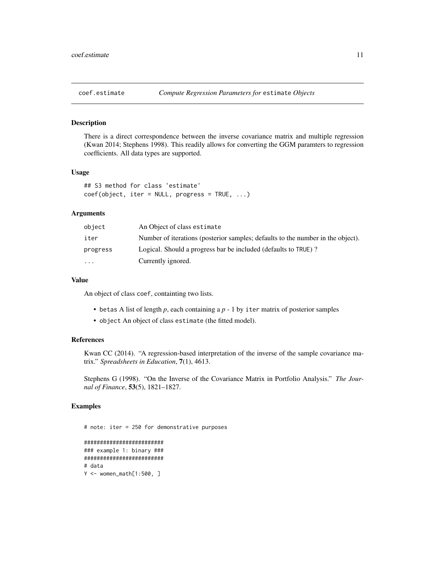<span id="page-10-1"></span><span id="page-10-0"></span>

#### Description

There is a direct correspondence between the inverse covariance matrix and multiple regression (Kwan 2014; Stephens 1998). This readily allows for converting the GGM paramters to regression coefficients. All data types are supported.

# Usage

```
## S3 method for class 'estimate'
coef(object, iter = NULL, progress = TRUE, ...)
```
#### Arguments

| object    | An Object of class estimate                                                     |
|-----------|---------------------------------------------------------------------------------|
| iter      | Number of iterations (posterior samples; defaults to the number in the object). |
| progress  | Logical. Should a progress bar be included (defaults to TRUE)?                  |
| $\ddotsc$ | Currently ignored.                                                              |

#### Value

An object of class coef, containting two lists.

- betas A list of length *p*, each containing a *p* 1 by iter matrix of posterior samples
- object An object of class estimate (the fitted model).

# References

Kwan CC (2014). "A regression-based interpretation of the inverse of the sample covariance matrix." *Spreadsheets in Education*, 7(1), 4613.

Stephens G (1998). "On the Inverse of the Covariance Matrix in Portfolio Analysis." *The Journal of Finance*, 53(5), 1821–1827.

## Examples

# note: iter = 250 for demonstrative purposes ######################### ### example 1: binary ###

```
#########################
# data
Y <- women_math[1:500, ]
```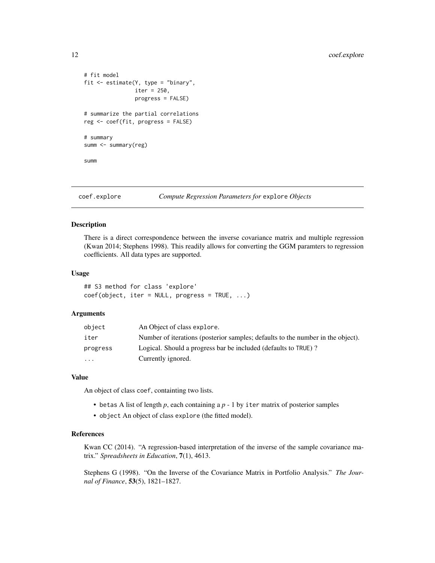```
# fit model
fit <- estimate(Y, type = "binary",
                iter = 250,
                progress = FALSE)
# summarize the partial correlations
reg <- coef(fit, progress = FALSE)
# summary
summ <- summary(reg)
summ
```
coef.explore *Compute Regression Parameters for* explore *Objects*

#### Description

There is a direct correspondence between the inverse covariance matrix and multiple regression (Kwan 2014; Stephens 1998). This readily allows for converting the GGM paramters to regression coefficients. All data types are supported.

#### Usage

## S3 method for class 'explore' coef(object, iter = NULL, progress = TRUE, ...)

#### Arguments

| object   | An Object of class explore.                                                     |
|----------|---------------------------------------------------------------------------------|
| iter     | Number of iterations (posterior samples; defaults to the number in the object). |
| progress | Logical. Should a progress bar be included (defaults to TRUE)?                  |
| $\cdots$ | Currently ignored.                                                              |

#### Value

An object of class coef, containting two lists.

- betas A list of length *p*, each containing a *p* 1 by iter matrix of posterior samples
- object An object of class explore (the fitted model).

# References

Kwan CC (2014). "A regression-based interpretation of the inverse of the sample covariance matrix." *Spreadsheets in Education*, 7(1), 4613.

Stephens G (1998). "On the Inverse of the Covariance Matrix in Portfolio Analysis." *The Journal of Finance*, 53(5), 1821–1827.

<span id="page-11-0"></span>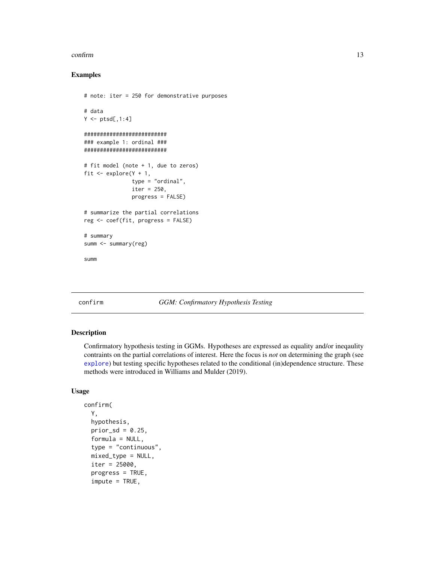#### <span id="page-12-0"></span>confirm to the confirm of the confirm of the confirm of the confirm of the confirm of the confirm of the confirm of the confirm of the confirm of the confirm of the confirm of the confirm of the confirm of the confirm of t

### Examples

```
# note: iter = 250 for demonstrative purposes
# data
Y \leftarrow \text{ptsd[, 1:4}##########################
### example 1: ordinal ###
##########################
# fit model (note + 1, due to zeros)
fit \leq explore(Y + 1,
               type = "ordinal",
               iter = 250,
               progress = FALSE)
# summarize the partial correlations
reg <- coef(fit, progress = FALSE)
# summary
summ <- summary(reg)
summ
```
# <span id="page-12-1"></span>confirm *GGM: Confirmatory Hypothesis Testing*

# Description

Confirmatory hypothesis testing in GGMs. Hypotheses are expressed as equality and/or ineqaulity contraints on the partial correlations of interest. Here the focus is *not* on determining the graph (see [explore](#page-28-1)) but testing specific hypotheses related to the conditional (in)dependence structure. These methods were introduced in Williams and Mulder (2019).

# Usage

```
confirm(
  Y,
  hypothesis,
 prior_sd = 0.25,
  formula = NULL,type = "continuous",
 mixed_type = NULL,
  iter = 25000,progress = TRUE,
  impute = TRUE,
```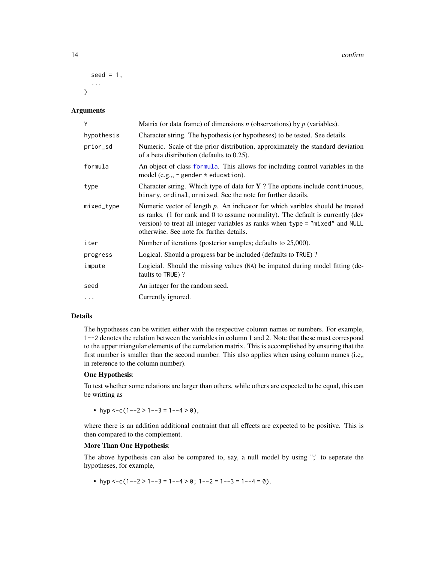```
seed = 1,
   ...
\lambda
```
#### Arguments

| Y          | Matrix (or data frame) of dimensions $n$ (observations) by $p$ (variables).                                                                                                                                                                                                                      |
|------------|--------------------------------------------------------------------------------------------------------------------------------------------------------------------------------------------------------------------------------------------------------------------------------------------------|
| hypothesis | Character string. The hypothesis (or hypotheses) to be tested. See details.                                                                                                                                                                                                                      |
| prior_sd   | Numeric. Scale of the prior distribution, approximately the standard deviation<br>of a beta distribution (defaults to $0.25$ ).                                                                                                                                                                  |
| formula    | An object of class formula. This allows for including control variables in the<br>model (e.g., $\sim$ gender $*$ education).                                                                                                                                                                     |
| type       | Character string. Which type of data for $Y$ ? The options include continuous,<br>binary, ordinal, or mixed. See the note for further details.                                                                                                                                                   |
| mixed_type | Numeric vector of length $p$ . An indicator for which varibles should be treated<br>as ranks. (1 for rank and 0 to assume normality). The default is currently (dev<br>version) to treat all integer variables as ranks when type = "mixed" and NULL<br>otherwise. See note for further details. |
| iter       | Number of iterations (posterior samples; defaults to 25,000).                                                                                                                                                                                                                                    |
| progress   | Logical. Should a progress bar be included (defaults to TRUE)?                                                                                                                                                                                                                                   |
| impute     | Logicial. Should the missing values (NA) be imputed during model fitting (de-<br>faults to TRUE)?                                                                                                                                                                                                |
| seed       | An integer for the random seed.                                                                                                                                                                                                                                                                  |
| $\cdots$   | Currently ignored.                                                                                                                                                                                                                                                                               |

# Details

The hypotheses can be written either with the respective column names or numbers. For example, 1--2 denotes the relation between the variables in column 1 and 2. Note that these must correspond to the upper triangular elements of the correlation matrix. This is accomplished by ensuring that the first number is smaller than the second number. This also applies when using column names (i.e., in reference to the column number).

#### One Hypothesis:

To test whether some relations are larger than others, while others are expected to be equal, this can be writting as

• hyp <-c(1--2 > 1--3 = 1--4 > 0),

where there is an addition additional contraint that all effects are expected to be positive. This is then compared to the complement.

# More Than One Hypothesis:

The above hypothesis can also be compared to, say, a null model by using ";" to seperate the hypotheses, for example,

• hyp <-c(1--2 > 1--3 = 1--4 > 0; 1--2 = 1--3 = 1--4 = 0).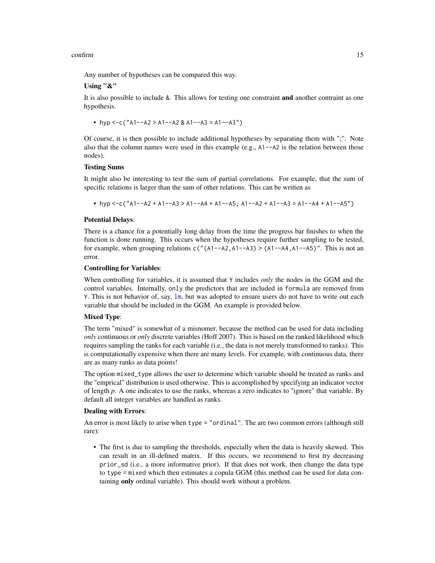#### confirm to the confirm of the confirm of the confirm of the confirm of the confirm of the confirm of the confirm of the confirm of the confirm of the confirm of the confirm of the confirm of the confirm of the confirm of t

Any number of hypotheses can be compared this way.

# Using "&"

It is also possible to include &. This allows for testing one constraint and another contraint as one hypothesis.

• hyp  $\leq$ -c("A1--A2 > A1--A2 & A1--A3 = A1--A3")

Of course, it is then possible to include additional hypotheses by separating them with ";". Note also that the column names were used in this example (e.g.,  $A1 - A2$  is the relation between those nodes).

#### Testing Sums

It might also be interesting to test the sum of partial correlations. For example, that the sum of specific relations is larger than the sum of other relations. This can be written as

• hyp <-c("A1--A2 + A1--A3 > A1--A4 + A1--A5; A1--A2 + A1--A3 = A1--A4 + A1--A5")

#### Potential Delays:

There is a chance for a potentially long delay from the time the progress bar finishes to when the function is done running. This occurs when the hypotheses require further sampling to be tested, for example, when grouping relations  $c''(A1-A2,A1-A3) > (A1-A4,A1-A5)$ ". This is not an error.

#### Controlling for Variables:

When controlling for variables, it is assumed that Y includes *only* the nodes in the GGM and the control variables. Internally, only the predictors that are included in formula are removed from Y. This is not behavior of, say, [lm](#page-0-0), but was adopted to ensure users do not have to write out each variable that should be included in the GGM. An example is provided below.

# Mixed Type:

The term "mixed" is somewhat of a misnomer, because the method can be used for data including *only* continuous or *only* discrete variables (Hoff 2007). This is based on the ranked likelihood which requires sampling the ranks for each variable (i.e., the data is not merely transformed to ranks). This is computationally expensive when there are many levels. For example, with continuous data, there are as many ranks as data points!

The option mixed\_type allows the user to determine which variable should be treated as ranks and the "emprical" distribution is used otherwise. This is accomplished by specifying an indicator vector of length *p*. A one indicates to use the ranks, whereas a zero indicates to "ignore" that variable. By default all integer variables are handled as ranks.

#### Dealing with Errors:

An error is most likely to arise when type = "ordinal". The are two common errors (although still rare):

• The first is due to sampling the thresholds, especially when the data is heavily skewed. This can result in an ill-defined matrix. If this occurs, we recommend to first try decreasing prior\_sd (i.e., a more informative prior). If that does not work, then change the data type to type = mixed which then estimates a copula GGM (this method can be used for data containing only ordinal variable). This should work without a problem.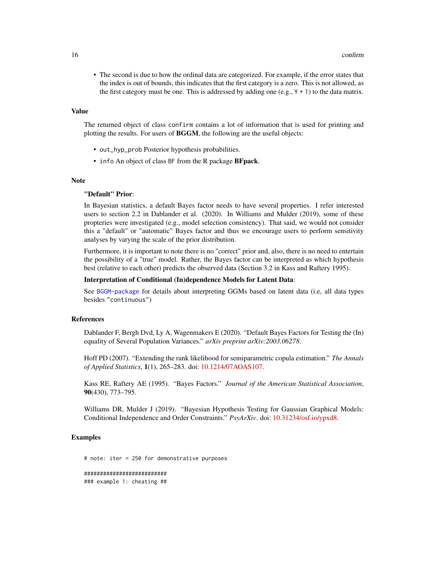• The second is due to how the ordinal data are categorized. For example, if the error states that the index is out of bounds, this indicates that the first category is a zero. This is not allowed, as the first category must be one. This is addressed by adding one (e.g.,  $Y + 1$ ) to the data matrix.

#### Value

The returned object of class confirm contains a lot of information that is used for printing and plotting the results. For users of BGGM, the following are the useful objects:

- out\_hyp\_prob Posterior hypothesis probabilities.
- info An object of class BF from the R package **BFpack**.

#### **Note**

#### "Default" Prior:

In Bayesian statistics, a default Bayes factor needs to have several properties. I refer interested users to section 2.2 in Dablander et al. (2020). In Williams and Mulder (2019), some of these propteries were investigated (e.g., model selection consistency). That said, we would not consider this a "default" or "automatic" Bayes factor and thus we encourage users to perform sensitivity analyses by varying the scale of the prior distribution.

Furthermore, it is important to note there is no "correct" prior and, also, there is no need to entertain the possibility of a "true" model. Rather, the Bayes factor can be interpreted as which hypothesis best (relative to each other) predicts the observed data (Section 3.2 in Kass and Raftery 1995).

#### Interpretation of Conditional (In)dependence Models for Latent Data:

See [BGGM-package](#page-3-1) for details about interpreting GGMs based on latent data (i.e, all data types besides "continuous")

#### References

Dablander F, Bergh Dvd, Ly A, Wagenmakers E (2020). "Default Bayes Factors for Testing the (In) equality of Several Population Variances." *arXiv preprint arXiv:2003.06278*.

Hoff PD (2007). "Extending the rank likelihood for semiparametric copula estimation." *The Annals of Applied Statistics*, 1(1), 265–283. doi: [10.1214/07AOAS107.](https://doi.org/10.1214/07-AOAS107)

Kass RE, Raftery AE (1995). "Bayes Factors." *Journal of the American Statistical Association*, 90(430), 773–795.

Williams DR, Mulder J (2019). "Bayesian Hypothesis Testing for Gaussian Graphical Models: Conditional Independence and Order Constraints." *PsyArXiv*. doi: [10.31234/osf.io/ypxd8.](https://doi.org/10.31234/osf.io/ypxd8)

# Examples

# note: iter = 250 for demonstrative purposes ########################## ### example 1: cheating ##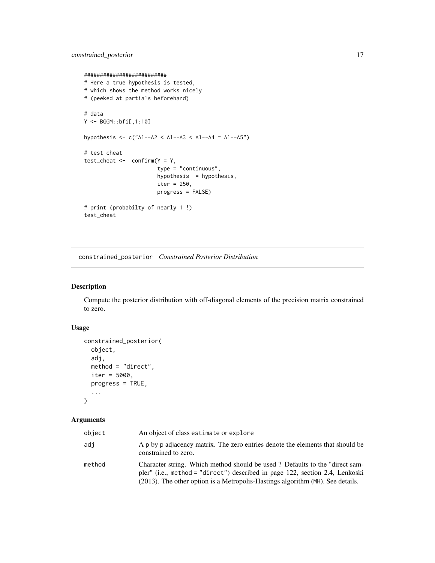```
##########################
# Here a true hypothesis is tested,
# which shows the method works nicely
# (peeked at partials beforehand)
# data
Y <- BGGM::bfi[,1:10]
hypothesis <- c("A1--A2 < A1--A3 < A1--A4 = A1--A5")
# test cheat
test\_cheat \leftarrow confirm(Y = Y,type = "continuous",
                       hypothesis = hypothesis,iter = 250,
                       progress = FALSE)
# print (probabilty of nearly 1 !)
test_cheat
```
constrained\_posterior *Constrained Posterior Distribution*

#### Description

Compute the posterior distribution with off-diagonal elements of the precision matrix constrained to zero.

# Usage

```
constrained_posterior(
 object,
  adj,
 method = "direct",
  iter = 5000,
 progress = TRUE,
  ...
)
```
# Arguments

| object | An object of class estimate or explore                                                                                                                                                                                                        |
|--------|-----------------------------------------------------------------------------------------------------------------------------------------------------------------------------------------------------------------------------------------------|
| adi    | A p by p adjacency matrix. The zero entries denote the elements that should be<br>constrained to zero.                                                                                                                                        |
| method | Character string. Which method should be used? Defaults to the "direct sam-<br>pler" (i.e., method = "direct") described in page 122, section 2.4, Lenkoski<br>(2013). The other option is a Metropolis-Hastings algorithm (MH). See details. |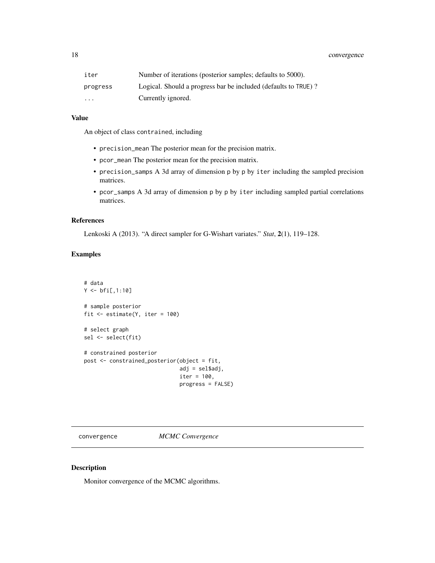# <span id="page-17-0"></span>18 convergence

| iter                    | Number of iterations (posterior samples; defaults to 5000).    |
|-------------------------|----------------------------------------------------------------|
| progress                | Logical. Should a progress bar be included (defaults to TRUE)? |
| $\cdot$ $\cdot$ $\cdot$ | Currently ignored.                                             |

# Value

An object of class contrained, including

- precision\_mean The posterior mean for the precision matrix.
- pcor\_mean The posterior mean for the precision matrix.
- precision\_samps A 3d array of dimension p by p by iter including the sampled precision matrices.
- pcor\_samps A 3d array of dimension p by p by iter including sampled partial correlations matrices.

# References

Lenkoski A (2013). "A direct sampler for G-Wishart variates." *Stat*, 2(1), 119–128.

# Examples

```
# data
Y < -bfi[,1:10]
# sample posterior
fit \le estimate(Y, iter = 100)
# select graph
sel <- select(fit)
# constrained posterior
post <- constrained_posterior(object = fit,
                              adj = sel$adj,
                              iter = 100,
                              progress = FALSE)
```
convergence *MCMC Convergence*

#### Description

Monitor convergence of the MCMC algorithms.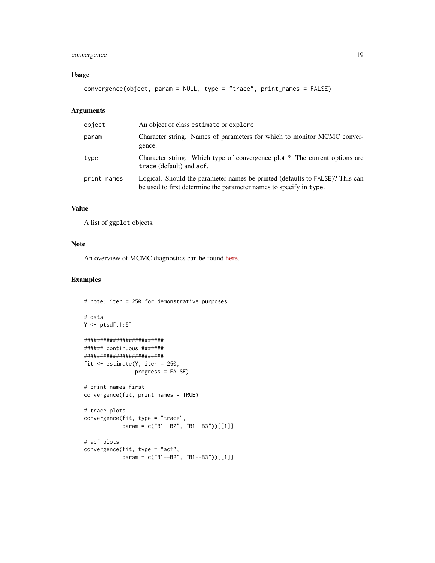# convergence 19

# Usage

convergence(object, param = NULL, type = "trace", print\_names = FALSE)

# Arguments

| object      | An object of class estimate or explore                                                                                                             |
|-------------|----------------------------------------------------------------------------------------------------------------------------------------------------|
| param       | Character string. Names of parameters for which to monitor MCMC conver-<br>gence.                                                                  |
| type        | Character string. Which type of convergence plot ? The current options are<br>trace (default) and acf.                                             |
| print_names | Logical. Should the parameter names be printed (defaults to FALSE)? This can<br>be used to first determine the parameter names to specify in type. |

# Value

A list of ggplot objects.

#### Note

An overview of MCMC diagnostics can be found [here.](http://sbfnk.github.io/mfiidd/mcmc_diagnostics.html)

# Examples

```
# note: iter = 250 for demonstrative purposes
# data
Y \leftarrow \text{ptsd[, 1:5}#########################
###### continuous #######
#########################
fit <- estimate(Y, iter = 250,
                progress = FALSE)
# print names first
convergence(fit, print_names = TRUE)
# trace plots
convergence(fit, type = "trace",
            param = c("B1--B2", "B1--B3"))[[1]]
# acf plots
convergence(fit, type = "acf",
            param = c("B1--B2", "B1--B3"))[[1]]
```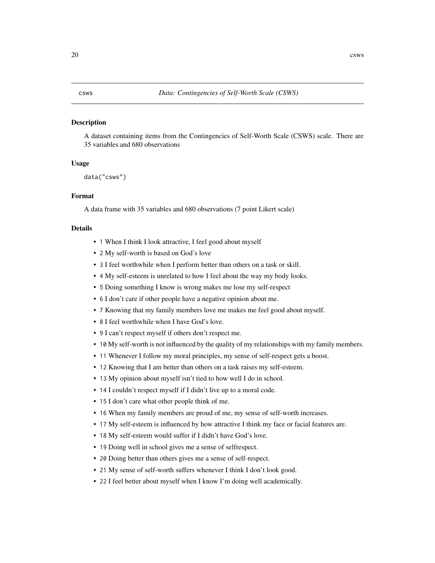#### <span id="page-19-0"></span>Description

A dataset containing items from the Contingencies of Self-Worth Scale (CSWS) scale. There are 35 variables and 680 observations

#### Usage

data("csws")

# Format

A data frame with 35 variables and 680 observations (7 point Likert scale)

#### Details

- 1 When I think I look attractive, I feel good about myself
- 2 My self-worth is based on God's love
- 3 I feel worthwhile when I perform better than others on a task or skill.
- 4 My self-esteem is unrelated to how I feel about the way my body looks.
- 5 Doing something I know is wrong makes me lose my self-respect
- 6 I don't care if other people have a negative opinion about me.
- 7 Knowing that my family members love me makes me feel good about myself.
- 8 I feel worthwhile when I have God's love.
- 9 I can't respect myself if others don't respect me.
- 10 My self-worth is not influenced by the quality of my relationships with my family members.
- 11 Whenever I follow my moral principles, my sense of self-respect gets a boost.
- 12 Knowing that I am better than others on a task raises my self-esteem.
- 13 My opinion about myself isn't tied to how well I do in school.
- 14 I couldn't respect myself if I didn't live up to a moral code.
- 15 I don't care what other people think of me.
- 16 When my family members are proud of me, my sense of self-worth increases.
- 17 My self-esteem is influenced by how attractive I think my face or facial features are.
- 18 My self-esteem would suffer if I didn't have God's love.
- 19 Doing well in school gives me a sense of selfrespect.
- 20 Doing better than others gives me a sense of self-respect.
- 21 My sense of self-worth suffers whenever I think I don't look good.
- 22 I feel better about myself when I know I'm doing well academically.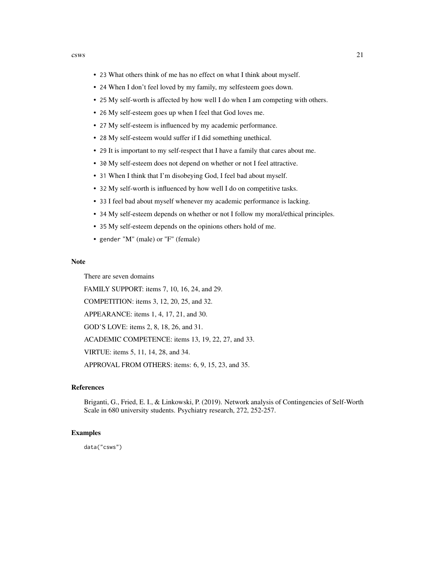- 23 What others think of me has no effect on what I think about myself.
- 24 When I don't feel loved by my family, my selfesteem goes down.
- 25 My self-worth is affected by how well I do when I am competing with others.
- 26 My self-esteem goes up when I feel that God loves me.
- 27 My self-esteem is influenced by my academic performance.
- 28 My self-esteem would suffer if I did something unethical.
- 29 It is important to my self-respect that I have a family that cares about me.
- 30 My self-esteem does not depend on whether or not I feel attractive.
- 31 When I think that I'm disobeying God, I feel bad about myself.
- 32 My self-worth is influenced by how well I do on competitive tasks.
- 33 I feel bad about myself whenever my academic performance is lacking.
- 34 My self-esteem depends on whether or not I follow my moral/ethical principles.
- 35 My self-esteem depends on the opinions others hold of me.
- gender "M" (male) or "F" (female)

# Note

There are seven domains

FAMILY SUPPORT: items 7, 10, 16, 24, and 29.

COMPETITION: items 3, 12, 20, 25, and 32.

APPEARANCE: items 1, 4, 17, 21, and 30.

GOD'S LOVE: items 2, 8, 18, 26, and 31.

ACADEMIC COMPETENCE: items 13, 19, 22, 27, and 33.

VIRTUE: items 5, 11, 14, 28, and 34.

APPROVAL FROM OTHERS: items: 6, 9, 15, 23, and 35.

# References

Briganti, G., Fried, E. I., & Linkowski, P. (2019). Network analysis of Contingencies of Self-Worth Scale in 680 university students. Psychiatry research, 272, 252-257.

#### Examples

data("csws")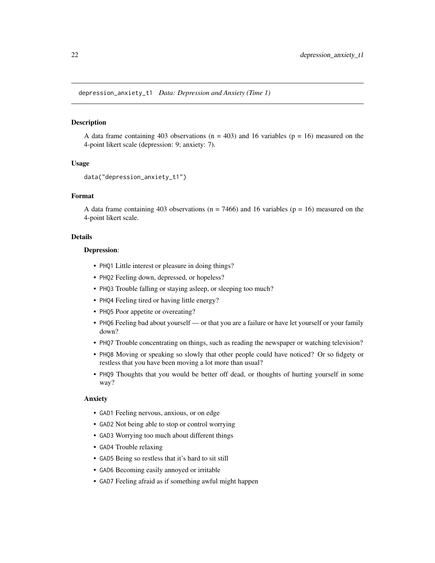# <span id="page-21-0"></span>**Description**

A data frame containing 403 observations  $(n = 403)$  and 16 variables  $(p = 16)$  measured on the 4-point likert scale (depression: 9; anxiety: 7).

#### Usage

```
data("depression_anxiety_t1")
```
# Format

A data frame containing 403 observations ( $n = 7466$ ) and 16 variables ( $p = 16$ ) measured on the 4-point likert scale.

#### Details

#### Depression:

- PHQ1 Little interest or pleasure in doing things?
- PHQ2 Feeling down, depressed, or hopeless?
- PHQ3 Trouble falling or staying asleep, or sleeping too much?
- PHQ4 Feeling tired or having little energy?
- PHQ5 Poor appetite or overeating?
- PHQ6 Feeling bad about yourself or that you are a failure or have let yourself or your family down?
- PHQ7 Trouble concentrating on things, such as reading the newspaper or watching television?
- PHQ8 Moving or speaking so slowly that other people could have noticed? Or so fidgety or restless that you have been moving a lot more than usual?
- PHQ9 Thoughts that you would be better off dead, or thoughts of hurting yourself in some way?

#### Anxiety

- GAD1 Feeling nervous, anxious, or on edge
- GAD2 Not being able to stop or control worrying
- GAD3 Worrying too much about different things
- GAD4 Trouble relaxing
- GAD5 Being so restless that it's hard to sit still
- GAD6 Becoming easily annoyed or irritable
- GAD7 Feeling afraid as if something awful might happen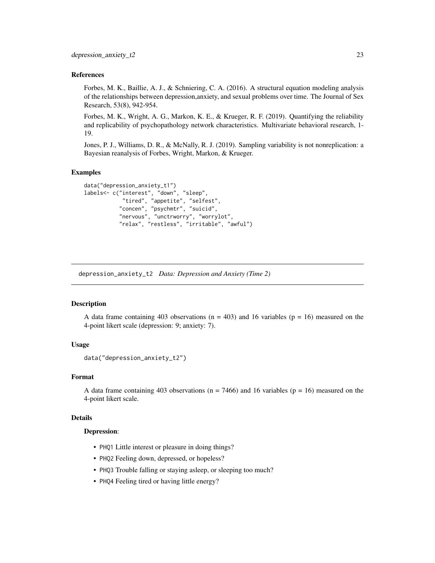#### <span id="page-22-0"></span>References

Forbes, M. K., Baillie, A. J., & Schniering, C. A. (2016). A structural equation modeling analysis of the relationships between depression,anxiety, and sexual problems over time. The Journal of Sex Research, 53(8), 942-954.

Forbes, M. K., Wright, A. G., Markon, K. E., & Krueger, R. F. (2019). Quantifying the reliability and replicability of psychopathology network characteristics. Multivariate behavioral research, 1- 19.

Jones, P. J., Williams, D. R., & McNally, R. J. (2019). Sampling variability is not nonreplication: a Bayesian reanalysis of Forbes, Wright, Markon, & Krueger.

#### Examples

```
data("depression_anxiety_t1")
labels<- c("interest", "down", "sleep",
            "tired", "appetite", "selfest",
           "concen", "psychmtr", "suicid",
           "nervous", "unctrworry", "worrylot",
           "relax", "restless", "irritable", "awful")
```
depression\_anxiety\_t2 *Data: Depression and Anxiety (Time 2)*

#### Description

A data frame containing 403 observations  $(n = 403)$  and 16 variables  $(p = 16)$  measured on the 4-point likert scale (depression: 9; anxiety: 7).

# Usage

```
data("depression_anxiety_t2")
```
#### Format

A data frame containing 403 observations ( $n = 7466$ ) and 16 variables ( $p = 16$ ) measured on the 4-point likert scale.

# Details

### Depression:

- PHQ1 Little interest or pleasure in doing things?
- PHQ2 Feeling down, depressed, or hopeless?
- PHQ3 Trouble falling or staying asleep, or sleeping too much?
- PHQ4 Feeling tired or having little energy?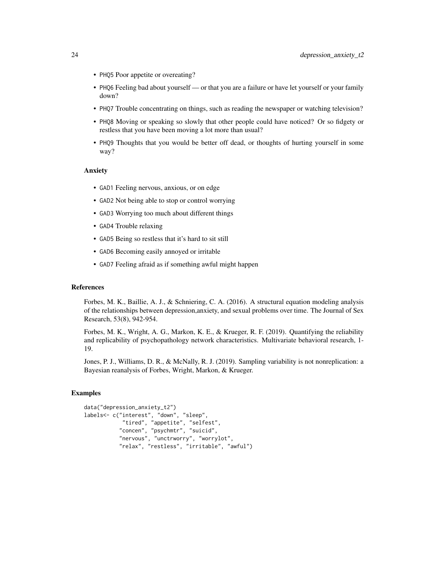- PHQ5 Poor appetite or overeating?
- PHQ6 Feeling bad about yourself or that you are a failure or have let yourself or your family down?
- PHQ7 Trouble concentrating on things, such as reading the newspaper or watching television?
- PHQ8 Moving or speaking so slowly that other people could have noticed? Or so fidgety or restless that you have been moving a lot more than usual?
- PHQ9 Thoughts that you would be better off dead, or thoughts of hurting yourself in some way?

# Anxiety

- GAD1 Feeling nervous, anxious, or on edge
- GAD2 Not being able to stop or control worrying
- GAD3 Worrying too much about different things
- GAD4 Trouble relaxing
- GAD5 Being so restless that it's hard to sit still
- GAD6 Becoming easily annoyed or irritable
- GAD7 Feeling afraid as if something awful might happen

#### References

Forbes, M. K., Baillie, A. J., & Schniering, C. A. (2016). A structural equation modeling analysis of the relationships between depression,anxiety, and sexual problems over time. The Journal of Sex Research, 53(8), 942-954.

Forbes, M. K., Wright, A. G., Markon, K. E., & Krueger, R. F. (2019). Quantifying the reliability and replicability of psychopathology network characteristics. Multivariate behavioral research, 1- 19.

Jones, P. J., Williams, D. R., & McNally, R. J. (2019). Sampling variability is not nonreplication: a Bayesian reanalysis of Forbes, Wright, Markon, & Krueger.

#### Examples

```
data("depression_anxiety_t2")
labels<- c("interest", "down", "sleep",
            "tired", "appetite", "selfest",
           "concen", "psychmtr", "suicid",
           "nervous", "unctrworry", "worrylot",
           "relax", "restless", "irritable", "awful")
```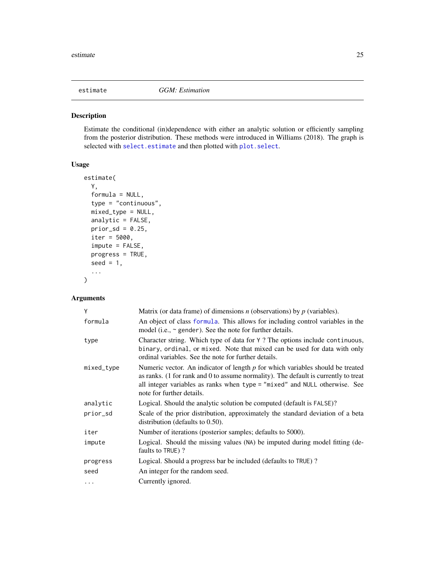<span id="page-24-1"></span><span id="page-24-0"></span>

## Description

Estimate the conditional (in)dependence with either an analytic solution or efficiently sampling from the posterior distribution. These methods were introduced in Williams (2018). The graph is selected with [select.estimate](#page-97-1) and then plotted with [plot.select](#page-68-1).

# Usage

```
estimate(
 Y,
  formula = NULL,
  type = "continuous",
  mixed_type = NULL,
  analytic = FALSE,
  prior_sd = 0.25,
  iter = 5000,
  impute = FALSE,
  progress = TRUE,
  seed = 1,
  ...
\mathcal{L}
```
#### Arguments

| Y          | Matrix (or data frame) of dimensions $n$ (observations) by $p$ (variables).                                                                                                                                                                                                        |
|------------|------------------------------------------------------------------------------------------------------------------------------------------------------------------------------------------------------------------------------------------------------------------------------------|
| formula    | An object of class formula. This allows for including control variables in the<br>model (i.e., $\sim$ gender). See the note for further details.                                                                                                                                   |
| type       | Character string. Which type of data for Y? The options include continuous,<br>binary, ordinal, or mixed. Note that mixed can be used for data with only<br>ordinal variables. See the note for further details.                                                                   |
| mixed_type | Numeric vector. An indicator of length $p$ for which variables should be treated<br>as ranks. (1 for rank and 0 to assume normality). The default is currently to treat<br>all integer variables as ranks when type = "mixed" and NULL otherwise. See<br>note for further details. |
| analytic   | Logical. Should the analytic solution be computed (default is FALSE)?                                                                                                                                                                                                              |
| prior_sd   | Scale of the prior distribution, approximately the standard deviation of a beta<br>distribution (defaults to $0.50$ ).                                                                                                                                                             |
| iter       | Number of iterations (posterior samples; defaults to 5000).                                                                                                                                                                                                                        |
| impute     | Logical. Should the missing values (NA) be imputed during model fitting (de-<br>faults to TRUE)?                                                                                                                                                                                   |
| progress   | Logical. Should a progress bar be included (defaults to TRUE)?                                                                                                                                                                                                                     |
| seed       | An integer for the random seed.                                                                                                                                                                                                                                                    |
| .          | Currently ignored.                                                                                                                                                                                                                                                                 |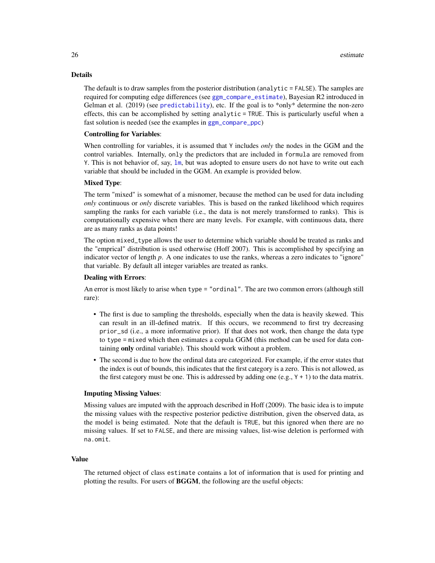### Details

The default is to draw samples from the posterior distribution (analytic = FALSE). The samples are required for computing edge differences (see [ggm\\_compare\\_estimate](#page-40-1)), Bayesian R2 introduced in Gelman et al. (2019) (see [predictability](#page-83-1)), etc. If the goal is to \*only\* determine the non-zero effects, this can be accomplished by setting analytic = TRUE. This is particularly useful when a fast solution is needed (see the examples in [ggm\\_compare\\_ppc](#page-47-1))

### Controlling for Variables:

When controlling for variables, it is assumed that Y includes *only* the nodes in the GGM and the control variables. Internally, only the predictors that are included in formula are removed from Y. This is not behavior of, say, [lm](#page-0-0), but was adopted to ensure users do not have to write out each variable that should be included in the GGM. An example is provided below.

#### Mixed Type:

The term "mixed" is somewhat of a misnomer, because the method can be used for data including *only* continuous or *only* discrete variables. This is based on the ranked likelihood which requires sampling the ranks for each variable (i.e., the data is not merely transformed to ranks). This is computationally expensive when there are many levels. For example, with continuous data, there are as many ranks as data points!

The option mixed\_type allows the user to determine which variable should be treated as ranks and the "emprical" distribution is used otherwise (Hoff 2007). This is accomplished by specifying an indicator vector of length *p*. A one indicates to use the ranks, whereas a zero indicates to "ignore" that variable. By default all integer variables are treated as ranks.

#### Dealing with Errors:

An error is most likely to arise when type = "ordinal". The are two common errors (although still rare):

- The first is due to sampling the thresholds, especially when the data is heavily skewed. This can result in an ill-defined matrix. If this occurs, we recommend to first try decreasing prior\_sd (i.e., a more informative prior). If that does not work, then change the data type to type = mixed which then estimates a copula GGM (this method can be used for data containing only ordinal variable). This should work without a problem.
- The second is due to how the ordinal data are categorized. For example, if the error states that the index is out of bounds, this indicates that the first category is a zero. This is not allowed, as the first category must be one. This is addressed by adding one (e.g.,  $Y + 1$ ) to the data matrix.

#### Imputing Missing Values:

Missing values are imputed with the approach described in Hoff (2009). The basic idea is to impute the missing values with the respective posterior pedictive distribution, given the observed data, as the model is being estimated. Note that the default is TRUE, but this ignored when there are no missing values. If set to FALSE, and there are missing values, list-wise deletion is performed with na.omit.

#### Value

The returned object of class estimate contains a lot of information that is used for printing and plotting the results. For users of BGGM, the following are the useful objects: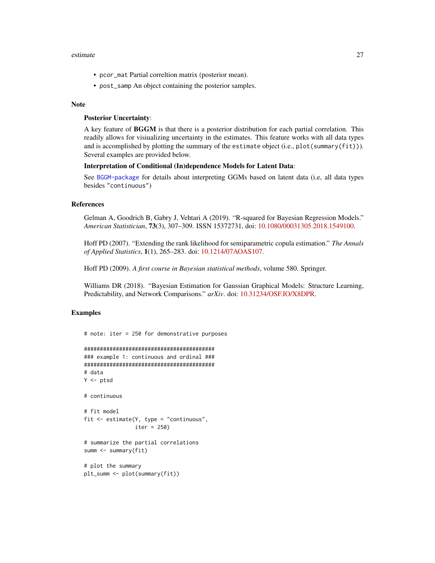#### estimate 27

- pcor\_mat Partial correltion matrix (posterior mean).
- post\_samp An object containing the posterior samples.

#### Note

#### Posterior Uncertainty:

A key feature of BGGM is that there is a posterior distribution for each partial correlation. This readily allows for visiualizing uncertainty in the estimates. This feature works with all data types and is accomplished by plotting the summary of the estimate object (i.e.,  $plot(summary(fit))$ ). Several examples are provided below.

#### Interpretation of Conditional (In)dependence Models for Latent Data:

See [BGGM-package](#page-3-1) for details about interpreting GGMs based on latent data (i.e, all data types besides "continuous")

#### References

Gelman A, Goodrich B, Gabry J, Vehtari A (2019). "R-squared for Bayesian Regression Models." *American Statistician*, 73(3), 307–309. ISSN 15372731, doi: [10.1080/00031305.2018.1549100.](https://doi.org/10.1080/00031305.2018.1549100)

Hoff PD (2007). "Extending the rank likelihood for semiparametric copula estimation." *The Annals of Applied Statistics*, 1(1), 265–283. doi: [10.1214/07AOAS107.](https://doi.org/10.1214/07-AOAS107)

Hoff PD (2009). *A first course in Bayesian statistical methods*, volume 580. Springer.

Williams DR (2018). "Bayesian Estimation for Gaussian Graphical Models: Structure Learning, Predictability, and Network Comparisons." *arXiv*. doi: [10.31234/OSF.IO/X8DPR.](https://doi.org/10.31234/OSF.IO/X8DPR)

#### Examples

```
# note: iter = 250 for demonstrative purposes
```

```
#########################################
### example 1: continuous and ordinal ###
#########################################
# data
Y \leftarrow \text{ptsd}# continuous
# fit model
fit <- estimate(Y, type = "continuous",
                iter = 250)
# summarize the partial correlations
summ <- summary(fit)
# plot the summary
plt_summ <- plot(summary(fit))
```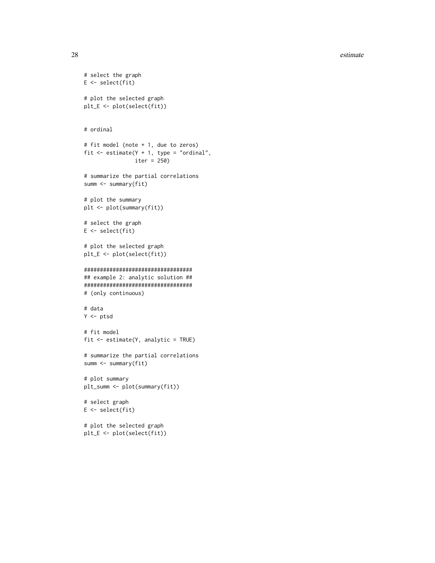#### 28 estimate extended a set of the set of the set of the set of the set of the set of the set of the set of the set of the set of the set of the set of the set of the set of the set of the set of the set of the set of the s

```
# select the graph
E \leftarrow select(fit)# plot the selected graph
plt_E <- plot(select(fit))
# ordinal
# fit model (note + 1, due to zeros)
fit \le estimate(Y + 1, type = "ordinal",
                iter = 250)
# summarize the partial correlations
summ <- summary(fit)
# plot the summary
plt <- plot(summary(fit))
# select the graph
E <- select(fit)
# plot the selected graph
plt_E <- plot(select(fit))
##################################
## example 2: analytic solution ##
##################################
# (only continuous)
# data
Y <- ptsd
# fit model
fit <- estimate(Y, analytic = TRUE)
# summarize the partial correlations
summ <- summary(fit)
# plot summary
plt_summ <- plot(summary(fit))
# select graph
E <- select(fit)
# plot the selected graph
plt_E <- plot(select(fit))
```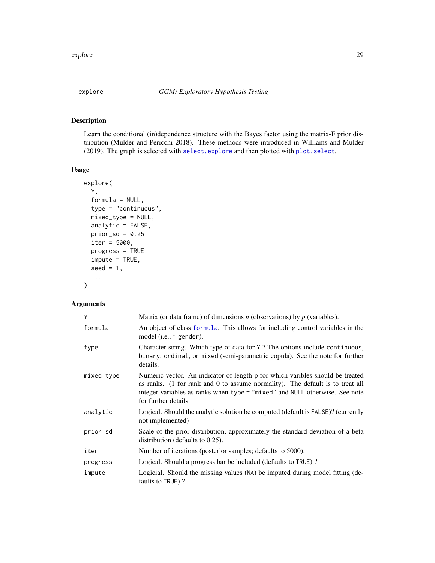# <span id="page-28-1"></span><span id="page-28-0"></span>Description

Learn the conditional (in)dependence structure with the Bayes factor using the matrix-F prior distribution (Mulder and Pericchi 2018). These methods were introduced in Williams and Mulder (2019). The graph is selected with [select.explore](#page-99-1) and then plotted with [plot.select](#page-68-1).

#### Usage

```
explore(
 Y,
  formula = NULL,
  type = "continuous",
 mixed_type = NULL,
 analytic = FALSE,
 prior\_sd = 0.25,
  iter = 5000,
 progress = TRUE,
  impute = TRUE,seed = 1,
  ...
)
```
#### Arguments

| Y          | Matrix (or data frame) of dimensions $n$ (observations) by $p$ (variables).                                                                                                                                                                                           |
|------------|-----------------------------------------------------------------------------------------------------------------------------------------------------------------------------------------------------------------------------------------------------------------------|
| formula    | An object of class formula. This allows for including control variables in the<br>model (i.e., $\sim$ gender).                                                                                                                                                        |
| type       | Character string. Which type of data for Y? The options include continuous,<br>binary, ordinal, or mixed (semi-parametric copula). See the note for further<br>details.                                                                                               |
| mixed_type | Numeric vector. An indicator of length p for which varibles should be treated<br>as ranks. (1 for rank and 0 to assume normality). The default is to treat all<br>integer variables as ranks when type = "mixed" and NULL otherwise. See note<br>for further details. |
| analytic   | Logical. Should the analytic solution be computed (default is FALSE)? (currently<br>not implemented)                                                                                                                                                                  |
| prior_sd   | Scale of the prior distribution, approximately the standard deviation of a beta<br>distribution (defaults to $0.25$ ).                                                                                                                                                |
| iter       | Number of iterations (posterior samples; defaults to 5000).                                                                                                                                                                                                           |
| progress   | Logical. Should a progress bar be included (defaults to TRUE)?                                                                                                                                                                                                        |
| impute     | Logicial. Should the missing values (NA) be imputed during model fitting (de-<br>faults to TRUE)?                                                                                                                                                                     |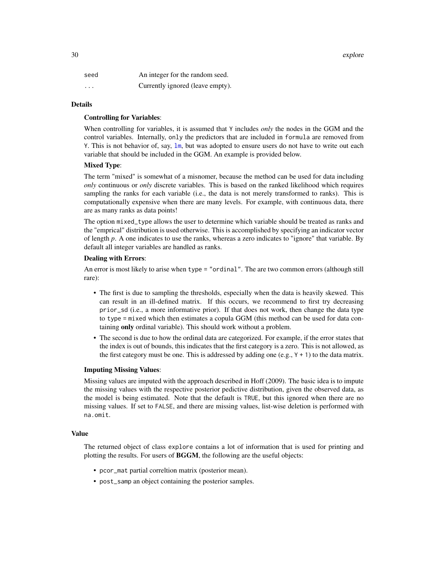30 explore that the contract of the contract of the contract of the contract of the contract of the contract of the contract of the contract of the contract of the contract of the contract of the contract of the contract o

| seed     | An integer for the random seed.  |
|----------|----------------------------------|
| $\cdots$ | Currently ignored (leave empty). |

#### Details

#### Controlling for Variables:

When controlling for variables, it is assumed that Y includes *only* the nodes in the GGM and the control variables. Internally, only the predictors that are included in formula are removed from Y. This is not behavior of, say, [lm](#page-0-0), but was adopted to ensure users do not have to write out each variable that should be included in the GGM. An example is provided below.

# Mixed Type:

The term "mixed" is somewhat of a misnomer, because the method can be used for data including *only* continuous or *only* discrete variables. This is based on the ranked likelihood which requires sampling the ranks for each variable (i.e., the data is not merely transformed to ranks). This is computationally expensive when there are many levels. For example, with continuous data, there are as many ranks as data points!

The option mixed\_type allows the user to determine which variable should be treated as ranks and the "emprical" distribution is used otherwise. This is accomplished by specifying an indicator vector of length *p*. A one indicates to use the ranks, whereas a zero indicates to "ignore" that variable. By default all integer variables are handled as ranks.

### Dealing with Errors:

An error is most likely to arise when type = "ordinal". The are two common errors (although still rare):

- The first is due to sampling the thresholds, especially when the data is heavily skewed. This can result in an ill-defined matrix. If this occurs, we recommend to first try decreasing prior\_sd (i.e., a more informative prior). If that does not work, then change the data type to type = mixed which then estimates a copula GGM (this method can be used for data containing only ordinal variable). This should work without a problem.
- The second is due to how the ordinal data are categorized. For example, if the error states that the index is out of bounds, this indicates that the first category is a zero. This is not allowed, as the first category must be one. This is addressed by adding one  $(e.g., Y + 1)$  to the data matrix.

#### Imputing Missing Values:

Missing values are imputed with the approach described in Hoff (2009). The basic idea is to impute the missing values with the respective posterior pedictive distribution, given the observed data, as the model is being estimated. Note that the default is TRUE, but this ignored when there are no missing values. If set to FALSE, and there are missing values, list-wise deletion is performed with na.omit.

# Value

The returned object of class explore contains a lot of information that is used for printing and plotting the results. For users of **BGGM**, the following are the useful objects:

- pcor\_mat partial correltion matrix (posterior mean).
- post\_samp an object containing the posterior samples.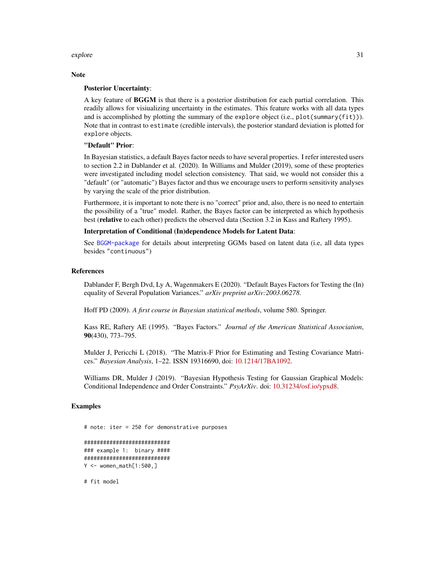#### explore 31

#### **Note**

#### Posterior Uncertainty:

A key feature of BGGM is that there is a posterior distribution for each partial correlation. This readily allows for visiualizing uncertainty in the estimates. This feature works with all data types and is accomplished by plotting the summary of the explore object (i.e., plot(summary(fit))). Note that in contrast to estimate (credible intervals), the posterior standard deviation is plotted for explore objects.

# "Default" Prior:

In Bayesian statistics, a default Bayes factor needs to have several properties. I refer interested users to section 2.2 in Dablander et al. (2020). In Williams and Mulder (2019), some of these propteries were investigated including model selection consistency. That said, we would not consider this a "default" (or "automatic") Bayes factor and thus we encourage users to perform sensitivity analyses by varying the scale of the prior distribution.

Furthermore, it is important to note there is no "correct" prior and, also, there is no need to entertain the possibility of a "true" model. Rather, the Bayes factor can be interpreted as which hypothesis best (relative to each other) predicts the observed data (Section 3.2 in Kass and Raftery 1995).

#### Interpretation of Conditional (In)dependence Models for Latent Data:

See [BGGM-package](#page-3-1) for details about interpreting GGMs based on latent data (i.e, all data types besides "continuous")

#### References

Dablander F, Bergh Dvd, Ly A, Wagenmakers E (2020). "Default Bayes Factors for Testing the (In) equality of Several Population Variances." *arXiv preprint arXiv:2003.06278*.

Hoff PD (2009). *A first course in Bayesian statistical methods*, volume 580. Springer.

Kass RE, Raftery AE (1995). "Bayes Factors." *Journal of the American Statistical Association*, 90(430), 773–795.

Mulder J, Pericchi L (2018). "The Matrix-F Prior for Estimating and Testing Covariance Matrices." *Bayesian Analysis*, 1–22. ISSN 19316690, doi: [10.1214/17BA1092.](https://doi.org/10.1214/17-BA1092)

Williams DR, Mulder J (2019). "Bayesian Hypothesis Testing for Gaussian Graphical Models: Conditional Independence and Order Constraints." *PsyArXiv*. doi: [10.31234/osf.io/ypxd8.](https://doi.org/10.31234/osf.io/ypxd8)

# Examples

# note: iter = 250 for demonstrative purposes ########################### ### example 1: binary #### ########################### Y <- women\_math[1:500,] # fit model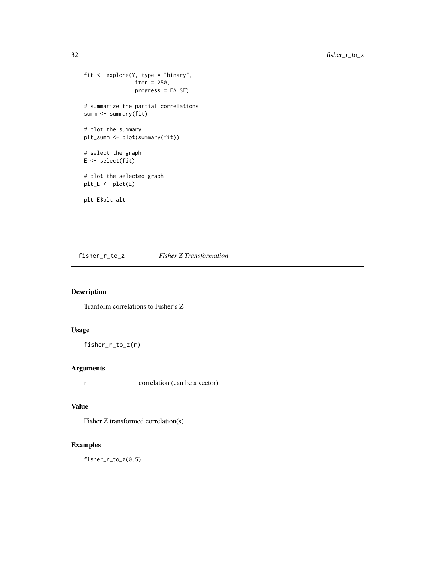```
fit <- explore(Y, type = "binary",
               iter = 250,
                progress = FALSE)
# summarize the partial correlations
summ <- summary(fit)
# plot the summary
plt_summ <- plot(summary(fit))
# select the graph
E <- select(fit)
# plot the selected graph
plt_E <- plot(E)
plt_E$plt_alt
```
fisher\_r\_to\_z *Fisher Z Transformation*

# Description

Tranform correlations to Fisher's Z

# Usage

```
fisher_r_to_z(r)
```
# Arguments

r correlation (can be a vector)

# Value

Fisher Z transformed correlation(s)

# Examples

fisher\_r\_to\_z(0.5)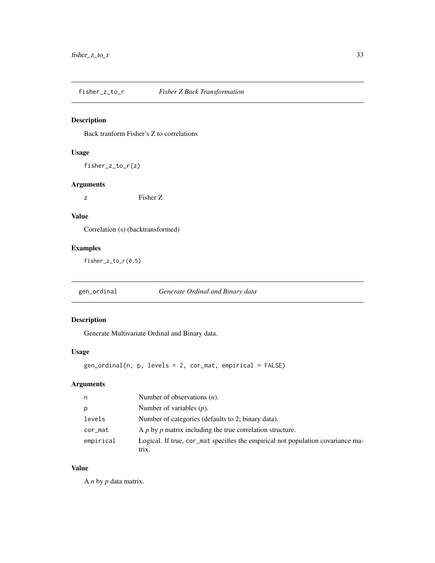<span id="page-32-0"></span>fisher\_z\_to\_r *Fisher Z Back Transformation*

# Description

Back tranform Fisher's Z to correlations

# Usage

fisher\_z\_to\_r(z)

# Arguments

z Fisher Z

# Value

Correlation (s) (backtransformed)

# Examples

fisher\_z\_to\_r(0.5)

gen\_ordinal *Generate Ordinal and Binary data*

# Description

Generate Multivariate Ordinal and Binary data.

# Usage

gen\_ordinal(n, p, levels = 2, cor\_mat, empirical = FALSE)

# Arguments

| n         | Number of observations $(n)$ .                                                           |
|-----------|------------------------------------------------------------------------------------------|
| p         | Number of variables $(p)$ .                                                              |
| levels    | Number of categories (defaults to 2; binary data).                                       |
| cor_mat   | A p by p matrix including the true correlation structure.                                |
| empirical | Logical. If true, cor_mat specifies the empirical not population covariance ma-<br>trix. |

# Value

A *n* by *p* data matrix.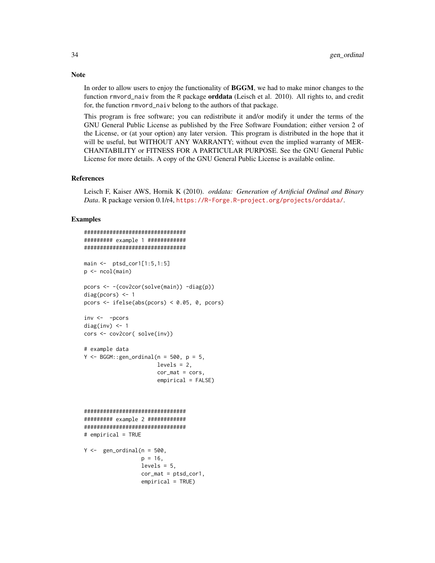In order to allow users to enjoy the functionality of BGGM, we had to make minor changes to the function rmvord\_naiv from the R package **orddata** (Leisch et al. 2010). All rights to, and credit for, the function rmvord\_naiv belong to the authors of that package.

This program is free software; you can redistribute it and/or modify it under the terms of the GNU General Public License as published by the Free Software Foundation; either version 2 of the License, or (at your option) any later version. This program is distributed in the hope that it will be useful, but WITHOUT ANY WARRANTY; without even the implied warranty of MER-CHANTABILITY or FITNESS FOR A PARTICULAR PURPOSE. See the GNU General Public License for more details. A copy of the GNU General Public License is available online.

#### References

Leisch F, Kaiser AWS, Hornik K (2010). *orddata: Generation of Artificial Ordinal and Binary Data*. R package version 0.1/r4, <https://R-Forge.R-project.org/projects/orddata/>.

#### Examples

```
################################
######### example 1 ############
################################
main <- ptsd_cor1[1:5,1:5]
p <- ncol(main)
pcors <- -(cov2cor(solve(main)) -diag(p))
diag(pcors) <- 1
pcors <- ifelse(abs(pcors) < 0.05, 0, pcors)
inv <- -pcors
diag(inv) <-1cors <- cov2cor( solve(inv))
# example data
Y \le - BGGM:: gen_ordinal(n = 500, p = 5,
                        levels = 2,
                        cor\_mat = cors,
                        empirical = FALSE)
################################
######### example 2 ############
################################
# empirical = TRUE
Y \leftarrow gen_{\text{}ordinal(n = 500,p = 16,
                  levels = 5,
                  cor_mat = ptsd_cor1,
                  empirical = TRUE)
```
# **Note**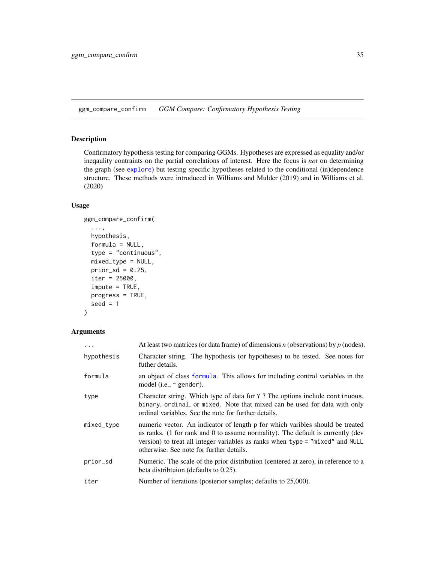<span id="page-34-1"></span><span id="page-34-0"></span>ggm\_compare\_confirm *GGM Compare: Confirmatory Hypothesis Testing*

# Description

Confirmatory hypothesis testing for comparing GGMs. Hypotheses are expressed as equality and/or ineqaulity contraints on the partial correlations of interest. Here the focus is *not* on determining the graph (see [explore](#page-28-1)) but testing specific hypotheses related to the conditional (in)dependence structure. These methods were introduced in Williams and Mulder (2019) and in Williams et al. (2020)

# Usage

```
ggm_compare_confirm(
  ...,
 hypothesis,
 formula = NULL,
  type = "continuous",
 mixed_type = NULL,
 prior_sd = 0.25,
  iter = 25000,
  impute = TRUE,
 progress = TRUE,
  seed = 1)
```
#### Arguments

| .          | At least two matrices (or data frame) of dimensions $n$ (observations) by $p$ (nodes).                                                                                                                                                                                                        |
|------------|-----------------------------------------------------------------------------------------------------------------------------------------------------------------------------------------------------------------------------------------------------------------------------------------------|
| hypothesis | Character string. The hypothesis (or hypotheses) to be tested. See notes for<br>futher details.                                                                                                                                                                                               |
| formula    | an object of class formula. This allows for including control variables in the<br>model (i.e., $\sim$ gender).                                                                                                                                                                                |
| type       | Character string. Which type of data for Y? The options include continuous,<br>binary, ordinal, or mixed. Note that mixed can be used for data with only<br>ordinal variables. See the note for further details.                                                                              |
| mixed_type | numeric vector. An indicator of length p for which varibles should be treated<br>as ranks. (1 for rank and 0 to assume normality). The default is currently (dev<br>version) to treat all integer variables as ranks when type = "mixed" and NULL<br>otherwise. See note for further details. |
| prior_sd   | Numeric. The scale of the prior distribution (centered at zero), in reference to a<br>beta distribution (defaults to $0.25$ ).                                                                                                                                                                |
| iter       | Number of iterations (posterior samples; defaults to 25,000).                                                                                                                                                                                                                                 |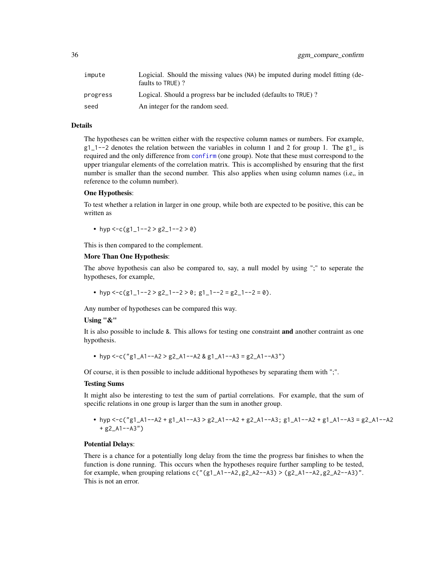| impute   | Logicial. Should the missing values (NA) be imputed during model fitting (de-<br>faults to TRUE)? |
|----------|---------------------------------------------------------------------------------------------------|
| progress | Logical. Should a progress bar be included (defaults to TRUE)?                                    |
| seed     | An integer for the random seed.                                                                   |

# Details

The hypotheses can be written either with the respective column names or numbers. For example,  $g1_1$ --2 denotes the relation between the variables in column 1 and 2 for group 1. The  $g1_i$  is required and the only difference from [confirm](#page-12-1) (one group). Note that these must correspond to the upper triangular elements of the correlation matrix. This is accomplished by ensuring that the first number is smaller than the second number. This also applies when using column names (i.e., in reference to the column number).

#### One Hypothesis:

To test whether a relation in larger in one group, while both are expected to be positive, this can be written as

• hyp <-c(g1\_1--2 > g2\_1--2 > 0)

This is then compared to the complement.

#### More Than One Hypothesis:

The above hypothesis can also be compared to, say, a null model by using ";" to seperate the hypotheses, for example,

• hyp <-c(g1\_1--2 > g2\_1--2 > 0; g1\_1--2 = g2\_1--2 = 0).

Any number of hypotheses can be compared this way.

# Using "&"

It is also possible to include &. This allows for testing one constraint and another contraint as one hypothesis.

• hyp <-c("g1\_A1--A2 > g2\_A1--A2 & g1\_A1--A3 = g2\_A1--A3")

Of course, it is then possible to include additional hypotheses by separating them with ";".

#### Testing Sums

It might also be interesting to test the sum of partial correlations. For example, that the sum of specific relations in one group is larger than the sum in another group.

• hyp <-c("g1\_A1--A2 + g1\_A1--A3 > g2\_A1--A2 + g2\_A1--A3; g1\_A1--A2 + g1\_A1--A3 = g2\_A1--A2  $+$  g2\_A1--A3")

#### Potential Delays:

There is a chance for a potentially long delay from the time the progress bar finishes to when the function is done running. This occurs when the hypotheses require further sampling to be tested, for example, when grouping relations  $c''(g1_A1-A2,g2_A2-A3) > (g2_A1-A2,g2_A2-A3)''$ . This is not an error.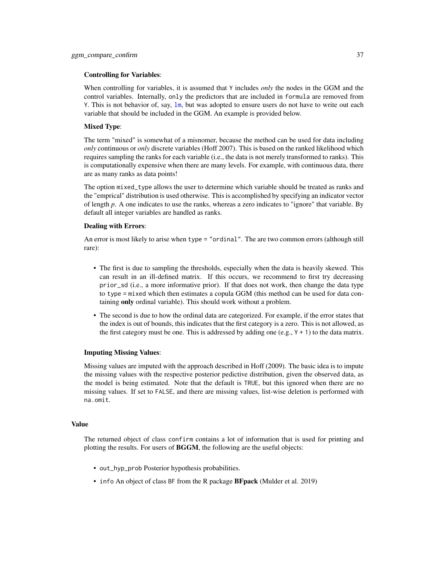### Controlling for Variables:

When controlling for variables, it is assumed that Y includes *only* the nodes in the GGM and the control variables. Internally, only the predictors that are included in formula are removed from Y. This is not behavior of, say,  $\text{lm}$  $\text{lm}$  $\text{lm}$ , but was adopted to ensure users do not have to write out each variable that should be included in the GGM. An example is provided below.

### Mixed Type:

The term "mixed" is somewhat of a misnomer, because the method can be used for data including *only* continuous or *only* discrete variables (Hoff 2007). This is based on the ranked likelihood which requires sampling the ranks for each variable (i.e., the data is not merely transformed to ranks). This is computationally expensive when there are many levels. For example, with continuous data, there are as many ranks as data points!

The option mixed\_type allows the user to determine which variable should be treated as ranks and the "emprical" distribution is used otherwise. This is accomplished by specifying an indicator vector of length *p*. A one indicates to use the ranks, whereas a zero indicates to "ignore" that variable. By default all integer variables are handled as ranks.

### Dealing with Errors:

An error is most likely to arise when type = "ordinal". The are two common errors (although still rare):

- The first is due to sampling the thresholds, especially when the data is heavily skewed. This can result in an ill-defined matrix. If this occurs, we recommend to first try decreasing prior\_sd (i.e., a more informative prior). If that does not work, then change the data type to type = mixed which then estimates a copula GGM (this method can be used for data containing only ordinal variable). This should work without a problem.
- The second is due to how the ordinal data are categorized. For example, if the error states that the index is out of bounds, this indicates that the first category is a zero. This is not allowed, as the first category must be one. This is addressed by adding one  $(e.g., Y + 1)$  to the data matrix.

#### Imputing Missing Values:

Missing values are imputed with the approach described in Hoff (2009). The basic idea is to impute the missing values with the respective posterior pedictive distribution, given the observed data, as the model is being estimated. Note that the default is TRUE, but this ignored when there are no missing values. If set to FALSE, and there are missing values, list-wise deletion is performed with na.omit.

### Value

The returned object of class confirm contains a lot of information that is used for printing and plotting the results. For users of BGGM, the following are the useful objects:

- out\_hyp\_prob Posterior hypothesis probabilities.
- info An object of class BF from the R package **BFpack** (Mulder et al. 2019)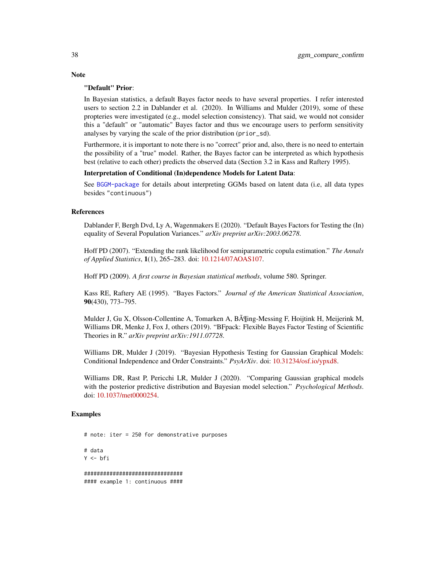### "Default" Prior:

In Bayesian statistics, a default Bayes factor needs to have several properties. I refer interested users to section 2.2 in Dablander et al. (2020). In Williams and Mulder (2019), some of these propteries were investigated (e.g., model selection consistency). That said, we would not consider this a "default" or "automatic" Bayes factor and thus we encourage users to perform sensitivity analyses by varying the scale of the prior distribution (prior\_sd).

Furthermore, it is important to note there is no "correct" prior and, also, there is no need to entertain the possibility of a "true" model. Rather, the Bayes factor can be interpreted as which hypothesis best (relative to each other) predicts the observed data (Section 3.2 in Kass and Raftery 1995).

## Interpretation of Conditional (In)dependence Models for Latent Data:

See [BGGM-package](#page-3-0) for details about interpreting GGMs based on latent data (i.e, all data types besides "continuous")

#### References

Dablander F, Bergh Dvd, Ly A, Wagenmakers E (2020). "Default Bayes Factors for Testing the (In) equality of Several Population Variances." *arXiv preprint arXiv:2003.06278*.

Hoff PD (2007). "Extending the rank likelihood for semiparametric copula estimation." *The Annals of Applied Statistics*, 1(1), 265–283. doi: [10.1214/07AOAS107.](https://doi.org/10.1214/07-AOAS107)

Hoff PD (2009). *A first course in Bayesian statistical methods*, volume 580. Springer.

Kass RE, Raftery AE (1995). "Bayes Factors." *Journal of the American Statistical Association*, 90(430), 773–795.

Mulder J, Gu X, Olsson-Collentine A, Tomarken A, B¶ing-Messing F, Hoijtink H, Meijerink M, Williams DR, Menke J, Fox J, others (2019). "BFpack: Flexible Bayes Factor Testing of Scientific Theories in R." *arXiv preprint arXiv:1911.07728*.

Williams DR, Mulder J (2019). "Bayesian Hypothesis Testing for Gaussian Graphical Models: Conditional Independence and Order Constraints." *PsyArXiv*. doi: [10.31234/osf.io/ypxd8.](https://doi.org/10.31234/osf.io/ypxd8)

Williams DR, Rast P, Pericchi LR, Mulder J (2020). "Comparing Gaussian graphical models with the posterior predictive distribution and Bayesian model selection." *Psychological Methods*. doi: [10.1037/met0000254.](https://doi.org/10.1037/met0000254)

### Examples

# note: iter = 250 for demonstrative purposes # data  $Y \leftarrow bfi$ ############################### #### example 1: continuous ####

**Note**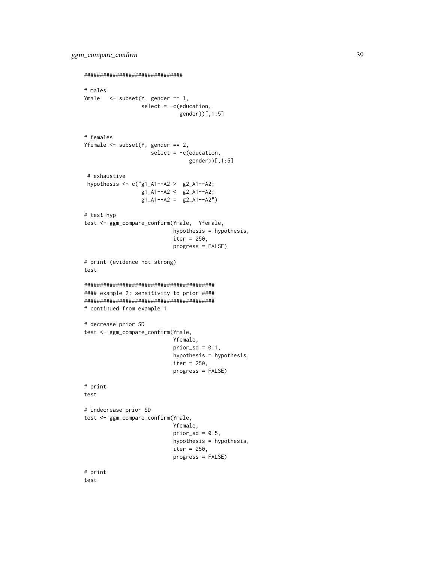```
###############################
# males
Ymale \leq subset(Y, gender == 1,
                  select = -c(education,
                              gender))[,1:5]
# females
Yfemale \leq subset(Y, gender == 2,
                     select = -c(education,
                                 gender))[,1:5]
 # exhaustive
 hypothesis <- c("g1_A1--A2 > g2_A1--A2;
                  g1_A1--A2 < g2_A1--A2;
                  g1_A1 - A2 = g2_A1 - A2"# test hyp
test <- ggm_compare_confirm(Ymale, Yfemale,
                            hypothesis = hypothesis,
                            iter = 250,
                            progress = FALSE)
# print (evidence not strong)
test
#########################################
#### example 2: sensitivity to prior ####
#########################################
# continued from example 1
# decrease prior SD
test <- ggm_compare_confirm(Ymale,
                            Yfemale,
                            prior_s d = 0.1,
                            hypothesis = hypothesis,
                            iter = 250,
                            progress = FALSE)
# print
test
# indecrease prior SD
test <- ggm_compare_confirm(Ymale,
                            Yfemale,
                            prior_sd = 0.5,
                            hypothesis = hypothesis,
                            iter = 250,
                            progress = FALSE)
# print
```
test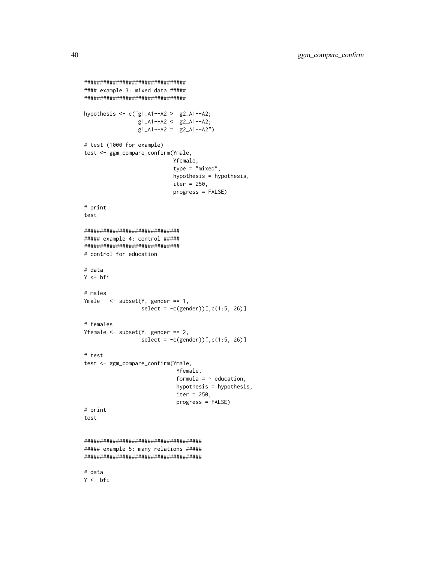```
################################
#### example 3: mixed data #####
################################
hypothesis <- c("g1_A1--A2 > g2_A1--A2;
                 g1_A1 - A2 < g2_A1 - A2;g1_A1 - A2 = g2_A1 - A2")# test (1000 for example)
test <- ggm_compare_confirm(Ymale,
                            Yfemale,
                            type = "mixed",
                            hypothesis = hypothesis,
                            iter = 250,
                            progress = FALSE)
# print
test
##############################
##### example 4: control #####
##############################
# control for education
# data
Y <- bfi
# males
Ymale <- subset(Y, gender == 1,
                  select = -c(gender))[,c(1:5, 26)]# females
Yfemale <- subset(Y, gender == 2,
                  select = -c(gender))[c(1:5, 26)]# test
test <- ggm_compare_confirm(Ymale,
                             Yfemale,
                             formula = \sim education,
                             hypothesis = hypothesis,
                             iter = 250,
                             progress = FALSE)
# print
test
#####################################
##### example 5: many relations #####
#####################################
# data
Y <- bfi
```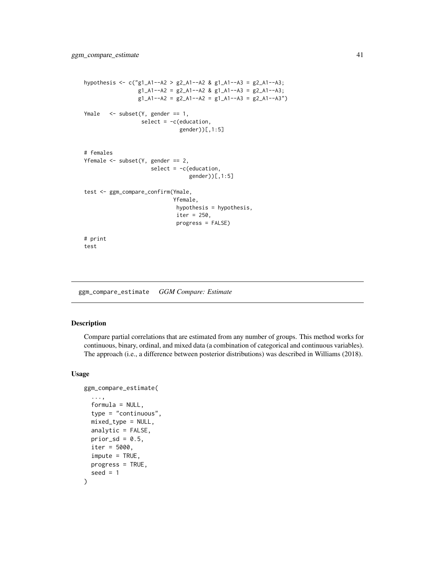```
hypothesis <- c("g1_A1--A2 > g2_A1--A2 & g1_A1--A3 = g2_A1--A3;
                 g1_A1 - A2 = g2_A1 - A2 & g1_A1 - A3 = g2_A1 - A3;
                 g1_A1 - A2 = g2_A1 - A2 = g1_A1 - A3 = g2_A1 - A3"Ymale <- subset(Y, gender == 1,
                  select = -c(education,
                              gender))[,1:5]
# females
Yfemale \leq subset(Y, gender == 2,
                     select = -c(education,
                                  gender))[,1:5]
test <- ggm_compare_confirm(Ymale,
                             Yfemale,
                             hypothesis = hypothesis,
                              iter = 250,
                             progress = FALSE)
# print
test
```
<span id="page-40-0"></span>ggm\_compare\_estimate *GGM Compare: Estimate*

### Description

Compare partial correlations that are estimated from any number of groups. This method works for continuous, binary, ordinal, and mixed data (a combination of categorical and continuous variables). The approach (i.e., a difference between posterior distributions) was described in Williams (2018).

#### Usage

```
ggm_compare_estimate(
  ...,
  formula = NULL,type = "continuous",
  mixed_type = NULL,
  analytic = FALSE,
  prior_sd = 0.5,
  iter = 5000,
  impute = TRUE,
  progress = TRUE,
  seed = 1)
```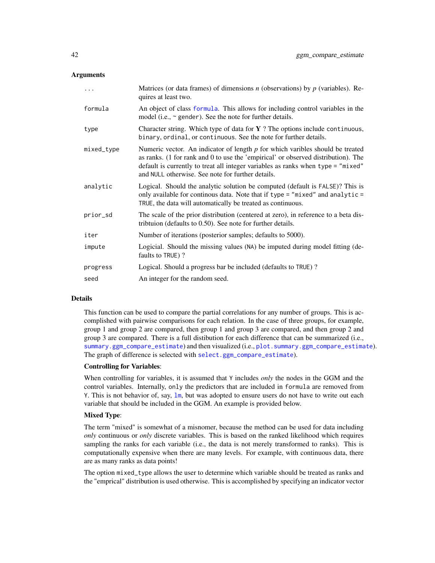### **Arguments**

| $\ddotsc$  | Matrices (or data frames) of dimensions $n$ (observations) by $p$ (variables). Re-<br>quires at least two.                                                                                                                                                                                                    |
|------------|---------------------------------------------------------------------------------------------------------------------------------------------------------------------------------------------------------------------------------------------------------------------------------------------------------------|
| formula    | An object of class formula. This allows for including control variables in the<br>model (i.e., $\sim$ gender). See the note for further details.                                                                                                                                                              |
| type       | Character string. Which type of data for $Y$ ? The options include continuous,<br>binary, ordinal, or continuous. See the note for further details.                                                                                                                                                           |
| mixed_type | Numeric vector. An indicator of length $p$ for which varibles should be treated<br>as ranks. (1 for rank and 0 to use the 'empirical' or observed distribution). The<br>default is currently to treat all integer variables as ranks when type = "mixed"<br>and NULL otherwise. See note for further details. |
| analytic   | Logical. Should the analytic solution be computed (default is FALSE)? This is<br>only available for continous data. Note that if type = "mixed" and analytic =<br>TRUE, the data will automatically be treated as continuous.                                                                                 |
| prior_sd   | The scale of the prior distribution (centered at zero), in reference to a beta dis-<br>tribution (defaults to 0.50). See note for further details.                                                                                                                                                            |
| iter       | Number of iterations (posterior samples; defaults to 5000).                                                                                                                                                                                                                                                   |
| impute     | Logicial. Should the missing values (NA) be imputed during model fitting (de-<br>faults to TRUE)?                                                                                                                                                                                                             |
| progress   | Logical. Should a progress bar be included (defaults to TRUE)?                                                                                                                                                                                                                                                |
| seed       | An integer for the random seed.                                                                                                                                                                                                                                                                               |

### Details

This function can be used to compare the partial correlations for any number of groups. This is accomplished with pairwise comparisons for each relation. In the case of three groups, for example, group 1 and group 2 are compared, then group 1 and group 3 are compared, and then group 2 and group 3 are compared. There is a full distibution for each difference that can be summarized (i.e., [summary.ggm\\_compare\\_estimate](#page-107-0)) and then visualized (i.e., [plot.summary.ggm\\_compare\\_estimate](#page-72-0)). The graph of difference is selected with [select.ggm\\_compare\\_estimate](#page-101-0)).

#### Controlling for Variables:

When controlling for variables, it is assumed that Y includes *only* the nodes in the GGM and the control variables. Internally, only the predictors that are included in formula are removed from Y. This is not behavior of, say,  $\text{lm}$  $\text{lm}$  $\text{lm}$ , but was adopted to ensure users do not have to write out each variable that should be included in the GGM. An example is provided below.

### Mixed Type:

The term "mixed" is somewhat of a misnomer, because the method can be used for data including *only* continuous or *only* discrete variables. This is based on the ranked likelihood which requires sampling the ranks for each variable (i.e., the data is not merely transformed to ranks). This is computationally expensive when there are many levels. For example, with continuous data, there are as many ranks as data points!

The option mixed\_type allows the user to determine which variable should be treated as ranks and the "emprical" distribution is used otherwise. This is accomplished by specifying an indicator vector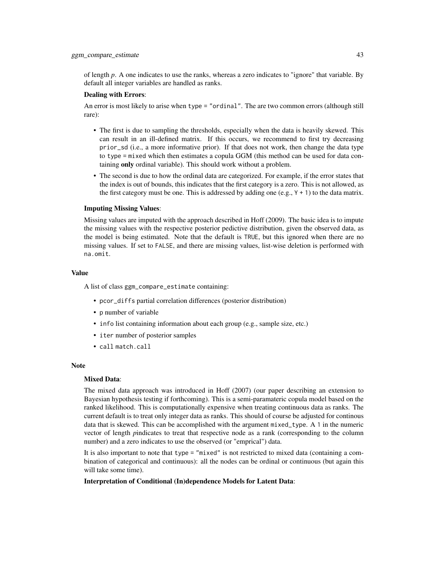of length *p*. A one indicates to use the ranks, whereas a zero indicates to "ignore" that variable. By default all integer variables are handled as ranks.

### Dealing with Errors:

An error is most likely to arise when type = "ordinal". The are two common errors (although still rare):

- The first is due to sampling the thresholds, especially when the data is heavily skewed. This can result in an ill-defined matrix. If this occurs, we recommend to first try decreasing prior\_sd (i.e., a more informative prior). If that does not work, then change the data type to type = mixed which then estimates a copula GGM (this method can be used for data containing only ordinal variable). This should work without a problem.
- The second is due to how the ordinal data are categorized. For example, if the error states that the index is out of bounds, this indicates that the first category is a zero. This is not allowed, as the first category must be one. This is addressed by adding one (e.g.,  $Y + 1$ ) to the data matrix.

#### Imputing Missing Values:

Missing values are imputed with the approach described in Hoff (2009). The basic idea is to impute the missing values with the respective posterior pedictive distribution, given the observed data, as the model is being estimated. Note that the default is TRUE, but this ignored when there are no missing values. If set to FALSE, and there are missing values, list-wise deletion is performed with na.omit.

### Value

A list of class ggm\_compare\_estimate containing:

- pcor\_diffs partial correlation differences (posterior distribution)
- p number of variable
- info list containing information about each group (e.g., sample size, etc.)
- iter number of posterior samples
- call match.call

### Note

### Mixed Data:

The mixed data approach was introduced in Hoff (2007) (our paper describing an extension to Bayesian hypothesis testing if forthcoming). This is a semi-paramateric copula model based on the ranked likelihood. This is computationally expensive when treating continuous data as ranks. The current default is to treat only integer data as ranks. This should of course be adjusted for continous data that is skewed. This can be accomplished with the argument mixed\_type. A 1 in the numeric vector of length *p*indicates to treat that respective node as a rank (corresponding to the column number) and a zero indicates to use the observed (or "emprical") data.

It is also important to note that type  $=$  "mixed" is not restricted to mixed data (containing a combination of categorical and continuous): all the nodes can be ordinal or continuous (but again this will take some time).

### Interpretation of Conditional (In)dependence Models for Latent Data: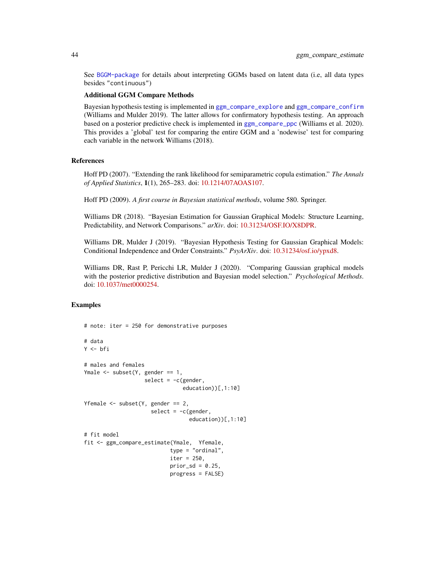See [BGGM-package](#page-3-0) for details about interpreting GGMs based on latent data (i.e, all data types besides "continuous")

### Additional GGM Compare Methods

Bayesian hypothesis testing is implemented in [ggm\\_compare\\_explore](#page-44-0) and [ggm\\_compare\\_confirm](#page-34-0) (Williams and Mulder 2019). The latter allows for confirmatory hypothesis testing. An approach based on a posterior predictive check is implemented in [ggm\\_compare\\_ppc](#page-47-0) (Williams et al. 2020). This provides a 'global' test for comparing the entire GGM and a 'nodewise' test for comparing each variable in the network Williams (2018).

### References

Hoff PD (2007). "Extending the rank likelihood for semiparametric copula estimation." *The Annals of Applied Statistics*, 1(1), 265–283. doi: [10.1214/07AOAS107.](https://doi.org/10.1214/07-AOAS107)

Hoff PD (2009). *A first course in Bayesian statistical methods*, volume 580. Springer.

Williams DR (2018). "Bayesian Estimation for Gaussian Graphical Models: Structure Learning, Predictability, and Network Comparisons." *arXiv*. doi: [10.31234/OSF.IO/X8DPR.](https://doi.org/10.31234/OSF.IO/X8DPR)

Williams DR, Mulder J (2019). "Bayesian Hypothesis Testing for Gaussian Graphical Models: Conditional Independence and Order Constraints." *PsyArXiv*. doi: [10.31234/osf.io/ypxd8.](https://doi.org/10.31234/osf.io/ypxd8)

Williams DR, Rast P, Pericchi LR, Mulder J (2020). "Comparing Gaussian graphical models with the posterior predictive distribution and Bayesian model selection." *Psychological Methods*. doi: [10.1037/met0000254.](https://doi.org/10.1037/met0000254)

# Examples

```
# note: iter = 250 for demonstrative purposes
# data
Y <- bfi
# males and females
Ymale \leq subset(Y, gender == 1,
                   select = -c(gender,education))[,1:10]
Yfemale \leq subset(Y, gender == 2,
                     select = -c(gender,
                                 education))[,1:10]
# fit model
fit <- ggm_compare_estimate(Ymale, Yfemale,
                           type = "ordinal",
                           iter = 250,
                           prior\_sd = 0.25,
                           progress = FALSE)
```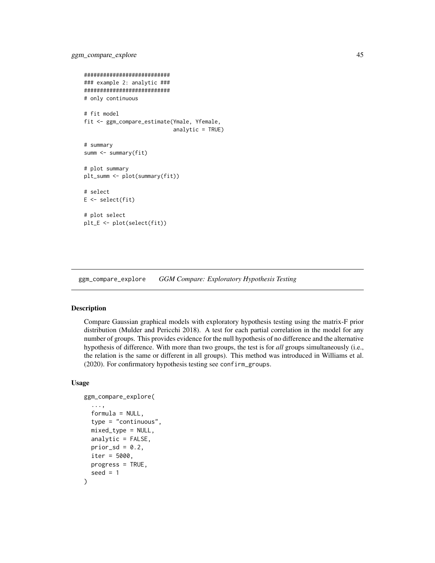```
###########################
### example 2: analytic ###
###########################
# only continuous
# fit model
fit <- ggm_compare_estimate(Ymale, Yfemale,
                             analytic = TRUE)
# summary
summ <- summary(fit)
# plot summary
plt_summ <- plot(summary(fit))
# select
E \leftarrow select(fit)# plot select
plt_E <- plot(select(fit))
```
<span id="page-44-0"></span>ggm\_compare\_explore *GGM Compare: Exploratory Hypothesis Testing*

## Description

Compare Gaussian graphical models with exploratory hypothesis testing using the matrix-F prior distribution (Mulder and Pericchi 2018). A test for each partial correlation in the model for any number of groups. This provides evidence for the null hypothesis of no difference and the alternative hypothesis of difference. With more than two groups, the test is for *all* groups simultaneously (i.e., the relation is the same or different in all groups). This method was introduced in Williams et al. (2020). For confirmatory hypothesis testing see confirm\_groups.

### Usage

```
ggm_compare_explore(
  ...,
  formula = NULL,type = "continuous",
 mixed_type = NULL,
  analytic = FALSE,prior_sd = 0.2,
  iter = 5000.
 progress = TRUE,
  seed = 1)
```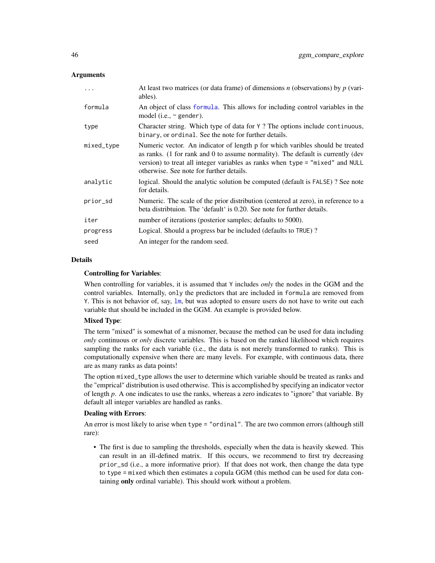### **Arguments**

| .          | At least two matrices (or data frame) of dimensions $n$ (observations) by $p$ (vari-<br>ables).                                                                                                                                                                                               |
|------------|-----------------------------------------------------------------------------------------------------------------------------------------------------------------------------------------------------------------------------------------------------------------------------------------------|
| formula    | An object of class formula. This allows for including control variables in the<br>model (i.e., $\sim$ gender).                                                                                                                                                                                |
| type       | Character string. Which type of data for Y ? The options include continuous,<br>binary, or ordinal. See the note for further details.                                                                                                                                                         |
| mixed_type | Numeric vector. An indicator of length p for which varibles should be treated<br>as ranks. (1 for rank and 0 to assume normality). The default is currently (dev<br>version) to treat all integer variables as ranks when type = "mixed" and NULL<br>otherwise. See note for further details. |
| analytic   | logical. Should the analytic solution be computed (default is FALSE)? See note<br>for details.                                                                                                                                                                                                |
| prior_sd   | Numeric. The scale of the prior distribution (centered at zero), in reference to a<br>beta distribution. The 'default' is 0.20. See note for further details.                                                                                                                                 |
| iter       | number of iterations (posterior samples; defaults to 5000).                                                                                                                                                                                                                                   |
| progress   | Logical. Should a progress bar be included (defaults to TRUE)?                                                                                                                                                                                                                                |
| seed       | An integer for the random seed.                                                                                                                                                                                                                                                               |

### **Details**

### Controlling for Variables:

When controlling for variables, it is assumed that Y includes *only* the nodes in the GGM and the control variables. Internally, only the predictors that are included in formula are removed from Y. This is not behavior of, say, [lm](#page-0-0), but was adopted to ensure users do not have to write out each variable that should be included in the GGM. An example is provided below.

# Mixed Type:

The term "mixed" is somewhat of a misnomer, because the method can be used for data including *only* continuous or *only* discrete variables. This is based on the ranked likelihood which requires sampling the ranks for each variable (i.e., the data is not merely transformed to ranks). This is computationally expensive when there are many levels. For example, with continuous data, there are as many ranks as data points!

The option mixed\_type allows the user to determine which variable should be treated as ranks and the "emprical" distribution is used otherwise. This is accomplished by specifying an indicator vector of length *p*. A one indicates to use the ranks, whereas a zero indicates to "ignore" that variable. By default all integer variables are handled as ranks.

### Dealing with Errors:

An error is most likely to arise when type = "ordinal". The are two common errors (although still rare):

• The first is due to sampling the thresholds, especially when the data is heavily skewed. This can result in an ill-defined matrix. If this occurs, we recommend to first try decreasing prior\_sd (i.e., a more informative prior). If that does not work, then change the data type to type = mixed which then estimates a copula GGM (this method can be used for data containing only ordinal variable). This should work without a problem.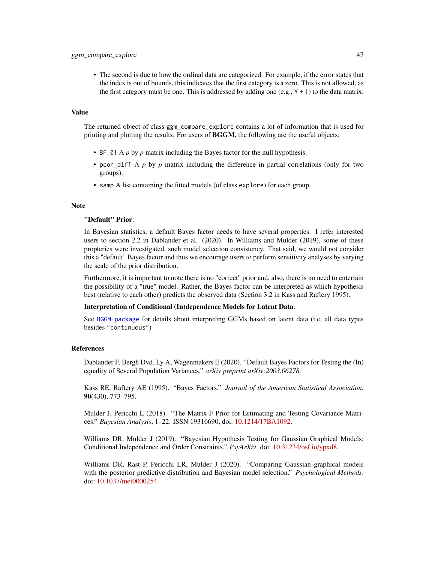• The second is due to how the ordinal data are categorized. For example, if the error states that the index is out of bounds, this indicates that the first category is a zero. This is not allowed, as the first category must be one. This is addressed by adding one (e.g.,  $Y + 1$ ) to the data matrix.

### Value

The returned object of class ggm\_compare\_explore contains a lot of information that is used for printing and plotting the results. For users of **BGGM**, the following are the useful objects:

- BF\_01 A *p* by *p* matrix including the Bayes factor for the null hypothesis.
- pcor\_diff A *p* by *p* matrix including the difference in partial correlations (only for two groups).
- samp A list containing the fitted models (of class explore) for each group.

#### Note

#### "Default" Prior:

In Bayesian statistics, a default Bayes factor needs to have several properties. I refer interested users to section 2.2 in Dablander et al. (2020). In Williams and Mulder (2019), some of these propteries were investigated, such model selection consistency. That said, we would not consider this a "default" Bayes factor and thus we encourage users to perform sensitivity analyses by varying the scale of the prior distribution.

Furthermore, it is important to note there is no "correct" prior and, also, there is no need to entertain the possibility of a "true" model. Rather, the Bayes factor can be interpreted as which hypothesis best (relative to each other) predicts the observed data (Section 3.2 in Kass and Raftery 1995).

### Interpretation of Conditional (In)dependence Models for Latent Data:

See [BGGM-package](#page-3-0) for details about interpreting GGMs based on latent data (i.e, all data types besides "continuous")

### References

Dablander F, Bergh Dvd, Ly A, Wagenmakers E (2020). "Default Bayes Factors for Testing the (In) equality of Several Population Variances." *arXiv preprint arXiv:2003.06278*.

Kass RE, Raftery AE (1995). "Bayes Factors." *Journal of the American Statistical Association*, 90(430), 773–795.

Mulder J, Pericchi L (2018). "The Matrix-F Prior for Estimating and Testing Covariance Matrices." *Bayesian Analysis*, 1–22. ISSN 19316690, doi: [10.1214/17BA1092.](https://doi.org/10.1214/17-BA1092)

Williams DR, Mulder J (2019). "Bayesian Hypothesis Testing for Gaussian Graphical Models: Conditional Independence and Order Constraints." *PsyArXiv*. doi: [10.31234/osf.io/ypxd8.](https://doi.org/10.31234/osf.io/ypxd8)

Williams DR, Rast P, Pericchi LR, Mulder J (2020). "Comparing Gaussian graphical models with the posterior predictive distribution and Bayesian model selection." *Psychological Methods*. doi: [10.1037/met0000254.](https://doi.org/10.1037/met0000254)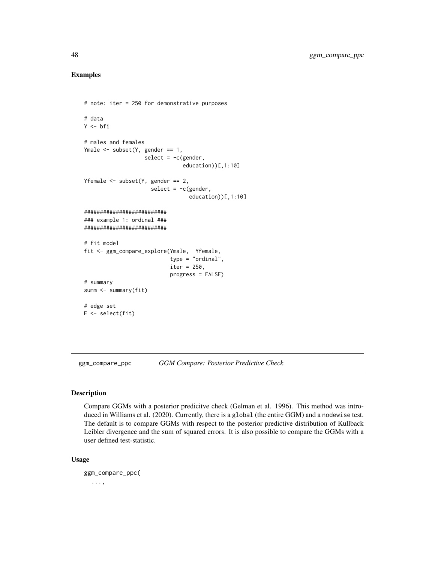### Examples

```
# note: iter = 250 for demonstrative purposes
# data
Y \leftarrow bfi# males and females
Ymale \leq subset(Y, gender == 1,
                   select = -c(gender,
                                education))[,1:10]
Yfemale \leq subset(Y, gender == 2,
                      select = -c(gender,education))[,1:10]
##########################
### example 1: ordinal ###
##########################
# fit model
fit <- ggm_compare_explore(Ymale, Yfemale,
                            type = "ordinal",
                            iter = 250,
                            progress = FALSE)
# summary
summ <- summary(fit)
# edge set
E \leftarrow select(fit)
```
<span id="page-47-0"></span>ggm\_compare\_ppc *GGM Compare: Posterior Predictive Check*

# Description

Compare GGMs with a posterior predicitve check (Gelman et al. 1996). This method was introduced in Williams et al. (2020). Currently, there is a global (the entire GGM) and a nodewise test. The default is to compare GGMs with respect to the posterior predictive distribution of Kullback Leibler divergence and the sum of squared errors. It is also possible to compare the GGMs with a user defined test-statistic.

#### Usage

```
ggm_compare_ppc(
  ...,
```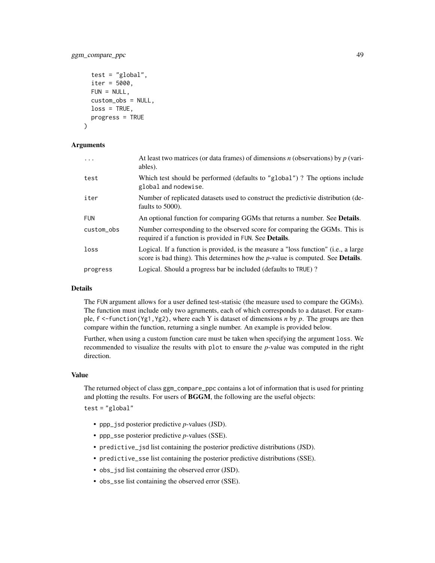# ggm\_compare\_ppc 49

```
test = "global",iter = 5000,
FUN = NULL,custom_obs = NULL,
loss = TRUE,
progress = TRUE
```
### Arguments

)

| $\ddots$   | At least two matrices (or data frames) of dimensions $n$ (observations) by $p$ (vari-<br>ables).                                                                                 |
|------------|----------------------------------------------------------------------------------------------------------------------------------------------------------------------------------|
| test       | Which test should be performed (defaults to "global")? The options include<br>global and nodewise.                                                                               |
| iter       | Number of replicated datasets used to construct the predictivie distribution (de-<br>faults to 5000).                                                                            |
| <b>FUN</b> | An optional function for comparing GGMs that returns a number. See <b>Details</b> .                                                                                              |
| custom_obs | Number corresponding to the observed score for comparing the GGMs. This is<br>required if a function is provided in FUN. See <b>Details</b> .                                    |
| loss       | Logical. If a function is provided, is the measure a "loss function" (i.e., a large<br>score is bad thing). This determines how the $p$ -value is computed. See <b>Details</b> . |
| progress   | Logical. Should a progress bar be included (defaults to TRUE)?                                                                                                                   |

### Details

The FUN argument allows for a user defined test-statisic (the measure used to compare the GGMs). The function must include only two agruments, each of which corresponds to a dataset. For example, f <-function(Yg1,Yg2), where each Y is dataset of dimensions *n* by *p*. The groups are then compare within the function, returning a single number. An example is provided below.

Further, when using a custom function care must be taken when specifying the argument loss. We recommended to visualize the results with plot to ensure the *p*-value was computed in the right direction.

## Value

The returned object of class ggm\_compare\_ppc contains a lot of information that is used for printing and plotting the results. For users of BGGM, the following are the useful objects:

 $test = "global"$ 

- ppp\_jsd posterior predictive *p*-values (JSD).
- ppp\_sse posterior predictive *p*-values (SSE).
- predictive\_jsd list containing the posterior predictive distributions (JSD).
- predictive\_sse list containing the posterior predictive distributions (SSE).
- obs\_jsd list containing the observed error (JSD).
- obs\_sse list containing the observed error (SSE).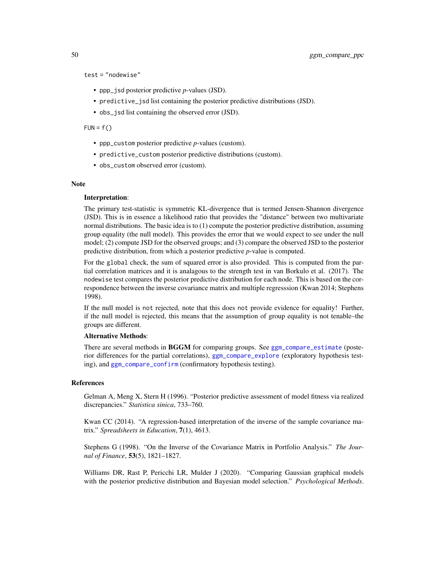test = "nodewise"

- ppp\_jsd posterior predictive *p*-values (JSD).
- predictive\_jsd list containing the posterior predictive distributions (JSD).
- obs\_jsd list containing the observed error (JSD).

 $FUN = f()$ 

- ppp\_custom posterior predictive *p*-values (custom).
- predictive\_custom posterior predictive distributions (custom).
- obs\_custom observed error (custom).

### Note

#### Interpretation:

The primary test-statistic is symmetric KL-divergence that is termed Jensen-Shannon divergence (JSD). This is in essence a likelihood ratio that provides the "distance" between two multivariate normal distributions. The basic idea is to (1) compute the posterior predictive distribution, assuming group equality (the null model). This provides the error that we would expect to see under the null model; (2) compute JSD for the observed groups; and (3) compare the observed JSD to the posterior predictive distribution, from which a posterior predictive *p*-value is computed.

For the global check, the sum of squared error is also provided. This is computed from the partial correlation matrices and it is analagous to the strength test in van Borkulo et al. (2017). The nodewise test compares the posterior predictive distribution for each node. This is based on the correspondence between the inverse covariance matrix and multiple regresssion (Kwan 2014; Stephens 1998).

If the null model is not rejected, note that this does not provide evidence for equality! Further, if the null model is rejected, this means that the assumption of group equality is not tenable–the groups are different.

### Alternative Methods:

There are several methods in BGGM for comparing groups. See [ggm\\_compare\\_estimate](#page-40-0) (posterior differences for the partial correlations), [ggm\\_compare\\_explore](#page-44-0) (exploratory hypothesis testing), and [ggm\\_compare\\_confirm](#page-34-0) (confirmatory hypothesis testing).

# References

Gelman A, Meng X, Stern H (1996). "Posterior predictive assessment of model fitness via realized discrepancies." *Statistica sinica*, 733–760.

Kwan CC (2014). "A regression-based interpretation of the inverse of the sample covariance matrix." *Spreadsheets in Education*, 7(1), 4613.

Stephens G (1998). "On the Inverse of the Covariance Matrix in Portfolio Analysis." *The Journal of Finance*, 53(5), 1821–1827.

Williams DR, Rast P, Pericchi LR, Mulder J (2020). "Comparing Gaussian graphical models with the posterior predictive distribution and Bayesian model selection." *Psychological Methods*.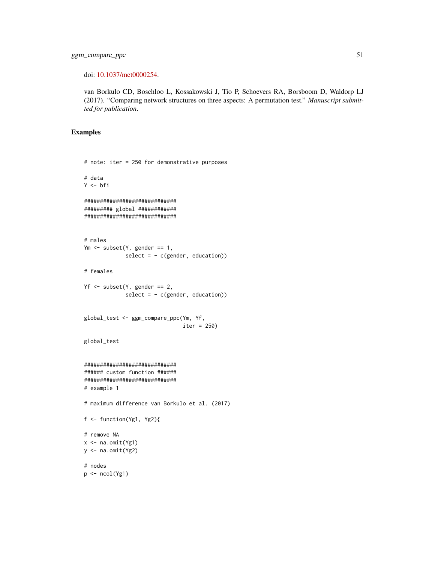doi: [10.1037/met0000254.](https://doi.org/10.1037/met0000254)

van Borkulo CD, Boschloo L, Kossakowski J, Tio P, Schoevers RA, Borsboom D, Waldorp LJ (2017). "Comparing network structures on three aspects: A permutation test." *Manuscript submitted for publication*.

### Examples

```
# note: iter = 250 for demonstrative purposes
# data
Y <- bfi
#############################
######### global ############
#############################
# males
Ym <- subset(Y, gender == 1,
              select = -c(gender, education)# females
Yf \leftarrow \text{subset}(Y, \text{gender} == 2,select = - c(gender, education))
global_test <- ggm_compare_ppc(Ym, Yf,
                                 iter = 250)
global_test
#############################
###### custom function ######
#############################
# example 1
# maximum difference van Borkulo et al. (2017)
f <- function(Yg1, Yg2){
# remove NA
x < -na.omit(Yg1)
y <- na.omit(Yg2)
# nodes
p \leftarrow \text{ncol}(Yg1)
```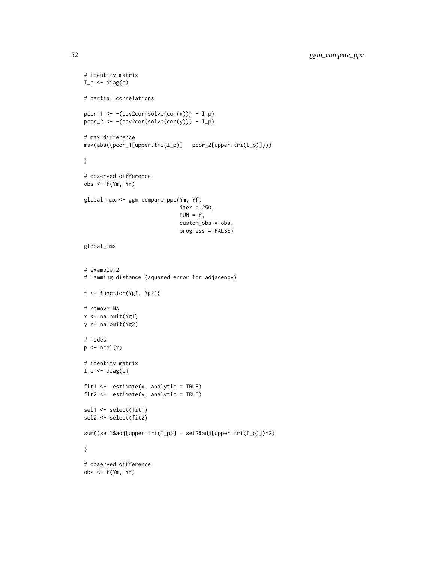```
# identity matrix
I_p \leftarrow diag(p)# partial correlations
pcor_1 \leftarrow -(cov2cor(solve(cor(x))) - I_p)pcor_2 <- -(cov2cor(solve(cor(y))) - I_p)# max difference
max(abs((pcor_1[upper.tri(I_p)] - pcor_2[upper.tri(I_p)])))}
# observed difference
obs <- f(Ym, Yf)
global_max <- ggm_compare_ppc(Ym, Yf,
                                iter = 250,
                                FUN = f,
                                custom_obs = obs,
                                progress = FALSE)
global_max
# example 2
# Hamming distance (squared error for adjacency)
f <- function(Yg1, Yg2){
# remove NA
x <- na.omit(Yg1)
y \leftarrow na.mit(Yg2)# nodes
p \leftarrow \text{ncol}(x)# identity matrix
I_p \leftarrow diag(p)fit1 \leq estimate(x, analytic = TRUE)
fit2 <- estimate(y, analytic = TRUE)
sel1 <- select(fit1)
sel2 <- select(fit2)
sum((sel1$adj[upper.tri(I_p)] - sel2$adj[upper.tri(I_p)])^2)
}
# observed difference
obs <- f(Ym, Yf)
```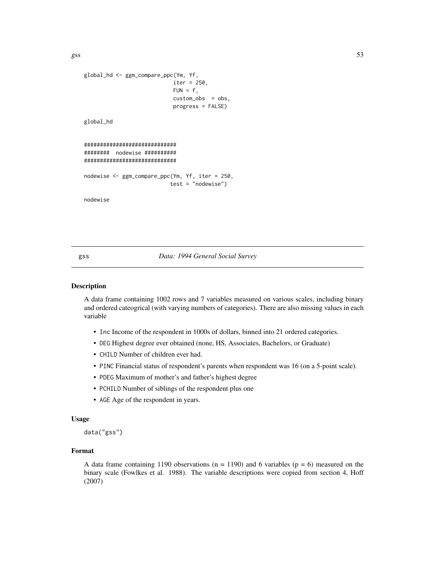$gss$  53

```
global_hd <- ggm_compare_ppc(Ym, Yf,
                            iter = 250,
                            FUN = f,
                            custom_obs = obs,
                            progress = FALSE)
global_hd
#############################
######## nodewise ##########
#############################
nodewise <- ggm_compare_ppc(Ym, Yf, iter = 250,
                           test = "nodewise")
nodewise
```
### gss *Data: 1994 General Social Survey*

### Description

A data frame containing 1002 rows and 7 variables measured on various scales, including binary and ordered cateogrical (with varying numbers of categories). There are also missing values in each variable

- Inc Income of the respondent in 1000s of dollars, binned into 21 ordered categories.
- DEG Highest degree ever obtained (none, HS, Associates, Bachelors, or Graduate)
- CHILD Number of children ever had.
- PINC Financial status of respondent's parents when respondent was 16 (on a 5-point scale).
- PDEG Maximum of mother's and father's highest degree
- PCHILD Number of siblings of the respondent plus one
- AGE Age of the respondent in years.

### Usage

data("gss")

### Format

A data frame containing 1190 observations ( $n = 1190$ ) and 6 variables ( $p = 6$ ) measured on the binary scale (Fowlkes et al. 1988). The variable descriptions were copied from section 4, Hoff (2007)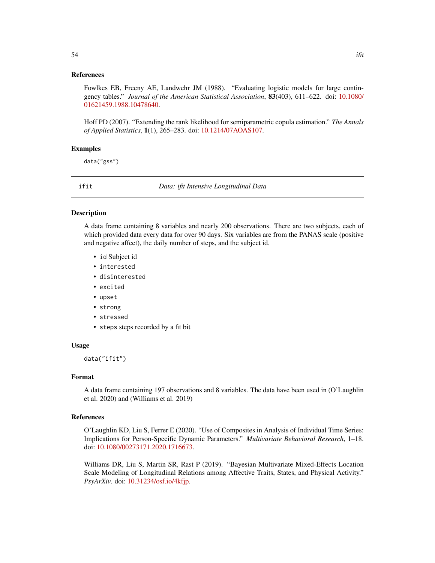Fowlkes EB, Freeny AE, Landwehr JM (1988). "Evaluating logistic models for large contingency tables." *Journal of the American Statistical Association*, 83(403), 611–622. doi: [10.1080/](https://doi.org/10.1080/01621459.1988.10478640) [01621459.1988.10478640.](https://doi.org/10.1080/01621459.1988.10478640)

Hoff PD (2007). "Extending the rank likelihood for semiparametric copula estimation." *The Annals of Applied Statistics*, 1(1), 265–283. doi: [10.1214/07AOAS107.](https://doi.org/10.1214/07-AOAS107)

### Examples

data("gss")

ifit *Data: ifit Intensive Longitudinal Data*

#### Description

A data frame containing 8 variables and nearly 200 observations. There are two subjects, each of which provided data every data for over 90 days. Six variables are from the PANAS scale (positive and negative affect), the daily number of steps, and the subject id.

- id Subject id
- interested
- disinterested
- excited
- upset
- strong
- stressed
- steps steps recorded by a fit bit

### Usage

data("ifit")

#### Format

A data frame containing 197 observations and 8 variables. The data have been used in (O'Laughlin et al. 2020) and (Williams et al. 2019)

### References

O'Laughlin KD, Liu S, Ferrer E (2020). "Use of Composites in Analysis of Individual Time Series: Implications for Person-Specific Dynamic Parameters." *Multivariate Behavioral Research*, 1–18. doi: [10.1080/00273171.2020.1716673.](https://doi.org/10.1080/00273171.2020.1716673)

Williams DR, Liu S, Martin SR, Rast P (2019). "Bayesian Multivariate Mixed-Effects Location Scale Modeling of Longitudinal Relations among Affective Traits, States, and Physical Activity." *PsyArXiv*. doi: [10.31234/osf.io/4kfjp.](https://doi.org/10.31234/osf.io/4kfjp)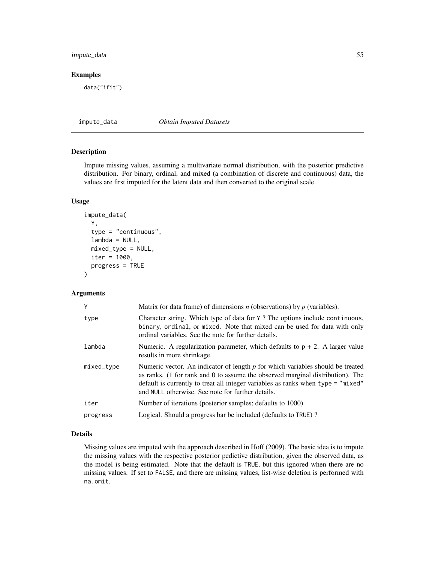# impute\_data 55

# Examples

data("ifit")

impute\_data *Obtain Imputed Datasets*

# Description

Impute missing values, assuming a multivariate normal distribution, with the posterior predictive distribution. For binary, ordinal, and mixed (a combination of discrete and continuous) data, the values are first imputed for the latent data and then converted to the original scale.

## Usage

```
impute_data(
  Y,
  type = "continuous",
  lambda = NULL,mixed_type = NULL,
  iter = 1000,
 progress = TRUE
)
```
# Arguments

| Y          | Matrix (or data frame) of dimensions $n$ (observations) by $p$ (variables).                                                                                                                                                                                                                                 |
|------------|-------------------------------------------------------------------------------------------------------------------------------------------------------------------------------------------------------------------------------------------------------------------------------------------------------------|
| type       | Character string. Which type of data for Y? The options include continuous,<br>binary, ordinal, or mixed. Note that mixed can be used for data with only<br>ordinal variables. See the note for further details.                                                                                            |
| lambda     | Numeric. A regularization parameter, which defaults to $p + 2$ . A larger value<br>results in more shrinkage.                                                                                                                                                                                               |
| mixed_type | Numeric vector. An indicator of length $p$ for which variables should be treated<br>as ranks. (1 for rank and 0 to assume the observed marginal distribution). The<br>default is currently to treat all integer variables as ranks when type = "mixed"<br>and NULL otherwise. See note for further details. |
| iter       | Number of iterations (posterior samples; defaults to 1000).                                                                                                                                                                                                                                                 |
| progress   | Logical. Should a progress bar be included (defaults to TRUE)?                                                                                                                                                                                                                                              |

### Details

Missing values are imputed with the approach described in Hoff (2009). The basic idea is to impute the missing values with the respective posterior pedictive distribution, given the observed data, as the model is being estimated. Note that the default is TRUE, but this ignored when there are no missing values. If set to FALSE, and there are missing values, list-wise deletion is performed with na.omit.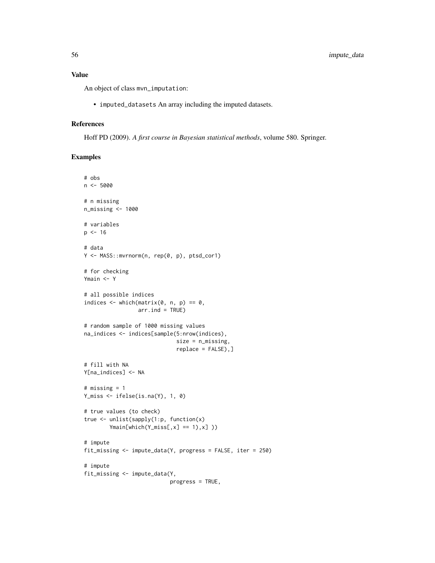An object of class mvn\_imputation:

• imputed\_datasets An array including the imputed datasets.

#### References

Hoff PD (2009). *A first course in Bayesian statistical methods*, volume 580. Springer.

#### Examples

```
# obs
n <- 5000
# n missing
n_missing <- 1000
# variables
p \le -16# data
Y <- MASS::mvrnorm(n, rep(0, p), ptsd_cor1)
# for checking
Ymain <- Y
# all possible indices
indices \leq which(matrix(0, n, p) == 0,
                 arr. ind = TRUE)
# random sample of 1000 missing values
na_indices <- indices[sample(5:nrow(indices),
                             size = n_missing,
                             replace = FALSE),]
# fill with NA
Y[na_indices] <- NA
# missing = 1
Y_miss <- ifelse(is.na(Y), 1, 0)
# true values (to check)
true <- unlist(sapply(1:p, function(x)
        Ymain[which(Y_miss[, x] == 1), x])
# impute
fit_missing <- impute_data(Y, progress = FALSE, iter = 250)
# impute
fit_missing <- impute_data(Y,
                           progress = TRUE,
```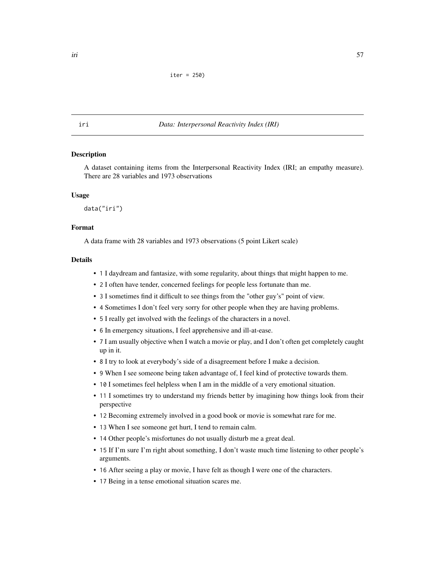```
iter = 250)
```
### iri *Data: Interpersonal Reactivity Index (IRI)*

## **Description**

A dataset containing items from the Interpersonal Reactivity Index (IRI; an empathy measure). There are 28 variables and 1973 observations

### Usage

data("iri")

# Format

A data frame with 28 variables and 1973 observations (5 point Likert scale)

## **Details**

- 1 I daydream and fantasize, with some regularity, about things that might happen to me.
- 2 I often have tender, concerned feelings for people less fortunate than me.
- 3 I sometimes find it difficult to see things from the "other guy's" point of view.
- 4 Sometimes I don't feel very sorry for other people when they are having problems.
- 5 I really get involved with the feelings of the characters in a novel.
- 6 In emergency situations, I feel apprehensive and ill-at-ease.
- 7 I am usually objective when I watch a movie or play, and I don't often get completely caught up in it.
- 8 I try to look at everybody's side of a disagreement before I make a decision.
- 9 When I see someone being taken advantage of, I feel kind of protective towards them.
- 10 I sometimes feel helpless when I am in the middle of a very emotional situation.
- 11 I sometimes try to understand my friends better by imagining how things look from their perspective
- 12 Becoming extremely involved in a good book or movie is somewhat rare for me.
- 13 When I see someone get hurt, I tend to remain calm.
- 14 Other people's misfortunes do not usually disturb me a great deal.
- 15 If I'm sure I'm right about something, I don't waste much time listening to other people's arguments.
- 16 After seeing a play or movie, I have felt as though I were one of the characters.
- 17 Being in a tense emotional situation scares me.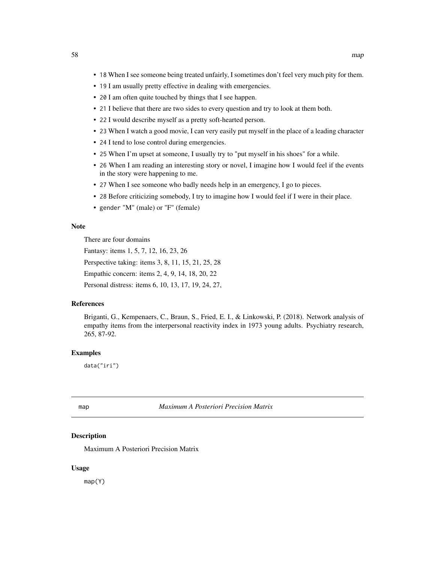- 18 When I see someone being treated unfairly, I sometimes don't feel very much pity for them.
- 19 I am usually pretty effective in dealing with emergencies.
- 20 I am often quite touched by things that I see happen.
- 21 I believe that there are two sides to every question and try to look at them both.
- 22 I would describe myself as a pretty soft-hearted person.
- 23 When I watch a good movie, I can very easily put myself in the place of a leading character
- 24 I tend to lose control during emergencies.
- 25 When I'm upset at someone, I usually try to "put myself in his shoes" for a while.
- 26 When I am reading an interesting story or novel, I imagine how I would feel if the events in the story were happening to me.
- 27 When I see someone who badly needs help in an emergency, I go to pieces.
- 28 Before criticizing somebody, I try to imagine how I would feel if I were in their place.
- gender "M" (male) or "F" (female)

## Note

There are four domains

Fantasy: items 1, 5, 7, 12, 16, 23, 26

Perspective taking: items 3, 8, 11, 15, 21, 25, 28

Empathic concern: items 2, 4, 9, 14, 18, 20, 22

Personal distress: items 6, 10, 13, 17, 19, 24, 27,

### References

Briganti, G., Kempenaers, C., Braun, S., Fried, E. I., & Linkowski, P. (2018). Network analysis of empathy items from the interpersonal reactivity index in 1973 young adults. Psychiatry research, 265, 87-92.

### Examples

data("iri")

map *Maximum A Posteriori Precision Matrix*

## Description

Maximum A Posteriori Precision Matrix

#### Usage

map(Y)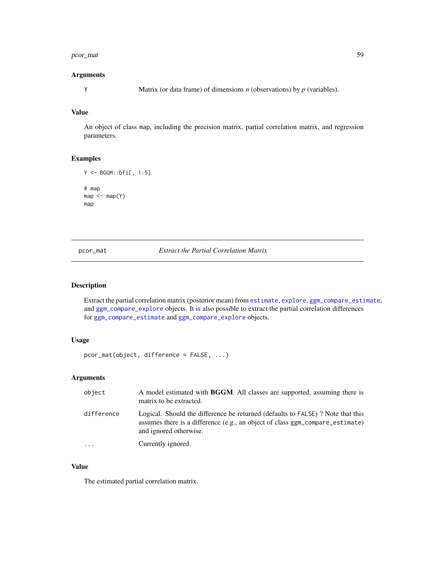#### pcor\_mat 59

### Arguments

Y Matrix (or data frame) of dimensions *n* (observations) by *p* (variables).

### Value

An object of class map, including the precision matrix, partial correlation matrix, and regression parameters.

# Examples

```
Y <- BGGM::bfi[, 1:5]
# map
map < -map(Y)map
```
pcor\_mat *Extract the Partial Correlation Matrix*

### Description

Extract the partial correlation matrix (posterior mean) from [estimate](#page-24-0), [explore](#page-28-0), [ggm\\_compare\\_estimate](#page-40-0), and [ggm\\_compare\\_explore](#page-44-0) objects. It is also possible to extract the partial correlation differences for [ggm\\_compare\\_estimate](#page-40-0) and [ggm\\_compare\\_explore](#page-44-0) objects.

# Usage

```
pcor_mat(object, difference = FALSE, ...)
```
# Arguments

| object     | A model estimated with BGGM. All classes are supported, assuming there is<br>matrix to be extracted.                                                                                      |
|------------|-------------------------------------------------------------------------------------------------------------------------------------------------------------------------------------------|
| difference | Logical. Should the difference be returned (defaults to FALSE)? Note that this<br>assumes there is a difference (e.g., an object of class ggm_compare_estimate)<br>and ignored otherwise. |
|            | Currently ignored.                                                                                                                                                                        |

### Value

The estimated partial correlation matrix.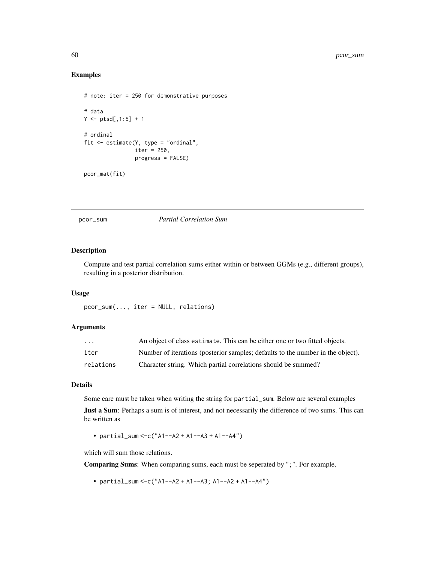# Examples

```
# note: iter = 250 for demonstrative purposes
# data
Y \leftarrow \text{ptsd[, 1:5} + 1# ordinal
fit <- estimate(Y, type = "ordinal",
                 iter = 250,
                 progress = FALSE)
pcor_mat(fit)
```
### pcor\_sum *Partial Correlation Sum*

## Description

Compute and test partial correlation sums either within or between GGMs (e.g., different groups), resulting in a posterior distribution.

### Usage

pcor\_sum(..., iter = NULL, relations)

### Arguments

| $\cdot$ $\cdot$ $\cdot$ | An object of class estimate. This can be either one or two fitted objects.      |
|-------------------------|---------------------------------------------------------------------------------|
| iter                    | Number of iterations (posterior samples; defaults to the number in the object). |
| relations               | Character string. Which partial correlations should be summed?                  |

### Details

Some care must be taken when writing the string for partial\_sum. Below are several examples

Just a Sum: Perhaps a sum is of interest, and not necessarily the difference of two sums. This can be written as

• partial\_sum <-c("A1--A2 + A1--A3 + A1--A4")

which will sum those relations.

Comparing Sums: When comparing sums, each must be seperated by ";". For example,

• partial\_sum <-c("A1--A2 + A1--A3; A1--A2 + A1--A4")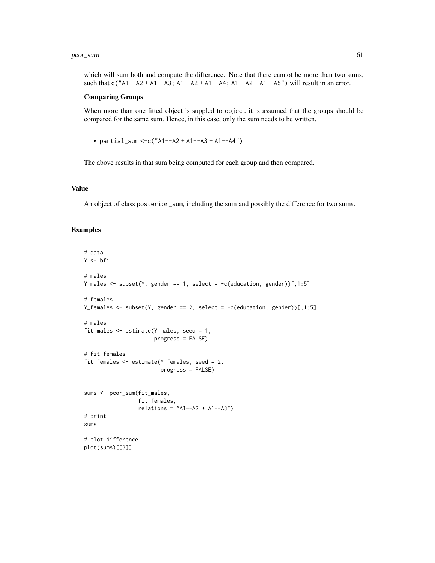#### pcor\_sum 61

which will sum both and compute the difference. Note that there cannot be more than two sums, such that  $c("A1--A2 + A1--A3; A1--A2 + A1--A4; A1--A2 + A1--A5")$  will result in an error.

#### Comparing Groups:

When more than one fitted object is suppled to object it is assumed that the groups should be compared for the same sum. Hence, in this case, only the sum needs to be written.

• partial\_sum <-c("A1--A2 + A1--A3 + A1--A4")

The above results in that sum being computed for each group and then compared.

## Value

An object of class posterior\_sum, including the sum and possibly the difference for two sums.

### Examples

```
# data
Y <- bfi
# males
Y_males <- subset(Y, gender == 1, select = -c(education, gender))[,1:5]
# females
Y_females <- subset(Y, gender == 2, select = -c(education, gender))[,1:5]
# males
fit_males <- estimate(Y_males, seed = 1,
                     progress = FALSE)
# fit females
fit_females <- estimate(Y_females, seed = 2,
                        progress = FALSE)
sums <- pcor_sum(fit_males,
                 fit_females,
                 relations = "A1--A2 + A1--A3")# print
sums
# plot difference
plot(sums)[[3]]
```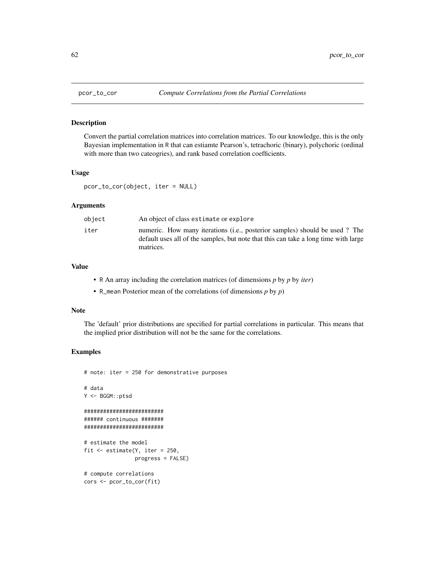### Description

Convert the partial correlation matrices into correlation matrices. To our knowledge, this is the only Bayesian implementation in R that can estiamte Pearson's, tetrachoric (binary), polychoric (ordinal with more than two cateogries), and rank based correlation coefficients.

### Usage

pcor\_to\_cor(object, iter = NULL)

### Arguments

| obiect | An object of class estimate or explore                                                                                                                                         |
|--------|--------------------------------------------------------------------------------------------------------------------------------------------------------------------------------|
| iter   | numeric. How many iterations (i.e., posterior samples) should be used? The<br>default uses all of the samples, but note that this can take a long time with large<br>matrices. |

## Value

- R An array including the correlation matrices (of dimensions *p* by *p* by *iter*)
- R\_mean Posterior mean of the correlations (of dimensions *p* by *p*)

#### Note

The 'default' prior distributions are specified for partial correlations in particular. This means that the implied prior distribution will not be the same for the correlations.

## Examples

```
# note: iter = 250 for demonstrative purposes
# data
Y <- BGGM::ptsd
#########################
###### continuous #######
#########################
# estimate the model
fit \leq estimate(Y, iter = 250,
               progress = FALSE)
# compute correlations
cors <- pcor_to_cor(fit)
```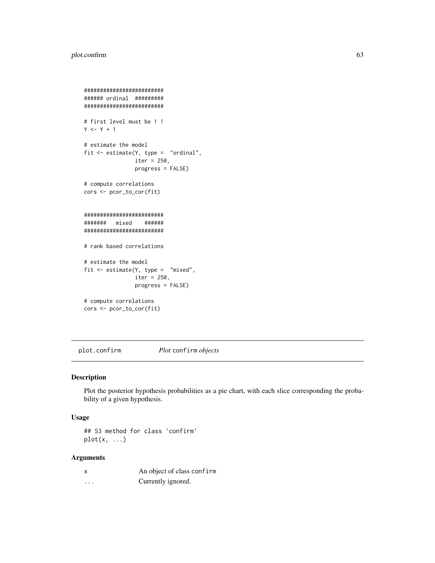# plot.confirm 63

```
#########################
###### ordinal #########
#########################
# first level must be 1 !
Y \le -Y + 1# estimate the model
fit <- estimate(Y, type = "ordinal",
               iter = 250,
                progress = FALSE)
# compute correlations
cors <- pcor_to_cor(fit)
#########################
####### mixed ######
#########################
# rank based correlations
# estimate the model
fit <- estimate(Y, type = "mixed",
               iter = 250,
               progress = FALSE)
# compute correlations
cors <- pcor_to_cor(fit)
```
plot.confirm *Plot* confirm *objects*

### Description

Plot the posterior hypothesis probabilities as a pie chart, with each slice corresponding the probability of a given hypothesis.

### Usage

## S3 method for class 'confirm'  $plot(x, \ldots)$ 

# Arguments

|   | An object of class confirm |
|---|----------------------------|
| . | Currently ignored.         |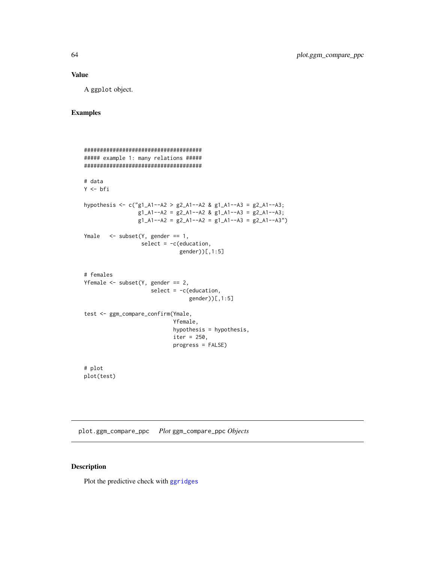# Value

A ggplot object.

## Examples

```
#####################################
##### example 1: many relations #####
#####################################
# data
Y <- bfi
hypothesis <- c("g1_A1--A2 > g2_A1--A2 & g1_A1--A3 = g2_A1--A3;
                 g1_A1 - A2 = g2_A1 - A2 & g1_A1 - A3 = g2_A1 - A3;
                 g1_A1 - A2 = g2_A1 - A2 = g1_A1 - A3 = g2_A1 - A3")Ymale \leq subset(Y, gender == 1,
                  select = -c(education,
                              gender))[,1:5]
# females
Yfemale \leq subset(Y, gender == 2,
                     select = -c(education,
                                  gender))[,1:5]
test <- ggm_compare_confirm(Ymale,
                            Yfemale,
                            hypothesis = hypothesis,
                            iter = 250,
                            progress = FALSE)
# plot
```
plot(test)

plot.ggm\_compare\_ppc *Plot* ggm\_compare\_ppc *Objects*

## Description

Plot the predictive check with [ggridges](#page-0-0)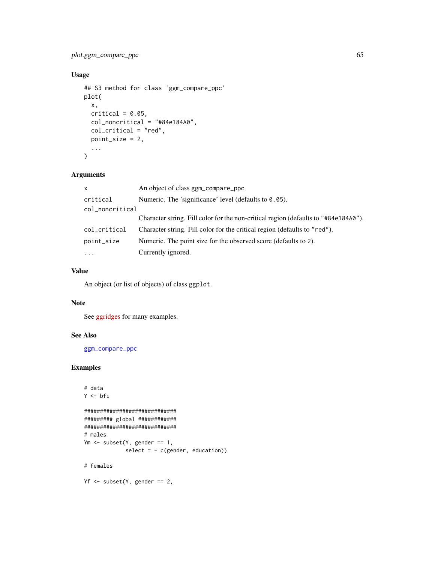# plot.ggm\_compare\_ppc 65

# Usage

```
## S3 method for class 'ggm_compare_ppc'
plot(
  x,
  critical = 0.05,col_noncritical = "#84e184A0",
  col_critical = "red",
  point_size = 2,
  ...
\mathcal{L}
```
# Arguments

| An object of class ggm_compare_ppc                                                  |  |
|-------------------------------------------------------------------------------------|--|
| Numeric. The 'significance' level (defaults to $0.05$ ).                            |  |
| col_noncritical                                                                     |  |
| Character string. Fill color for the non-critical region (defaults to "#84e184A0"). |  |
| Character string. Fill color for the critical region (defaults to "red").           |  |
| Numeric. The point size for the observed score (defaults to 2).                     |  |
| Currently ignored.                                                                  |  |
|                                                                                     |  |

# Value

An object (or list of objects) of class ggplot.

### Note

See [ggridges](https://CRAN.R-project.org/package=ggridges/vignettes/introduction.html) for many examples.

## See Also

[ggm\\_compare\\_ppc](#page-47-0)

# Examples

```
# data
Y <- bfi
#############################
######### global ############
#############################
# males
Ym \leq subset(Y, gender == 1,
             select = - c(gender, education))
# females
```
 $Yf \leftarrow \text{subset}(Y, \text{ gender} == 2,$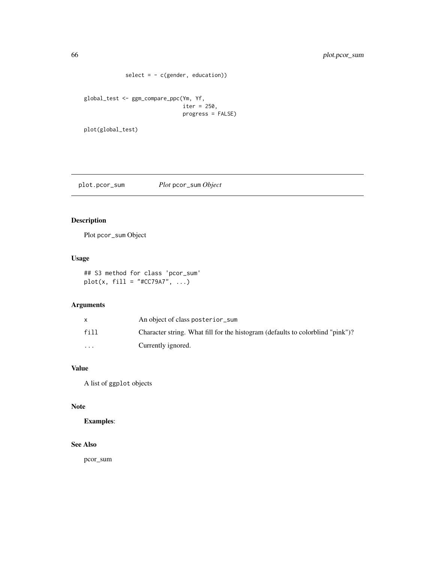```
select = - c(gender, education))
global_test <- ggm_compare_ppc(Ym, Yf,
```

```
iter = 250,
program = fALSE)
```
plot(global\_test)

plot.pcor\_sum *Plot* pcor\_sum *Object*

# Description

Plot pcor\_sum Object

# Usage

```
## S3 method for class 'pcor_sum'
plot(x, fill = "#CC79A7", ...)
```
# Arguments

|                         | An object of class posterior_sum                                               |
|-------------------------|--------------------------------------------------------------------------------|
| fill                    | Character string. What fill for the histogram (defaults to colorblind "pink")? |
| $\cdot$ $\cdot$ $\cdot$ | Currently ignored.                                                             |

# Value

A list of ggplot objects

# Note

Examples:

### See Also

pcor\_sum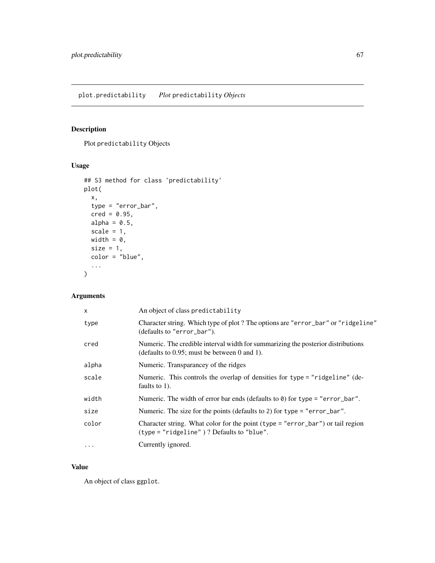# Description

Plot predictability Objects

# Usage

```
## S3 method for class 'predictability'
plot(
  x,
  type = "error_bar",
 \text{cred} = 0.95,alpha = 0.5,
 scale = 1,
 width = \theta,
 size = 1,
 color = "blue",
  ...
)
```
# Arguments

| X        | An object of class predictability                                                                                                   |
|----------|-------------------------------------------------------------------------------------------------------------------------------------|
| type     | Character string. Which type of plot? The options are "error_bar" or "ridgeline"<br>(defaults to "error_bar").                      |
| cred     | Numeric. The credible interval width for summarizing the posterior distributions<br>(defaults to $0.95$ ; must be between 0 and 1). |
| alpha    | Numeric. Transparancey of the ridges                                                                                                |
| scale    | Numeric. This controls the overlap of densities for type = "ridgeline" (de-<br>faults to $1$ ).                                     |
| width    | Numeric. The width of error bar ends (defaults to $\theta$ ) for type = "error_bar".                                                |
| size     | Numeric. The size for the points (defaults to 2) for type = "error_bar".                                                            |
| color    | Character string. What color for the point (type = "error_bar") or tail region<br>$(type = "ridgeline")$ ? Defaults to "blue".      |
| $\cdots$ | Currently ignored.                                                                                                                  |

# Value

An object of class ggplot.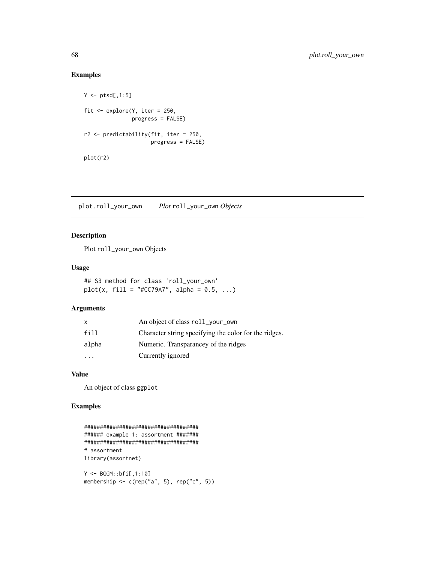# Examples

```
Y \leftarrow \text{ptsd[, 1:5}fit \leq explore(Y, iter = 250,
                 progress = FALSE)
r2 <- predictability(fit, iter = 250,
                       progress = FALSE)
plot(r2)
```
plot.roll\_your\_own *Plot* roll\_your\_own *Objects*

# Description

Plot roll\_your\_own Objects

### Usage

## S3 method for class 'roll\_your\_own'  $plot(x, fill = "#CC79A7", alpha = 0.5, ...)$ 

# Arguments

| x     | An object of class roll_your_own                      |
|-------|-------------------------------------------------------|
| fill  | Character string specifying the color for the ridges. |
| alpha | Numeric. Transparancey of the ridges                  |
|       | Currently ignored                                     |

# Value

An object of class ggplot

# Examples

```
####################################
###### example 1: assortment #######
####################################
# assortment
library(assortnet)
Y <- BGGM::bfi[,1:10]
```
membership  $\leq$  c(rep("a", 5), rep("c", 5))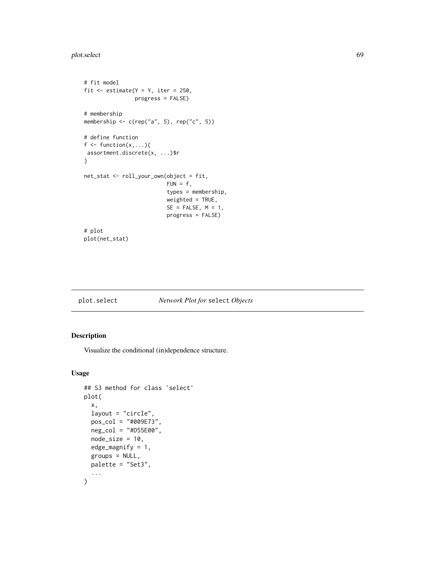# plot.select 69

```
# fit model
fit \le estimate(Y = Y, iter = 250,
                progress = FALSE)
# membership
membership \leq c(rep("a", 5), rep("c", 5))
# define function
f \leftarrow function(x, \ldots)assortment.discrete(x, ...)$r
}
net_stat <- roll_your_own(object = fit,
                           FUN = f,
                           types = membership,
                           weighted = TRUE,
                           SE = FALSE, M = 1,progress = FALSE)
# plot
plot(net_stat)
```

| plot.select |                                 |  |
|-------------|---------------------------------|--|
|             | Network Plot for select Objects |  |

# Description

Visualize the conditional (in)dependence structure.

### Usage

```
## S3 method for class 'select'
plot(
  x,
  layout = "circle",
  pos_col = "#009E73",
  neg_col = "#D55E00",
  node_size = 10,
  edge_magnify = 1,
  groups = NULL,palette = "Set3",
  ...
\mathcal{L}
```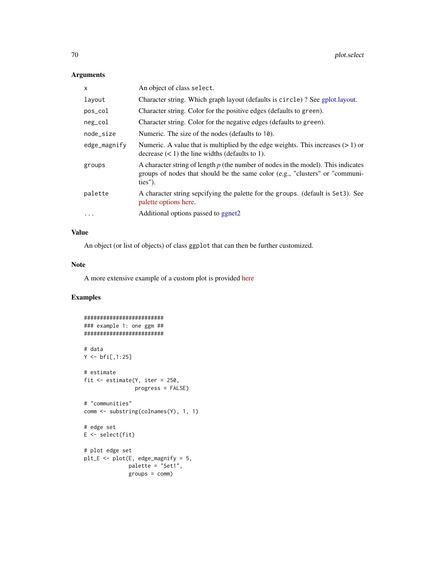# Arguments

| X            | An object of class select.                                                                                                                                                     |
|--------------|--------------------------------------------------------------------------------------------------------------------------------------------------------------------------------|
| layout       | Character string. Which graph layout (defaults is circle)? See gplot.layout.                                                                                                   |
| pos_col      | Character string. Color for the positive edges (defaults to green).                                                                                                            |
| neg_col      | Character string. Color for the negative edges (defaults to green).                                                                                                            |
| node_size    | Numeric. The size of the nodes (defaults to 10).                                                                                                                               |
| edge_magnify | Numeric. A value that is multiplied by the edge weights. This increases $(>1)$ or<br>decrease $(< 1)$ the line widths (defaults to 1).                                         |
| groups       | A character string of length $p$ (the number of nodes in the model). This indicates<br>groups of nodes that should be the same color (e.g., "clusters" or "communi-<br>ties"). |
| palette      | A character string sepcifying the palette for the groups. (default is Set3). See<br>palette options here.                                                                      |
| $\ddotsc$    | Additional options passed to ggnet2                                                                                                                                            |

# Value

An object (or list of objects) of class ggplot that can then be further customized.

#### Note

A more extensive example of a custom plot is provided [here](https://donaldrwilliams.github.io/BGGM/articles/netplot.html)

# Examples

```
#########################
### example 1: one ggm ##
#########################
# data
Y < - \text{bf}[1:25]# estimate
fit <- estimate(Y, iter = 250,
                progress = FALSE)
# "communities"
comm <- substring(colnames(Y), 1, 1)
# edge set
E \leftarrow select(fit)# plot edge set
plt_E <- plot(E, edge_magnify = 5,
              palette = "Set1",
              groups = comm)
```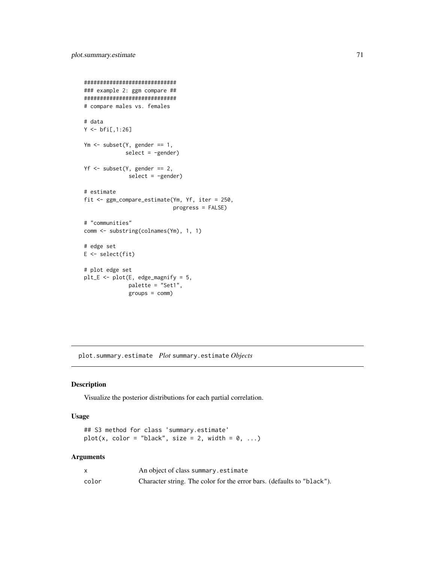```
#############################
### example 2: ggm compare ##
#############################
# compare males vs. females
# data
Y < -bfi[,1:26]
Ym \leq subset(Y, gender == 1,
             select = -gender)Yf <- subset(Y, gender == 2,
              select = -gender)
# estimate
fit <- ggm_compare_estimate(Ym, Yf, iter = 250,
                            progress = FALSE)
# "communities"
comm <- substring(colnames(Ym), 1, 1)
# edge set
E <- select(fit)
# plot edge set
plt_E <- plot(E, edge_magnify = 5,
              palette = "Set1",
              groups = comm)
```
plot.summary.estimate *Plot* summary.estimate *Objects*

### Description

Visualize the posterior distributions for each partial correlation.

### Usage

```
## S3 method for class 'summary.estimate'
plot(x, color = "black", size = 2, width = 0, ...)
```
### Arguments

|       | An object of class summary estimate                                    |
|-------|------------------------------------------------------------------------|
| color | Character string. The color for the error bars. (defaults to "black"). |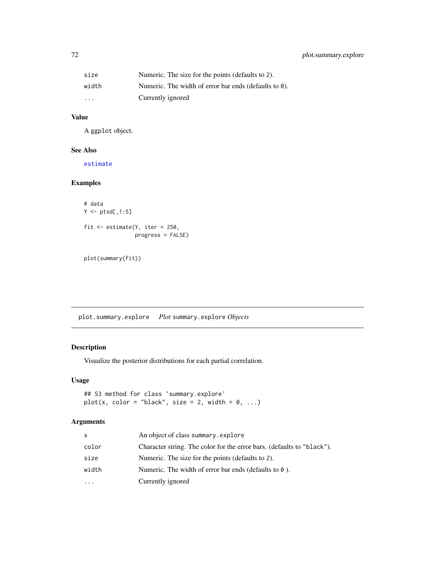| size    | Numeric. The size for the points (defaults to 2).             |
|---------|---------------------------------------------------------------|
| width   | Numeric. The width of error bar ends (defaults to $\theta$ ). |
| $\cdot$ | Currently ignored                                             |

# Value

A ggplot object.

### See Also

[estimate](#page-24-0)

# Examples

```
# data
Y \leftarrow \text{ptsd[, 1:5}fit <- estimate(Y, iter = 250,
                   progress = FALSE)
```

```
plot(summary(fit))
```
plot.summary.explore *Plot* summary.explore *Objects*

# Description

Visualize the posterior distributions for each partial correlation.

# Usage

```
## S3 method for class 'summary.explore'
plot(x, color = "black", size = 2, width = 0, ...)
```
# Arguments

| x     | An object of class summary explore                                     |
|-------|------------------------------------------------------------------------|
| color | Character string. The color for the error bars. (defaults to "black"). |
| size  | Numeric. The size for the points (defaults to 2).                      |
| width | Numeric. The width of error bar ends (defaults to $\theta$ ).          |
| .     | Currently ignored                                                      |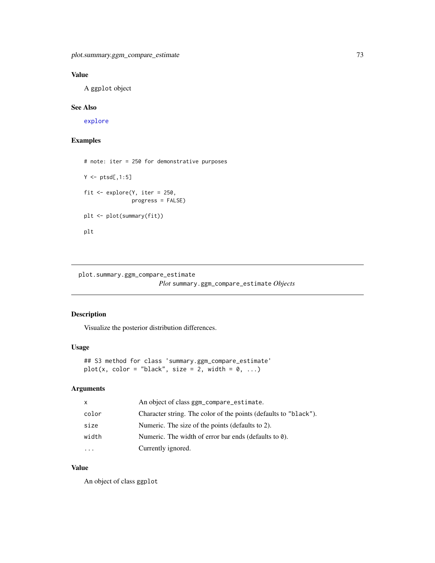# Value

A ggplot object

### See Also

[explore](#page-28-0)

## Examples

```
# note: iter = 250 for demonstrative purposes
Y \leftarrow \text{ptsd[, 1:5}fit <- explore(Y, iter = 250,
                progress = FALSE)
plt <- plot(summary(fit))
plt
```
plot.summary.ggm\_compare\_estimate *Plot* summary.ggm\_compare\_estimate *Objects*

### Description

Visualize the posterior distribution differences.

#### Usage

```
## S3 method for class 'summary.ggm_compare_estimate'
plot(x, color = "black", size = 2, width = 0, ...)
```
## Arguments

| $\mathsf{x}$ | An object of class ggm_compare_estimate.                         |
|--------------|------------------------------------------------------------------|
| color        | Character string. The color of the points (defaults to "black"). |
| size         | Numeric. The size of the points (defaults to 2).                 |
| width        | Numeric. The width of error bar ends (defaults to $\theta$ ).    |
|              | Currently ignored.                                               |

# Value

An object of class ggplot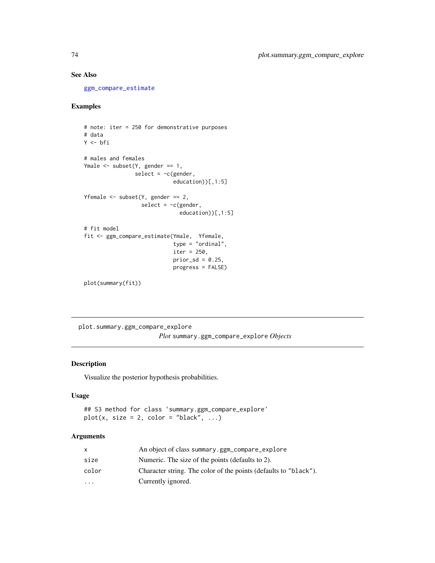## See Also

[ggm\\_compare\\_estimate](#page-40-0)

# Examples

```
# note: iter = 250 for demonstrative purposes
# data
Y <- bfi
# males and females
Ymale <- subset(Y, gender == 1,
               select = -c(gender,education))[,1:5]
Yfemale <- subset(Y, gender == 2,
                  select = -c(gender,education))[,1:5]
# fit model
fit <- ggm_compare_estimate(Ymale, Yfemale,
                            type = "ordinal",
                            iter = 250,
                            prior\_sd = 0.25,
                            progress = FALSE)
plot(summary(fit))
```
plot.summary.ggm\_compare\_explore *Plot* summary.ggm\_compare\_explore *Objects*

## Description

Visualize the posterior hypothesis probabilities.

### Usage

## S3 method for class 'summary.ggm\_compare\_explore'  $plot(x, size = 2, color = "black", ...)$ 

# Arguments

| x         | An object of class summary.ggm_compare_explore                   |
|-----------|------------------------------------------------------------------|
| size      | Numeric. The size of the points (defaults to 2).                 |
| color     | Character string. The color of the points (defaults to "black"). |
| $\ddotsc$ | Currently ignored.                                               |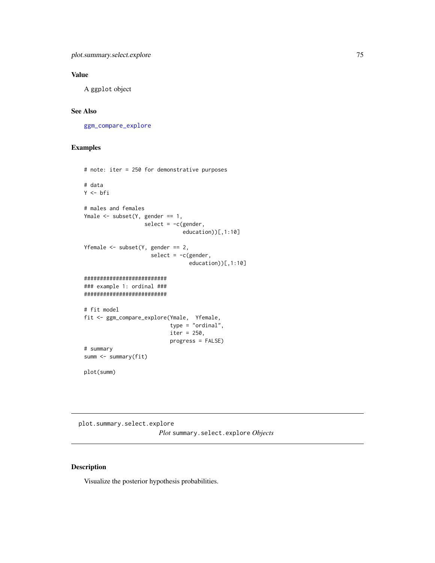# Value

A ggplot object

# See Also

[ggm\\_compare\\_explore](#page-44-0)

## Examples

```
# note: iter = 250 for demonstrative purposes
# data
Y <- bfi
# males and females
Ymale \leq subset(Y, gender == 1,
                   select = -c(gender,education))[,1:10]
Yfemale \leq subset(Y, gender == 2,
                     select = -c(gender,education))[,1:10]
##########################
### example 1: ordinal ###
##########################
# fit model
fit <- ggm_compare_explore(Ymale, Yfemale,
                           type = "ordinal",
                           iter = 250,
                           progress = FALSE)
# summary
summ <- summary(fit)
plot(summ)
```
plot.summary.select.explore *Plot* summary.select.explore *Objects*

### Description

Visualize the posterior hypothesis probabilities.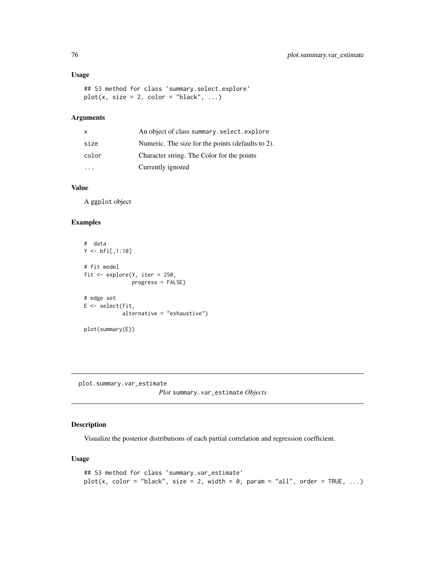### Usage

```
## S3 method for class 'summary.select.explore'
plot(x, size = 2, color = "black", ...)
```
# Arguments

| X     | An object of class summary.select.explore         |
|-------|---------------------------------------------------|
| size  | Numeric. The size for the points (defaults to 2). |
| color | Character string. The Color for the points        |
|       | Currently ignored                                 |

### Value

A ggplot object

## Examples

```
# data
Y < -bfi[,1:10]
# fit model
fit <- explore(Y, iter = 250,
              progress = FALSE)
# edge set
E <- select(fit,
            alternative = "exhaustive")
plot(summary(E))
```
plot.summary.var\_estimate

*Plot* summary.var\_estimate *Objects*

# Description

Visualize the posterior distributions of each partial correlation and regression coefficient.

### Usage

```
## S3 method for class 'summary.var_estimate'
plot(x, color = "black", size = 2, width = 0, param = "all", order = TRUE, ...)
```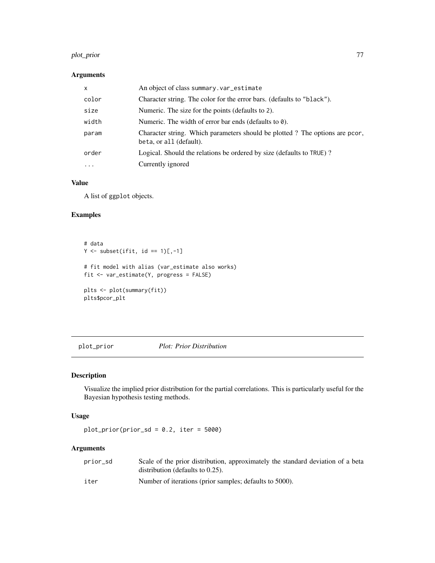#### plot\_prior 77

# Arguments

| x        | An object of class summary. var_estimate                                                               |
|----------|--------------------------------------------------------------------------------------------------------|
| color    | Character string. The color for the error bars. (defaults to "black").                                 |
| size     | Numeric. The size for the points (defaults to 2).                                                      |
| width    | Numeric. The width of error bar ends (defaults to $\theta$ ).                                          |
| param    | Character string. Which parameters should be plotted? The options are pcor,<br>beta, or all (default). |
| order    | Logical. Should the relations be ordered by size (defaults to TRUE)?                                   |
| $\cdots$ | Currently ignored                                                                                      |

### Value

A list of ggplot objects.

# Examples

```
# data
Y \leftarrow \text{subset}(ifit, id == 1)[,-1]# fit model with alias (var_estimate also works)
fit <- var_estimate(Y, progress = FALSE)
plts <- plot(summary(fit))
plts$pcor_plt
```
plot\_prior *Plot: Prior Distribution*

# Description

Visualize the implied prior distribution for the partial correlations. This is particularly useful for the Bayesian hypothesis testing methods.

#### Usage

 $plot\_prior(prior\_sd = 0.2, iter = 5000)$ 

## Arguments

| prior sd | Scale of the prior distribution, approximately the standard deviation of a beta<br>distribution (defaults to $0.25$ ). |
|----------|------------------------------------------------------------------------------------------------------------------------|
| iter     | Number of iterations (prior samples; defaults to 5000).                                                                |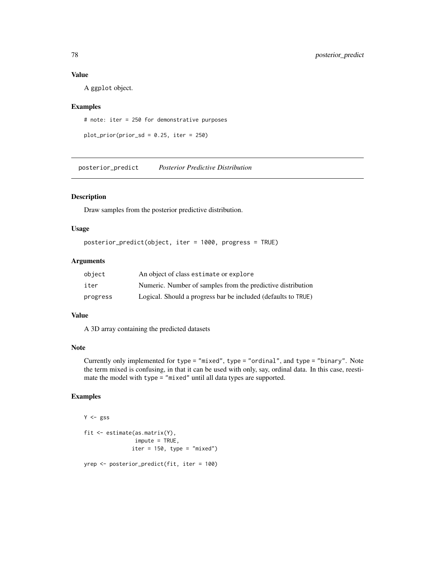### Value

A ggplot object.

### Examples

# note: iter = 250 for demonstrative purposes

```
plot\_prior(prior\_sd = 0.25, iter = 250)
```
posterior\_predict *Posterior Predictive Distribution*

### Description

Draw samples from the posterior predictive distribution.

#### Usage

```
posterior_predict(object, iter = 1000, progress = TRUE)
```
### Arguments

| object   | An object of class estimate or explore                        |
|----------|---------------------------------------------------------------|
| iter     | Numeric. Number of samples from the predictive distribution   |
| progress | Logical. Should a progress bar be included (defaults to TRUE) |

#### Value

A 3D array containing the predicted datasets

## Note

Currently only implemented for type = "mixed", type = "ordinal", and type = "binary". Note the term mixed is confusing, in that it can be used with only, say, ordinal data. In this case, reestimate the model with type = "mixed" until all data types are supported.

```
Y \leftarrow gssfit <- estimate(as.matrix(Y),
                 impute = TRUE,
                iter = 150, type = "mixed")
yrep <- posterior_predict(fit, iter = 100)
```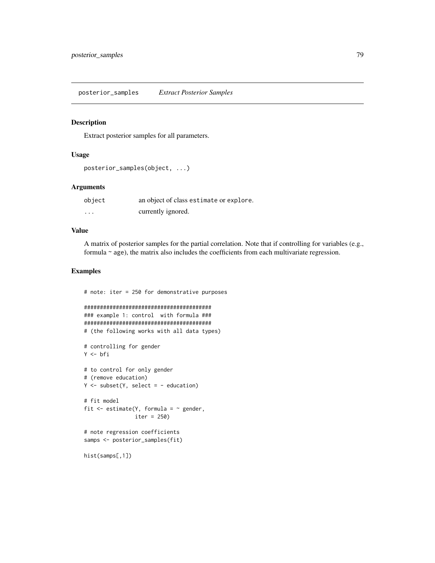### Description

Extract posterior samples for all parameters.

#### Usage

```
posterior_samples(object, ...)
```
## Arguments

| object  | an object of class estimate or explore. |
|---------|-----------------------------------------|
| $\cdot$ | currently ignored.                      |

## Value

A matrix of posterior samples for the partial correlation. Note that if controlling for variables (e.g., formula ~ age), the matrix also includes the coefficients from each multivariate regression.

```
# note: iter = 250 for demonstrative purposes
########################################
### example 1: control with formula ###
########################################
# (the following works with all data types)
# controlling for gender
Y <- bfi
# to control for only gender
# (remove education)
Y \leftarrow subset(Y, select = - education)# fit model
fit \leq estimate(Y, formula = \sim gender,
                iter = 250)
# note regression coefficients
samps <- posterior_samples(fit)
hist(samps[,1])
```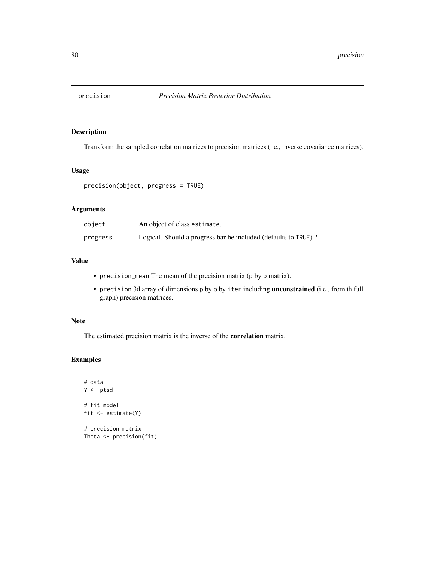## Description

Transform the sampled correlation matrices to precision matrices (i.e., inverse covariance matrices).

### Usage

```
precision(object, progress = TRUE)
```
# Arguments

| object   | An object of class estimate.                                   |
|----------|----------------------------------------------------------------|
| progress | Logical. Should a progress bar be included (defaults to TRUE)? |

# Value

- precision\_mean The mean of the precision matrix (p by p matrix).
- precision 3d array of dimensions p by p by iter including unconstrained (i.e., from th full graph) precision matrices.

#### Note

The estimated precision matrix is the inverse of the correlation matrix.

```
# data
Y <- ptsd
# fit model
fit <- estimate(Y)
# precision matrix
Theta <- precision(fit)
```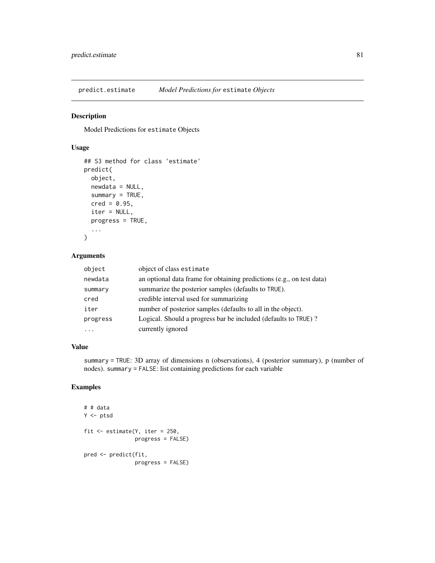predict.estimate *Model Predictions for* estimate *Objects*

### Description

Model Predictions for estimate Objects

#### Usage

```
## S3 method for class 'estimate'
predict(
  object,
  newdata = NULL,
  summary = TRUE,
  \text{cred} = 0.95,iter = NULL,
  progress = TRUE,
  ...
\mathcal{L}
```
## Arguments

| object   | object of class estimate                                              |
|----------|-----------------------------------------------------------------------|
| newdata  | an optional data frame for obtaining predictions (e.g., on test data) |
| summary  | summarize the posterior samples (defaults to TRUE).                   |
| cred     | credible interval used for summarizing                                |
| iter     | number of posterior samples (defaults to all in the object).          |
| progress | Logical. Should a progress bar be included (defaults to TRUE)?        |
| .        | currently ignored                                                     |

#### Value

summary = TRUE: 3D array of dimensions n (observations), 4 (posterior summary), p (number of nodes). summary = FALSE: list containing predictions for each variable

```
# # data
Y <- ptsd
fit <- estimate(Y, iter = 250,
                progress = FALSE)
pred <- predict(fit,
                progress = FALSE)
```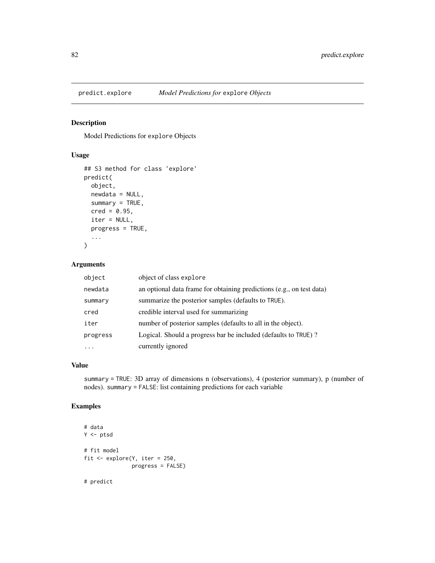## Description

Model Predictions for explore Objects

# Usage

```
## S3 method for class 'explore'
predict(
 object,
 newdata = NULL,
  summary = TRUE,
 \text{cred} = 0.95,iter = NULL,
 progress = TRUE,
  ...
)
```
# Arguments

| object                  | object of class explore                                               |
|-------------------------|-----------------------------------------------------------------------|
| newdata                 | an optional data frame for obtaining predictions (e.g., on test data) |
| summary                 | summarize the posterior samples (defaults to TRUE).                   |
| cred                    | credible interval used for summarizing                                |
| iter                    | number of posterior samples (defaults to all in the object).          |
| progress                | Logical. Should a progress bar be included (defaults to TRUE)?        |
| $\cdot$ $\cdot$ $\cdot$ | currently ignored                                                     |

# Value

summary = TRUE: 3D array of dimensions n (observations), 4 (posterior summary), p (number of nodes). summary = FALSE: list containing predictions for each variable

## Examples

```
# data
Y <- ptsd
# fit model
fit <- explore(Y, iter = 250,
               progress = FALSE)
```
# predict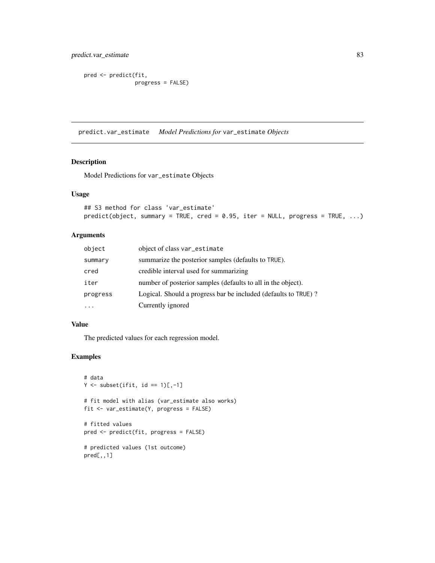predict.var\_estimate 83

```
pred <- predict(fit,
                progress = FALSE)
```
predict.var\_estimate *Model Predictions for* var\_estimate *Objects*

### Description

Model Predictions for var\_estimate Objects

## Usage

```
## S3 method for class 'var_estimate'
predict(object, summary = TRUE, cred = 0.95, iter = NULL, progress = TRUE, ...)
```
## Arguments

| object   | object of class var_estimate                                   |
|----------|----------------------------------------------------------------|
| summary  | summarize the posterior samples (defaults to TRUE).            |
| cred     | credible interval used for summarizing                         |
| iter     | number of posterior samples (defaults to all in the object).   |
| progress | Logical. Should a progress bar be included (defaults to TRUE)? |
|          | Currently ignored                                              |

### Value

The predicted values for each regression model.

```
# data
Y \leftarrow \text{subset}(ifit, id == 1)[,-1]# fit model with alias (var_estimate also works)
fit <- var_estimate(Y, progress = FALSE)
# fitted values
pred <- predict(fit, progress = FALSE)
# predicted values (1st outcome)
pred[,,1]
```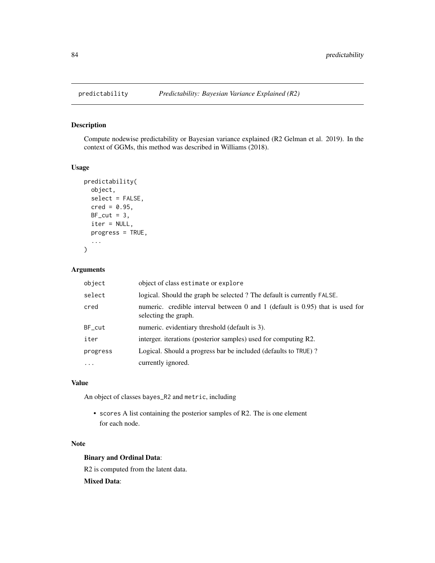# Description

Compute nodewise predictability or Bayesian variance explained (R2 Gelman et al. 2019). In the context of GGMs, this method was described in Williams (2018).

## Usage

```
predictability(
  object,
  select = FALSE,
  \text{cred} = 0.95,BF\_cut = 3,
  iter = NULL,
  progress = TRUE,
  ...
)
```
# Arguments

| object     | object of class estimate or explore                                                                   |
|------------|-------------------------------------------------------------------------------------------------------|
| select     | logical. Should the graph be selected? The default is currently FALSE.                                |
| cred       | numeric. credible interval between 0 and 1 (default is 0.95) that is used for<br>selecting the graph. |
| $BF_{cut}$ | numeric. evidentiary threshold (default is 3).                                                        |
| iter       | interger, iterations (posterior samples) used for computing R2.                                       |
| progress   | Logical. Should a progress bar be included (defaults to TRUE)?                                        |
| $\ddotsc$  | currently ignored.                                                                                    |

#### Value

An object of classes bayes\_R2 and metric, including

• scores A list containing the posterior samples of R2. The is one element for each node.

#### Note

### Binary and Ordinal Data:

R2 is computed from the latent data.

Mixed Data: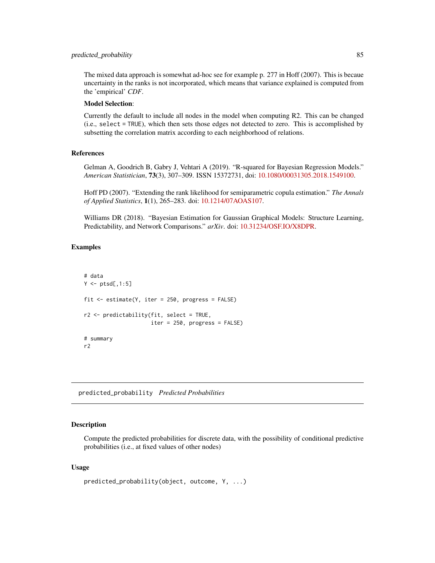#### predicted\_probability 85

The mixed data approach is somewhat ad-hoc see for example p. 277 in Hoff (2007). This is becaue uncertainty in the ranks is not incorporated, which means that variance explained is computed from the 'empirical' *CDF*.

#### Model Selection:

Currently the default to include all nodes in the model when computing R2. This can be changed (i.e., select = TRUE), which then sets those edges not detected to zero. This is accomplished by subsetting the correlation matrix according to each neighborhood of relations.

#### References

Gelman A, Goodrich B, Gabry J, Vehtari A (2019). "R-squared for Bayesian Regression Models." *American Statistician*, 73(3), 307–309. ISSN 15372731, doi: [10.1080/00031305.2018.1549100.](https://doi.org/10.1080/00031305.2018.1549100)

Hoff PD (2007). "Extending the rank likelihood for semiparametric copula estimation." *The Annals of Applied Statistics*, 1(1), 265–283. doi: [10.1214/07AOAS107.](https://doi.org/10.1214/07-AOAS107)

Williams DR (2018). "Bayesian Estimation for Gaussian Graphical Models: Structure Learning, Predictability, and Network Comparisons." *arXiv*. doi: [10.31234/OSF.IO/X8DPR.](https://doi.org/10.31234/OSF.IO/X8DPR)

### Examples

```
# data
Y \leftarrow \text{ptsd[, 1:5}fit \le estimate(Y, iter = 250, progress = FALSE)
r2 <- predictability(fit, select = TRUE,
                       iter = 250, progress = FALSE)
# summary
r2
```
predicted\_probability *Predicted Probabilities*

#### Description

Compute the predicted probabilities for discrete data, with the possibility of conditional predictive probabilities (i.e., at fixed values of other nodes)

#### Usage

```
predicted_probability(object, outcome, Y, ...)
```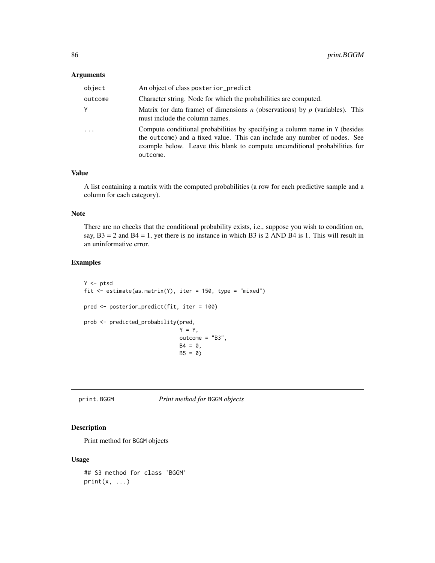#### Arguments

| object  | An object of class posterior_predict                                                                                                                                                                                                               |
|---------|----------------------------------------------------------------------------------------------------------------------------------------------------------------------------------------------------------------------------------------------------|
| outcome | Character string. Node for which the probabilities are computed.                                                                                                                                                                                   |
| Y       | Matrix (or data frame) of dimensions <i>n</i> (observations) by <i>p</i> (variables). This<br>must include the column names.                                                                                                                       |
| $\cdot$ | Compute conditional probabilities by specifying a column name in Y (besides<br>the outcome) and a fixed value. This can include any number of nodes. See<br>example below. Leave this blank to compute unconditional probabilities for<br>outcome. |

### Value

A list containing a matrix with the computed probabilities (a row for each predictive sample and a column for each category).

#### Note

There are no checks that the conditional probability exists, i.e., suppose you wish to condition on, say,  $B3 = 2$  and  $B4 = 1$ , yet there is no instance in which B3 is 2 AND B4 is 1. This will result in an uninformative error.

### Examples

```
Y \leftarrow \text{ptsd}fit <- estimate(as.matrix(Y), iter = 150, type = "mixed")
pred <- posterior_predict(fit, iter = 100)
prob <- predicted_probability(pred,
                                Y = Y,
                                outcome = "B3",
                                B4 = 0,
                                B5 = 0
```
# print.BGGM *Print method for* BGGM *objects*

### Description

Print method for BGGM objects

#### Usage

```
## S3 method for class 'BGGM'
print(x, \ldots)
```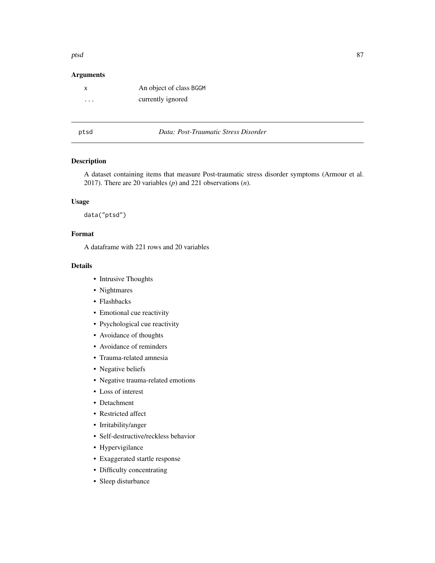#### ptsd and the state of the state of the state of the state of the state of the state of the state of the state o

### Arguments

| x       | An object of class BGGM |
|---------|-------------------------|
| $\cdot$ | currently ignored       |

ptsd *Data: Post-Traumatic Stress Disorder*

### Description

A dataset containing items that measure Post-traumatic stress disorder symptoms (Armour et al. 2017). There are 20 variables (*p*) and 221 observations (*n*).

### Usage

data("ptsd")

### Format

A dataframe with 221 rows and 20 variables

- Intrusive Thoughts
- Nightmares
- Flashbacks
- Emotional cue reactivity
- Psychological cue reactivity
- Avoidance of thoughts
- Avoidance of reminders
- Trauma-related amnesia
- Negative beliefs
- Negative trauma-related emotions
- Loss of interest
- Detachment
- Restricted affect
- Irritability/anger
- Self-destructive/reckless behavior
- Hypervigilance
- Exaggerated startle response
- Difficulty concentrating
- Sleep disturbance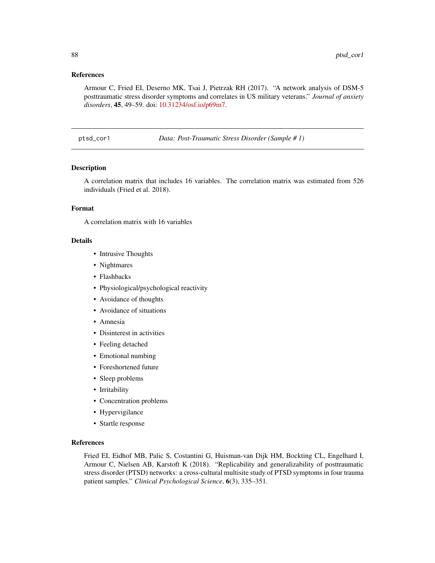#### References

Armour C, Fried EI, Deserno MK, Tsai J, Pietrzak RH (2017). "A network analysis of DSM-5 posttraumatic stress disorder symptoms and correlates in US military veterans." *Journal of anxiety disorders*, 45, 49–59. doi: [10.31234/osf.io/p69m7.](https://doi.org/10.31234/osf.io/p69m7)

ptsd\_cor1 *Data: Post-Traumatic Stress Disorder (Sample # 1)*

### Description

A correlation matrix that includes 16 variables. The correlation matrix was estimated from 526 individuals (Fried et al. 2018).

### Format

A correlation matrix with 16 variables

### Details

- Intrusive Thoughts
- Nightmares
- Flashbacks
- Physiological/psychological reactivity
- Avoidance of thoughts
- Avoidance of situations
- Amnesia
- Disinterest in activities
- Feeling detached
- Emotional numbing
- Foreshortened future
- Sleep problems
- Irritability
- Concentration problems
- Hypervigilance
- Startle response

#### References

Fried EI, Eidhof MB, Palic S, Costantini G, Huisman-van Dijk HM, Bockting CL, Engelhard I, Armour C, Nielsen AB, Karstoft K (2018). "Replicability and generalizability of posttraumatic stress disorder (PTSD) networks: a cross-cultural multisite study of PTSD symptoms in four trauma patient samples." *Clinical Psychological Science*, 6(3), 335–351.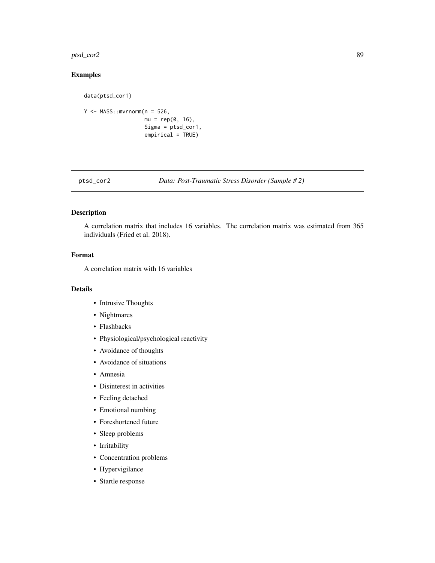#### ptsd\_cor2 89

# Examples

```
data(ptsd_cor1)
Y <- MASS::mvrnorm(n = 526,
                   mu = rep(0, 16),Sigma = ptsd_cor1,
                   empirical = TRUE)
```
ptsd\_cor2 *Data: Post-Traumatic Stress Disorder (Sample # 2)*

### Description

A correlation matrix that includes 16 variables. The correlation matrix was estimated from 365 individuals (Fried et al. 2018).

### Format

A correlation matrix with 16 variables

- Intrusive Thoughts
- Nightmares
- Flashbacks
- Physiological/psychological reactivity
- Avoidance of thoughts
- Avoidance of situations
- Amnesia
- Disinterest in activities
- Feeling detached
- Emotional numbing
- Foreshortened future
- Sleep problems
- Irritability
- Concentration problems
- Hypervigilance
- Startle response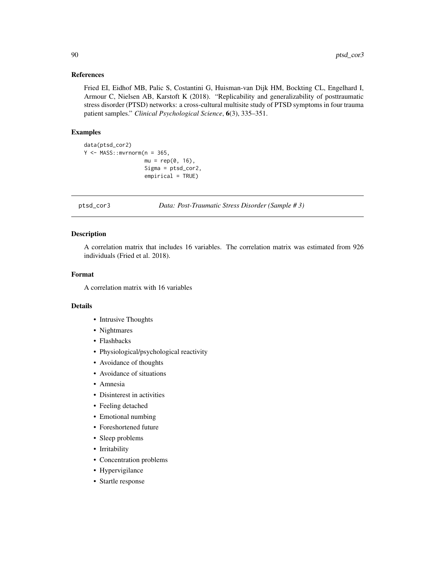## References

Fried EI, Eidhof MB, Palic S, Costantini G, Huisman-van Dijk HM, Bockting CL, Engelhard I, Armour C, Nielsen AB, Karstoft K (2018). "Replicability and generalizability of posttraumatic stress disorder (PTSD) networks: a cross-cultural multisite study of PTSD symptoms in four trauma patient samples." *Clinical Psychological Science*, 6(3), 335–351.

### Examples

```
data(ptsd_cor2)
Y \leq - MASS:: mvrnorm(n = 365,
                    mu = rep(0, 16),
                    Sigma = ptsd_cor2,
                    empirical = TRUE)
```
ptsd\_cor3 *Data: Post-Traumatic Stress Disorder (Sample # 3)*

### Description

A correlation matrix that includes 16 variables. The correlation matrix was estimated from 926 individuals (Fried et al. 2018).

### Format

A correlation matrix with 16 variables

- Intrusive Thoughts
- Nightmares
- Flashbacks
- Physiological/psychological reactivity
- Avoidance of thoughts
- Avoidance of situations
- Amnesia
- Disinterest in activities
- Feeling detached
- Emotional numbing
- Foreshortened future
- Sleep problems
- Irritability
- Concentration problems
- Hypervigilance
- Startle response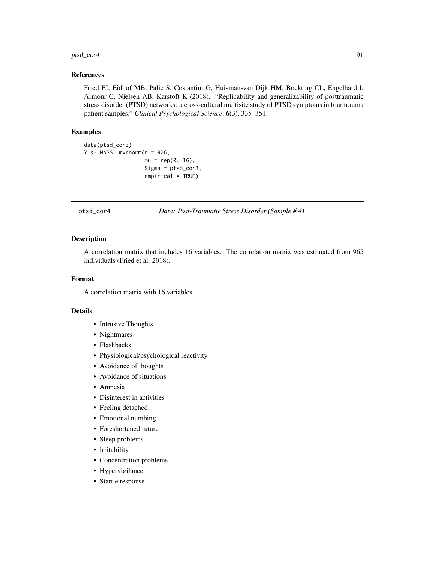#### ptsd\_cor4 91

## References

Fried EI, Eidhof MB, Palic S, Costantini G, Huisman-van Dijk HM, Bockting CL, Engelhard I, Armour C, Nielsen AB, Karstoft K (2018). "Replicability and generalizability of posttraumatic stress disorder (PTSD) networks: a cross-cultural multisite study of PTSD symptoms in four trauma patient samples." *Clinical Psychological Science*, 6(3), 335–351.

### Examples

```
data(ptsd_cor3)
Y \leq - MASS:: mvrnorm(n = 926,mu = rep(0, 16),
                    Sigma = ptsd_cor3,
                    empirical = TRUE)
```
ptsd\_cor4 *Data: Post-Traumatic Stress Disorder (Sample # 4)*

### Description

A correlation matrix that includes 16 variables. The correlation matrix was estimated from 965 individuals (Fried et al. 2018).

#### Format

A correlation matrix with 16 variables

- Intrusive Thoughts
- Nightmares
- Flashbacks
- Physiological/psychological reactivity
- Avoidance of thoughts
- Avoidance of situations
- Amnesia
- Disinterest in activities
- Feeling detached
- Emotional numbing
- Foreshortened future
- Sleep problems
- Irritability
- Concentration problems
- Hypervigilance
- Startle response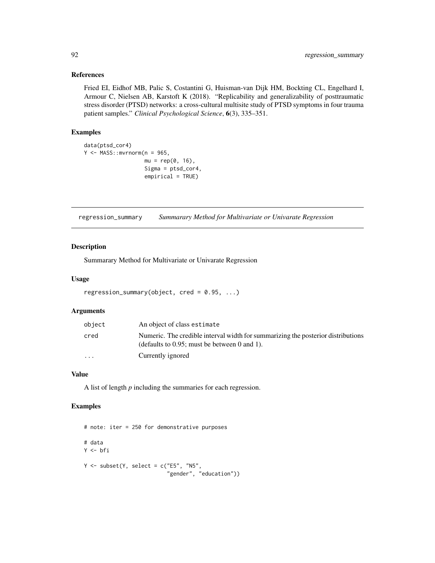### References

Fried EI, Eidhof MB, Palic S, Costantini G, Huisman-van Dijk HM, Bockting CL, Engelhard I, Armour C, Nielsen AB, Karstoft K (2018). "Replicability and generalizability of posttraumatic stress disorder (PTSD) networks: a cross-cultural multisite study of PTSD symptoms in four trauma patient samples." *Clinical Psychological Science*, 6(3), 335–351.

# Examples

```
data(ptsd_cor4)
Y <- MASS::mvrnorm(n = 965,
                   mu = rep(0, 16),
                   Sigma = ptsd_cor4,
                   empirical = TRUE)
```
regression\_summary *Summarary Method for Multivariate or Univarate Regression*

## Description

Summarary Method for Multivariate or Univarate Regression

### Usage

```
regression_summary(object, cred = 0.95, ...)
```
#### Arguments

| object   | An object of class estimate                                                                                                         |
|----------|-------------------------------------------------------------------------------------------------------------------------------------|
| cred     | Numeric. The credible interval width for summarizing the posterior distributions<br>(defaults to $0.95$ ; must be between 0 and 1). |
| $\cdots$ | Currently ignored                                                                                                                   |

## Value

A list of length *p* including the summaries for each regression.

```
# note: iter = 250 for demonstrative purposes
# data
Y <- bfi
Y \le - subset(Y, select = c("E5", "N5",
                           "gender", "education"))
```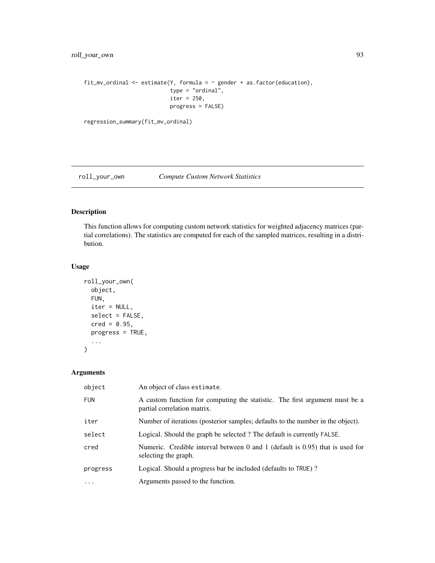```
fit_mv_ordinal <- estimate(Y, formula = \sim gender + as.factor(education),
                           type = "ordinal",
                           iter = 250,
                           progress = FALSE)
```

```
regression_summary(fit_mv_ordinal)
```
# roll\_your\_own *Compute Custom Network Statistics*

### Description

This function allows for computing custom network statistics for weighted adjacency matrices (partial correlations). The statistics are computed for each of the sampled matrices, resulting in a distribution.

### Usage

```
roll_your_own(
  object,
 FUN,
  iter = NULL,
  select = FALSE,
 \text{cred} = 0.95,progress = TRUE,
  ...
)
```
### Arguments

| object     | An object of class estimate.                                                                               |
|------------|------------------------------------------------------------------------------------------------------------|
| <b>FUN</b> | A custom function for computing the statistic. The first argument must be a<br>partial correlation matrix. |
| iter       | Number of iterations (posterior samples; defaults to the number in the object).                            |
| select     | Logical. Should the graph be selected? The default is currently FALSE.                                     |
| cred       | Numeric. Credible interval between 0 and 1 (default is $0.95$ ) that is used for<br>selecting the graph.   |
| progress   | Logical. Should a progress bar be included (defaults to TRUE)?                                             |
| $\cdot$    | Arguments passed to the function.                                                                          |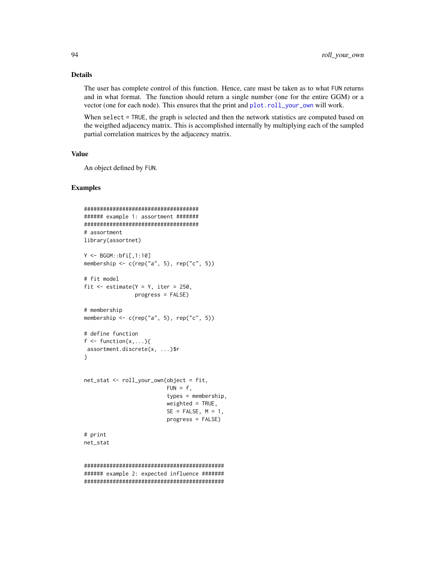### Details

The user has complete control of this function. Hence, care must be taken as to what FUN returns and in what format. The function should return a single number (one for the entire GGM) or a vector (one for each node). This ensures that the print and [plot.roll\\_your\\_own](#page-67-0) will work.

When select = TRUE, the graph is selected and then the network statistics are computed based on the weigthed adjacency matrix. This is accomplished internally by multiplying each of the sampled partial correlation matrices by the adjacency matrix.

#### Value

An object defined by FUN.

## Examples

```
####################################
###### example 1: assortment #######
####################################
# assortment
library(assortnet)
Y <- BGGM::bfi[,1:10]
membership \leq c(rep("a", 5), rep("c", 5))
# fit model
fit \le estimate(Y = Y, iter = 250,
                progress = FALSE)
# membership
membership \leq c(rep("a", 5), rep("c", 5))
# define function
f \leftarrow function(x, \ldots)assortment.discrete(x, ...)$r
}
net_stat <- roll_your_own(object = fit,
                           FUN = f,
                           types = membership,
                           weighted = TRUE,
                           SE = FALSE, M = 1,progress = FALSE)
# print
net_stat
############################################
```
###### example 2: expected influence ####### ############################################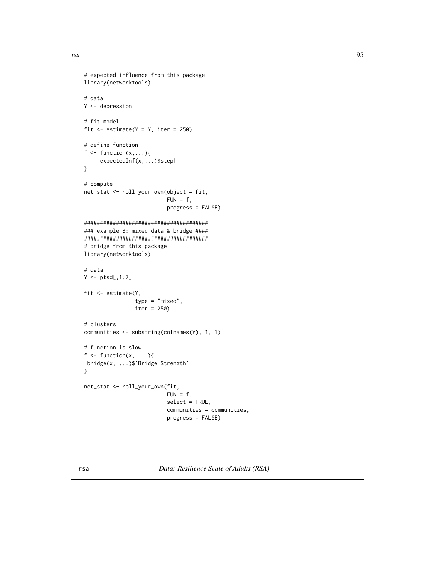```
# expected influence from this package
library(networktools)
# data
Y <- depression
# fit model
fit \le estimate(Y = Y, iter = 250)
# define function
f \leftarrow function(x, \ldots){
     expectedInf(x,...)$step1
}
# compute
net_stat <- roll_your_own(object = fit,
                           FUN = f,
                           progress = FALSE)
#######################################
### example 3: mixed data & bridge ####
#######################################
# bridge from this package
library(networktools)
# data
Y \leftarrow \text{ptsd[, 1:7}fit <- estimate(Y,
                 type = "mixed",
                 iter = 250)
# clusters
communities <- substring(colnames(Y), 1, 1)
# function is slow
f \leftarrow function(x, \ldots){
bridge(x, ...)$`Bridge Strength`
}
net_stat <- roll_your_own(fit,
                            FUN = f,
                            select = TRUE,
                            communities = communities,
                            progress = FALSE)
```
rsa *Data: Resilience Scale of Adults (RSA)*

rsa 300 haqida qabta tekshirilgan ma'lumot olib qabta tekshirilgan ma'lumot olib qabta tekshirilgan ma'lumot o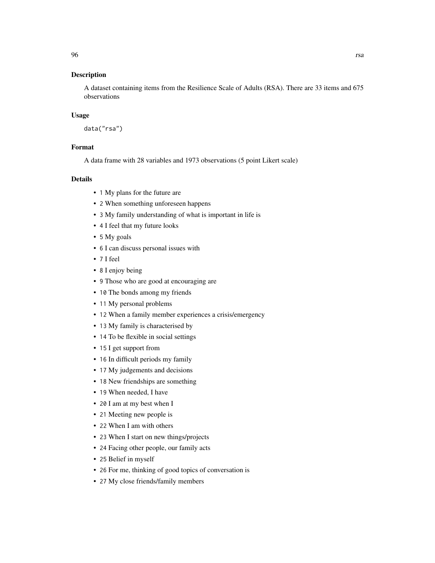### Description

A dataset containing items from the Resilience Scale of Adults (RSA). There are 33 items and 675 observations

### Usage

data("rsa")

### Format

A data frame with 28 variables and 1973 observations (5 point Likert scale)

- 1 My plans for the future are
- 2 When something unforeseen happens
- 3 My family understanding of what is important in life is
- 4 I feel that my future looks
- 5 My goals
- 6 I can discuss personal issues with
- 7 I feel
- 8 I enjoy being
- 9 Those who are good at encouraging are
- 10 The bonds among my friends
- 11 My personal problems
- 12 When a family member experiences a crisis/emergency
- 13 My family is characterised by
- 14 To be flexible in social settings
- 15 I get support from
- 16 In difficult periods my family
- 17 My judgements and decisions
- 18 New friendships are something
- 19 When needed, I have
- 20 I am at my best when I
- 21 Meeting new people is
- 22 When I am with others
- 23 When I start on new things/projects
- 24 Facing other people, our family acts
- 25 Belief in myself
- 26 For me, thinking of good topics of conversation is
- 27 My close friends/family members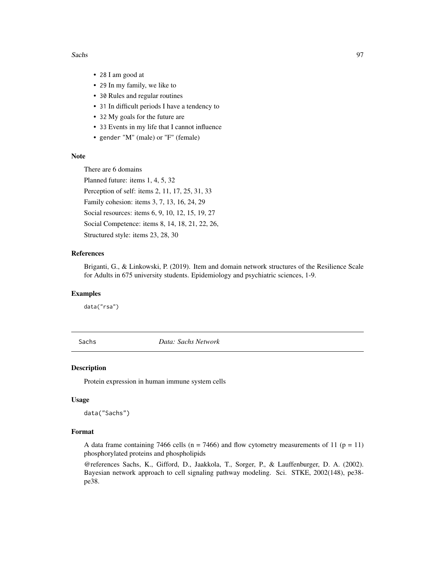#### Sachs 97

- 28 I am good at
- 29 In my family, we like to
- 30 Rules and regular routines
- 31 In difficult periods I have a tendency to
- 32 My goals for the future are
- 33 Events in my life that I cannot influence
- gender "M" (male) or "F" (female)

### Note

There are 6 domains

Planned future: items 1, 4, 5, 32

Perception of self: items 2, 11, 17, 25, 31, 33

Family cohesion: items 3, 7, 13, 16, 24, 29

Social resources: items 6, 9, 10, 12, 15, 19, 27

Social Competence: items 8, 14, 18, 21, 22, 26,

Structured style: items 23, 28, 30

## References

Briganti, G., & Linkowski, P. (2019). Item and domain network structures of the Resilience Scale for Adults in 675 university students. Epidemiology and psychiatric sciences, 1-9.

## Examples

data("rsa")

Sachs *Data: Sachs Network*

### Description

Protein expression in human immune system cells

#### Usage

data("Sachs")

#### Format

A data frame containing 7466 cells ( $n = 7466$ ) and flow cytometry measurements of 11 ( $p = 11$ ) phosphorylated proteins and phospholipids

@references Sachs, K., Gifford, D., Jaakkola, T., Sorger, P., & Lauffenburger, D. A. (2002). Bayesian network approach to cell signaling pathway modeling. Sci. STKE, 2002(148), pe38 pe38.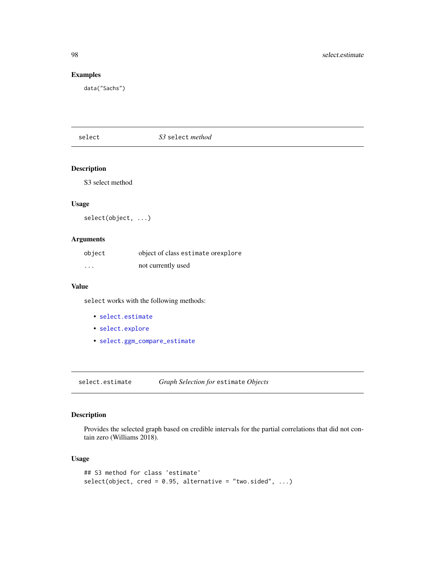### Examples

data("Sachs")

# select *S3* select *method*

# Description

S3 select method

### Usage

select(object, ...)

### Arguments

| object   | object of class estimate or explore |
|----------|-------------------------------------|
| $\cdots$ | not currently used                  |

#### Value

select works with the following methods:

- [select.estimate](#page-97-0)
- [select.explore](#page-99-0)
- [select.ggm\\_compare\\_estimate](#page-101-0)

<span id="page-97-0"></span>select.estimate *Graph Selection for* estimate *Objects*

### Description

Provides the selected graph based on credible intervals for the partial correlations that did not contain zero (Williams 2018).

### Usage

```
## S3 method for class 'estimate'
select(object, cred = 0.95, alternative = "two.sided", ...)
```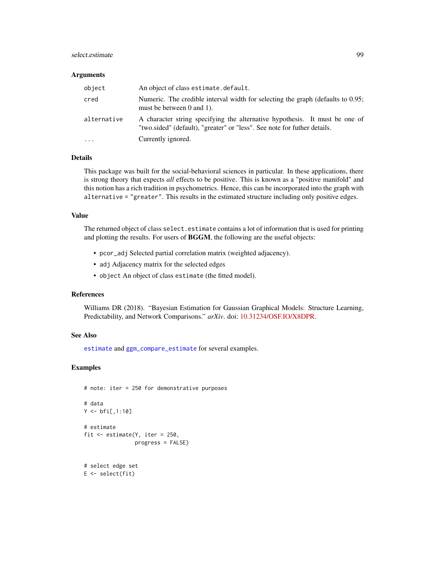### select.estimate 99

#### Arguments

| object      | An object of class estimate.default.                                                                                                                    |
|-------------|---------------------------------------------------------------------------------------------------------------------------------------------------------|
| cred        | Numeric. The credible interval width for selecting the graph (defaults to 0.95;<br>must be between 0 and 1).                                            |
| alternative | A character string specifying the alternative hypothesis. It must be one of<br>"two.sided" (default), "greater" or "less". See note for futher details. |
| $\cdot$     | Currently ignored.                                                                                                                                      |

### Details

This package was built for the social-behavioral sciences in particular. In these applications, there is strong theory that expects *all* effects to be positive. This is known as a "positive manifold" and this notion has a rich tradition in psychometrics. Hence, this can be incorporated into the graph with alternative = "greater". This results in the estimated structure including only positive edges.

### Value

The returned object of class select.estimate contains a lot of information that is used for printing and plotting the results. For users of BGGM, the following are the useful objects:

- pcor\_adj Selected partial correlation matrix (weighted adjacency).
- adj Adjacency matrix for the selected edges
- object An object of class estimate (the fitted model).

#### References

Williams DR (2018). "Bayesian Estimation for Gaussian Graphical Models: Structure Learning, Predictability, and Network Comparisons." *arXiv*. doi: [10.31234/OSF.IO/X8DPR.](https://doi.org/10.31234/OSF.IO/X8DPR)

### See Also

[estimate](#page-24-0) and [ggm\\_compare\\_estimate](#page-40-0) for several examples.

```
# note: iter = 250 for demonstrative purposes
# data
Y < -bfi[,1:10]
# estimate
fit <- estimate(Y, iter = 250,
                progress = FALSE)
# select edge set
E \leftarrow select(fit)
```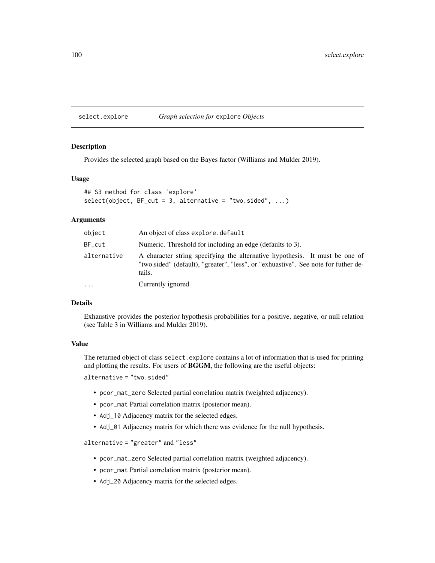<span id="page-99-0"></span>select.explore *Graph selection for* explore *Objects*

#### Description

Provides the selected graph based on the Bayes factor (Williams and Mulder 2019).

#### Usage

```
## S3 method for class 'explore'
select(object, BF-cut = 3, alternative = "two-sided", ...)
```
#### Arguments

| object      | An object of class explore. default                                                                                                                                         |
|-------------|-----------------------------------------------------------------------------------------------------------------------------------------------------------------------------|
| BF cut      | Numeric. Threshold for including an edge (defaults to 3).                                                                                                                   |
| alternative | A character string specifying the alternative hypothesis. It must be one of<br>"two.sided" (default), "greater", "less", or "exhuastive". See note for futher de-<br>tails. |
| .           | Currently ignored.                                                                                                                                                          |

### Details

Exhaustive provides the posterior hypothesis probabilities for a positive, negative, or null relation (see Table 3 in Williams and Mulder 2019).

### Value

The returned object of class select.explore contains a lot of information that is used for printing and plotting the results. For users of **BGGM**, the following are the useful objects:

alternative = "two.sided"

- pcor\_mat\_zero Selected partial correlation matrix (weighted adjacency).
- pcor\_mat Partial correlation matrix (posterior mean).
- Adj\_10 Adjacency matrix for the selected edges.
- Adj\_01 Adjacency matrix for which there was evidence for the null hypothesis.

alternative = "greater" and "less"

- pcor\_mat\_zero Selected partial correlation matrix (weighted adjacency).
- pcor\_mat Partial correlation matrix (posterior mean).
- Adj\_20 Adjacency matrix for the selected edges.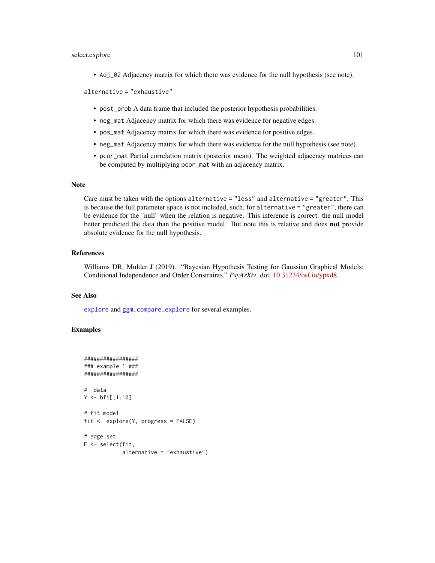### select.explore 101

• Adj\_02 Adjacency matrix for which there was evidence for the null hypothesis (see note).

alternative = "exhaustive"

- post\_prob A data frame that included the posterior hypothesis probabilities.
- neg\_mat Adjacency matrix for which there was evidence for negative edges.
- pos\_mat Adjacency matrix for which there was evidence for positive edges.
- neg\_mat Adjacency matrix for which there was evidence for the null hypothesis (see note).
- pcor\_mat Partial correlation matrix (posterior mean). The weighted adjacency matrices can be computed by multiplying pcor\_mat with an adjacency matrix.

### Note

Care must be taken with the options alternative = "less" and alternative = "greater". This is because the full parameter space is not included, such, for alternative = "greater", there can be evidence for the "null" when the relation is negative. This inference is correct: the null model better predicted the data than the positive model. But note this is relative and does not provide absolute evidence for the null hypothesis.

#### References

Williams DR, Mulder J (2019). "Bayesian Hypothesis Testing for Gaussian Graphical Models: Conditional Independence and Order Constraints." *PsyArXiv*. doi: [10.31234/osf.io/ypxd8.](https://doi.org/10.31234/osf.io/ypxd8)

### See Also

[explore](#page-28-0) and [ggm\\_compare\\_explore](#page-44-0) for several examples.

```
#################
### example 1 ###
#################
# data
Y < -bfi[,1:10]
# fit model
fit <- explore(Y, progress = FALSE)
# edge set
E <- select(fit,
            alternative = "exhaustive")
```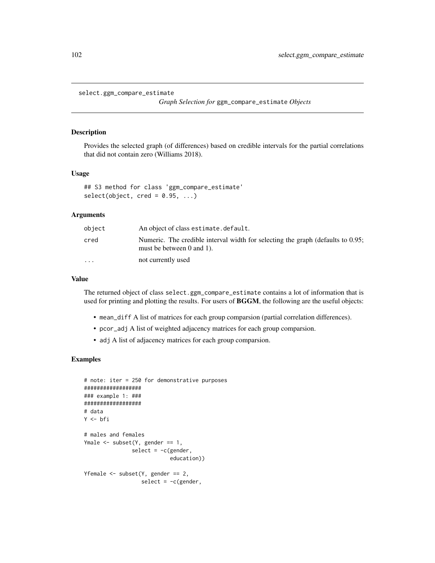```
select.ggm_compare_estimate
```
*Graph Selection for* ggm\_compare\_estimate *Objects*

### Description

Provides the selected graph (of differences) based on credible intervals for the partial correlations that did not contain zero (Williams 2018).

#### Usage

```
## S3 method for class 'ggm_compare_estimate'
select(object, cred = 0.95, ...)
```
# Arguments

| object    | An object of class estimate.default.                                                                         |
|-----------|--------------------------------------------------------------------------------------------------------------|
| cred      | Numeric. The credible interval width for selecting the graph (defaults to 0.95;<br>must be between 0 and 1). |
| $\ddotsc$ | not currently used                                                                                           |

#### Value

The returned object of class select.ggm\_compare\_estimate contains a lot of information that is used for printing and plotting the results. For users of BGGM, the following are the useful objects:

- mean\_diff A list of matrices for each group comparsion (partial correlation differences).
- pcor\_adj A list of weighted adjacency matrices for each group comparsion.
- adj A list of adjacency matrices for each group comparsion.

```
# note: iter = 250 for demonstrative purposes
##################
### example 1: ###
##################
# data
Y <- bfi
# males and females
Ymale <- subset(Y, gender == 1,
               select = -c(gender,education))
Yfemale \leq subset(Y, gender == 2,
                  select = -c(gender,
```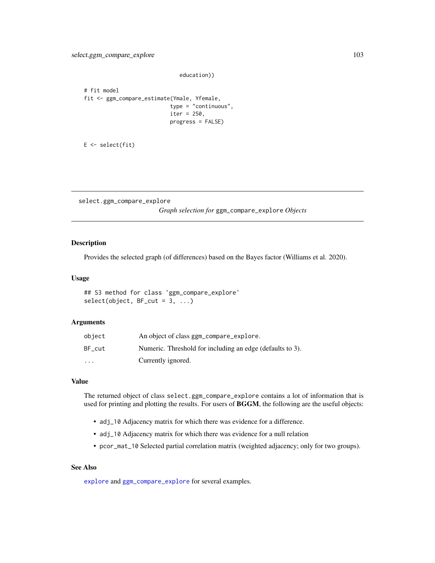education))

```
# fit model
fit <- ggm_compare_estimate(Ymale, Yfemale,
                           type = "continuous",
                           iter = 250,
                           progress = FALSE)
```

```
E \leftarrow select(fit)
```
select.ggm\_compare\_explore

*Graph selection for* ggm\_compare\_explore *Objects*

### Description

Provides the selected graph (of differences) based on the Bayes factor (Williams et al. 2020).

### Usage

```
## S3 method for class 'ggm_compare_explore'
select(object, BF-cut = 3, ...)
```
#### Arguments

| object    | An object of class ggm_compare_explore.                   |
|-----------|-----------------------------------------------------------|
| BF cut    | Numeric. Threshold for including an edge (defaults to 3). |
| $\ddotsc$ | Currently ignored.                                        |

## Value

The returned object of class select.ggm\_compare\_explore contains a lot of information that is used for printing and plotting the results. For users of BGGM, the following are the useful objects:

- adj\_10 Adjacency matrix for which there was evidence for a difference.
- adj\_10 Adjacency matrix for which there was evidence for a null relation
- pcor\_mat\_10 Selected partial correlation matrix (weighted adjacency; only for two groups).

#### See Also

[explore](#page-28-0) and [ggm\\_compare\\_explore](#page-44-0) for several examples.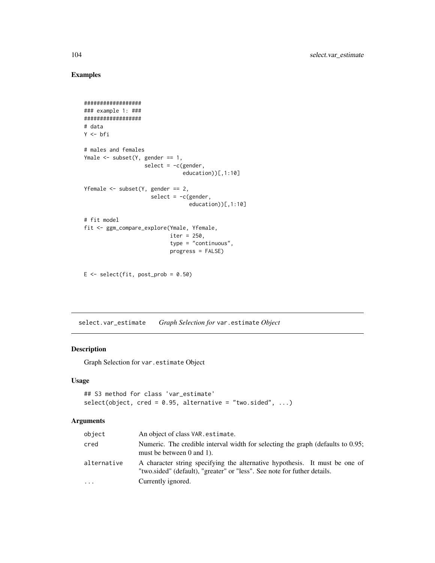# Examples

```
##################
### example 1: ###
##################
# data
Y <- bfi
# males and females
Ymale <- subset(Y, gender == 1,
                   select = -c(gender,education))[,1:10]
Yfemale \leq subset(Y, gender == 2,
                     select = -c(gender,education))[,1:10]
# fit model
fit <- ggm_compare_explore(Ymale, Yfemale,
                           iter = 250,
                           type = "continuous",
                           progress = FALSE)
```
 $E \le -$  select(fit, post\_prob = 0.50)

select.var\_estimate *Graph Selection for* var.estimate *Object*

## Description

Graph Selection for var.estimate Object

## Usage

```
## S3 method for class 'var_estimate'
select(object, cred = 0.95, alternative = "two-sided", ...)
```
## Arguments

| object      | An object of class VAR. estimate.                                                                                                                       |
|-------------|---------------------------------------------------------------------------------------------------------------------------------------------------------|
| cred        | Numeric. The credible interval width for selecting the graph (defaults to 0.95;<br>must be between 0 and 1).                                            |
| alternative | A character string specifying the alternative hypothesis. It must be one of<br>"two.sided" (default), "greater" or "less". See note for futher details. |
| $\cdots$    | Currently ignored.                                                                                                                                      |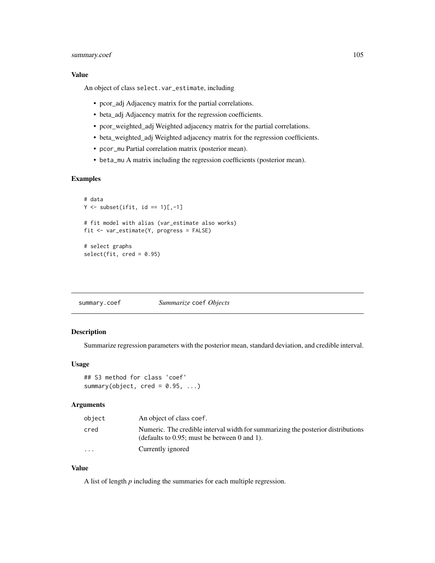## summary.coef 105

### Value

An object of class select.var\_estimate, including

- pcor\_adj Adjacency matrix for the partial correlations.
- beta\_adj Adjacency matrix for the regression coefficients.
- pcor\_weighted\_adj Weighted adjacency matrix for the partial correlations.
- beta\_weighted\_adj Weighted adjacency matrix for the regression coefficients.
- pcor\_mu Partial correlation matrix (posterior mean).
- beta\_mu A matrix including the regression coefficients (posterior mean).

## Examples

```
# data
Y \leftarrow subset(ifit, id == 1)[,-1]# fit model with alias (var_estimate also works)
fit <- var_estimate(Y, progress = FALSE)
# select graphs
select(fit, cred = 0.95)
```
summary.coef *Summarize* coef *Objects*

# Description

Summarize regression parameters with the posterior mean, standard deviation, and credible interval.

# Usage

```
## S3 method for class 'coef'
summary(object, cred = 0.95, ...)
```
### Arguments

| object   | An object of class coef.                                                                                                            |
|----------|-------------------------------------------------------------------------------------------------------------------------------------|
| cred     | Numeric. The credible interval width for summarizing the posterior distributions<br>(defaults to $0.95$ ; must be between 0 and 1). |
| $\cdots$ | Currently ignored                                                                                                                   |

# Value

A list of length *p* including the summaries for each multiple regression.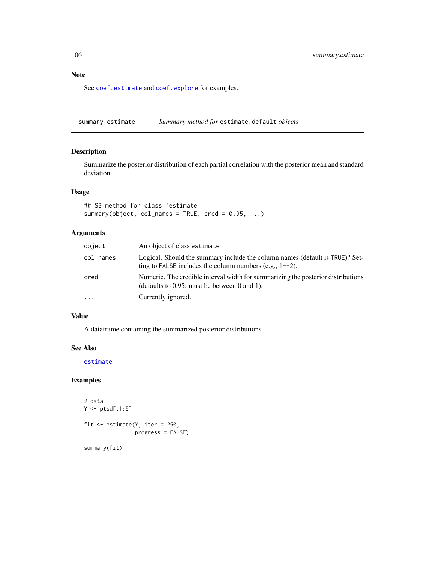# Note

See [coef.estimate](#page-10-0) and [coef.explore](#page-11-0) for examples.

summary.estimate *Summary method for* estimate.default *objects*

## Description

Summarize the posterior distribution of each partial correlation with the posterior mean and standard deviation.

## Usage

```
## S3 method for class 'estimate'
summary(object, col_names = TRUE, cred = 0.95, ...)
```
# Arguments

| object    | An object of class estimate                                                                                                                  |
|-----------|----------------------------------------------------------------------------------------------------------------------------------------------|
| col_names | Logical. Should the summary include the column names (default is TRUE)? Set-<br>ting to FALSE includes the column numbers (e.g., $1 - -2$ ). |
| cred      | Numeric. The credible interval width for summarizing the posterior distributions<br>(defaults to $0.95$ ; must be between 0 and 1).          |
| $\ddots$  | Currently ignored.                                                                                                                           |

### Value

A dataframe containing the summarized posterior distributions.

# See Also

[estimate](#page-24-0)

## Examples

```
# data
Y \leftarrow \text{ptsd[, 1:5}fit <- estimate(Y, iter = 250,
                   progress = FALSE)
```
summary(fit)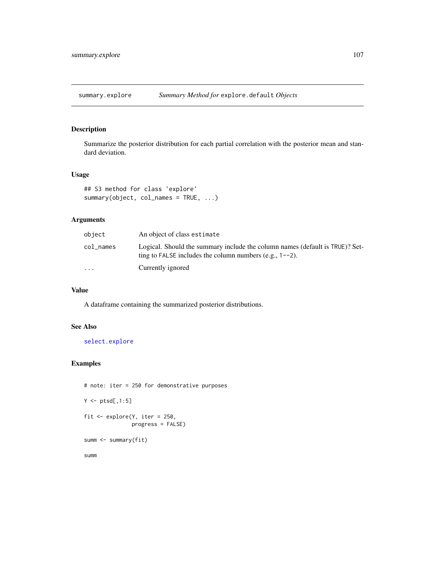## Description

Summarize the posterior distribution for each partial correlation with the posterior mean and standard deviation.

### Usage

```
## S3 method for class 'explore'
summary(object, col_names = TRUE, ...)
```
## Arguments

| object                  | An object of class estimate                                                                                                                  |
|-------------------------|----------------------------------------------------------------------------------------------------------------------------------------------|
| col_names               | Logical. Should the summary include the column names (default is TRUE)? Set-<br>ting to FALSE includes the column numbers (e.g., $1 - -2$ ). |
| $\cdot$ $\cdot$ $\cdot$ | Currently ignored                                                                                                                            |

# Value

A dataframe containing the summarized posterior distributions.

### See Also

[select.explore](#page-99-0)

# Examples

```
# note: iter = 250 for demonstrative purposes
Y \leftarrow \text{ptsd[, 1:5}fit \leq explore(Y, iter = 250,
                 progress = FALSE)
summ <- summary(fit)
```
summ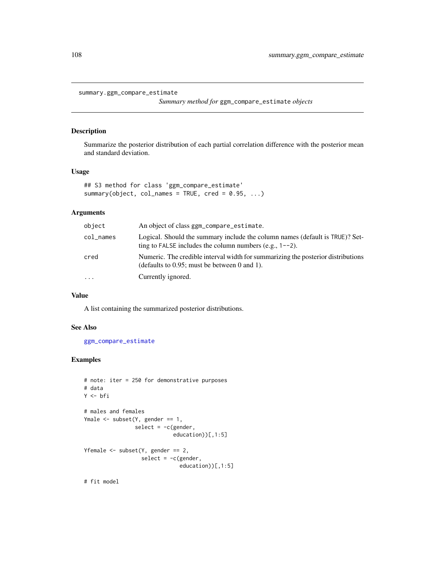```
summary.ggm_compare_estimate
```
*Summary method for* ggm\_compare\_estimate *objects*

### Description

Summarize the posterior distribution of each partial correlation difference with the posterior mean and standard deviation.

# Usage

```
## S3 method for class 'ggm_compare_estimate'
summary(object, col_names = TRUE, cred = 0.95, ...)
```
### Arguments

| object    | An object of class ggm_compare_estimate.                                                                                                     |
|-----------|----------------------------------------------------------------------------------------------------------------------------------------------|
| col_names | Logical. Should the summary include the column names (default is TRUE)? Set-<br>ting to FALSE includes the column numbers (e.g., $1 - -2$ ). |
| cred      | Numeric. The credible interval width for summarizing the posterior distributions<br>(defaults to $0.95$ ; must be between 0 and 1).          |
| .         | Currently ignored.                                                                                                                           |

## Value

A list containing the summarized posterior distributions.

## See Also

[ggm\\_compare\\_estimate](#page-40-0)

```
# note: iter = 250 for demonstrative purposes
# data
Y <- bfi
# males and females
Ymale <- subset(Y, gender == 1,
                select = -c(gender,education))[,1:5]
Yfemale \leq subset(Y, gender == 2,
                  select = -c(gender,education))[,1:5]
# fit model
```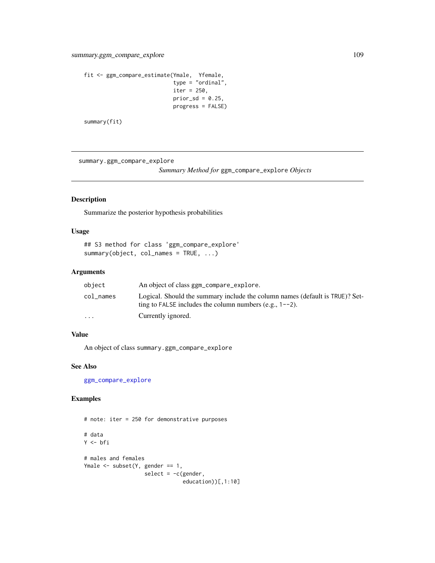```
fit <- ggm_compare_estimate(Ymale, Yfemale,
                            type = "ordinal",
                            iter = 250,
                            prior_sd = 0.25,
                            progress = FALSE)
```
summary(fit)

summary.ggm\_compare\_explore

*Summary Method for* ggm\_compare\_explore *Objects*

# Description

Summarize the posterior hypothesis probabilities

## Usage

```
## S3 method for class 'ggm_compare_explore'
summary(object, col_names = TRUE, ...)
```
#### Arguments

| object                  | An object of class ggm_compare_explore.                                                                                                      |
|-------------------------|----------------------------------------------------------------------------------------------------------------------------------------------|
| col names               | Logical. Should the summary include the column names (default is TRUE)? Set-<br>ting to FALSE includes the column numbers (e.g., $1 - -2$ ). |
| $\cdot$ $\cdot$ $\cdot$ | Currently ignored.                                                                                                                           |

# Value

An object of class summary.ggm\_compare\_explore

## See Also

[ggm\\_compare\\_explore](#page-44-0)

```
# note: iter = 250 for demonstrative purposes
# data
Y <- bfi
# males and females
Ymale <- subset(Y, gender == 1,
                  select = -c(gender,
                               education))[,1:10]
```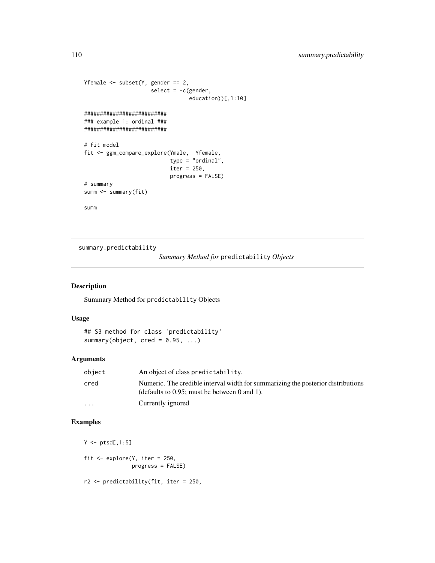```
Yfemale \leq subset(Y, gender == 2,
                     select = -c(gender,
                                 education))[,1:10]
##########################
### example 1: ordinal ###
##########################
# fit model
fit <- ggm_compare_explore(Ymale, Yfemale,
                            type = "ordinal",
                           iter = 250,
                           progress = FALSE)
# summary
summ <- summary(fit)
summ
```
summary.predictability

*Summary Method for* predictability *Objects*

## Description

Summary Method for predictability Objects

## Usage

## S3 method for class 'predictability' summary(object, cred =  $0.95$ , ...)

## Arguments

| object   | An object of class predictability.                                                                                                  |
|----------|-------------------------------------------------------------------------------------------------------------------------------------|
| cred     | Numeric. The credible interval width for summarizing the posterior distributions<br>(defaults to $0.95$ ; must be between 0 and 1). |
| $\cdots$ | Currently ignored                                                                                                                   |

```
Y \leftarrow \text{ptsd[, 1:5}fit \leq explore(Y, iter = 250,
                 progress = FALSE)
r2 <- predictability(fit, iter = 250,
```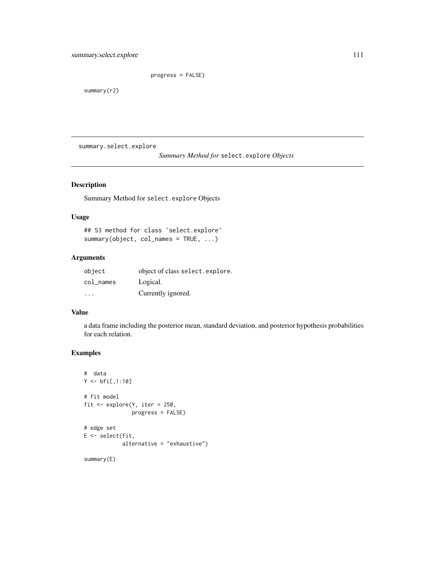progress = FALSE)

<span id="page-110-0"></span>summary(r2)

summary.select.explore

*Summary Method for* select.explore *Objects*

# Description

Summary Method for select.explore Objects

## Usage

## S3 method for class 'select.explore' summary(object, col\_names = TRUE, ...)

# Arguments

| object                  | object of class select. explore. |
|-------------------------|----------------------------------|
| $col$ $\_names$         | Logical.                         |
| $\cdot$ $\cdot$ $\cdot$ | Currently ignored.               |

## Value

a data frame including the posterior mean, standard deviation, and posterior hypothesis probabilities for each relation.

```
# data
Y < -bfi[,1:10]
# fit model
fit <- explore(Y, iter = 250,
               progress = FALSE)
# edge set
E <- select(fit,
            alternative = "exhaustive")
summary(E)
```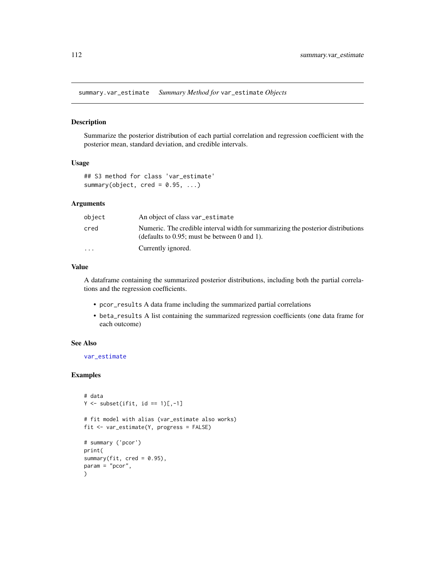<span id="page-111-0"></span>summary.var\_estimate *Summary Method for* var\_estimate *Objects*

## Description

Summarize the posterior distribution of each partial correlation and regression coefficient with the posterior mean, standard deviation, and credible intervals.

#### Usage

```
## S3 method for class 'var_estimate'
summary(object, cred = 0.95, ...)
```
## Arguments

| object                  | An object of class var estimate                                                                                                     |
|-------------------------|-------------------------------------------------------------------------------------------------------------------------------------|
| cred                    | Numeric. The credible interval width for summarizing the posterior distributions<br>(defaults to $0.95$ ; must be between 0 and 1). |
| $\cdot$ $\cdot$ $\cdot$ | Currently ignored.                                                                                                                  |

## Value

A dataframe containing the summarized posterior distributions, including both the partial correlations and the regression coefficients.

- pcor\_results A data frame including the summarized partial correlations
- beta\_results A list containing the summarized regression coefficients (one data frame for each outcome)

#### See Also

[var\\_estimate](#page-113-0)

```
# data
Y \leftarrow \text{subset}(ifit, id == 1)[,-1]# fit model with alias (var_estimate also works)
fit <- var_estimate(Y, progress = FALSE)
# summary ('pcor')
print(
summary(fit, \text{cred} = 0.95),
param = "pcor",
)
```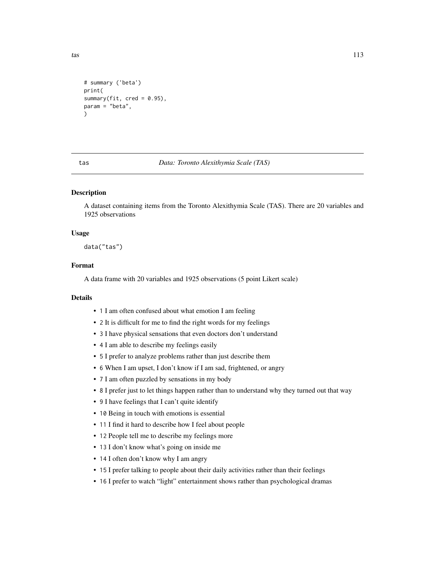```
# summary ('beta')
print(
summary(fit, \text{cred} = 0.95),
param = "beta",
\lambda
```
tas *Data: Toronto Alexithymia Scale (TAS)*

## Description

A dataset containing items from the Toronto Alexithymia Scale (TAS). There are 20 variables and 1925 observations

## Usage

data("tas")

## Format

A data frame with 20 variables and 1925 observations (5 point Likert scale)

## Details

- 1 I am often confused about what emotion I am feeling
- 2 It is difficult for me to find the right words for my feelings
- 3 I have physical sensations that even doctors don't understand
- 4 I am able to describe my feelings easily
- 5 I prefer to analyze problems rather than just describe them
- 6 When I am upset, I don't know if I am sad, frightened, or angry
- 7 I am often puzzled by sensations in my body
- 8 I prefer just to let things happen rather than to understand why they turned out that way
- 9 I have feelings that I can't quite identify
- 10 Being in touch with emotions is essential
- 11 I find it hard to describe how I feel about people
- 12 People tell me to describe my feelings more
- 13 I don't know what's going on inside me
- 14 I often don't know why I am angry
- 15 I prefer talking to people about their daily activities rather than their feelings
- 16 I prefer to watch "light" entertainment shows rather than psychological dramas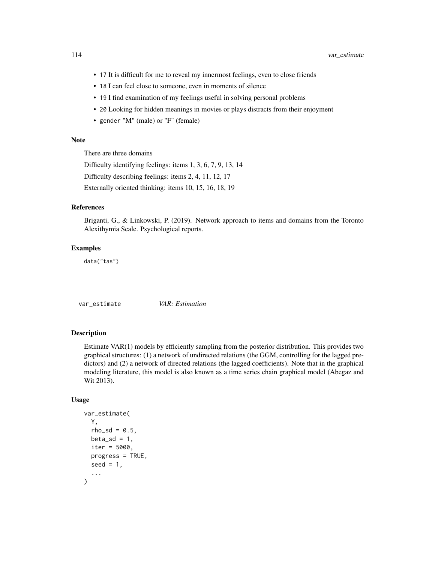- <span id="page-113-1"></span>• 17 It is difficult for me to reveal my innermost feelings, even to close friends
- 18 I can feel close to someone, even in moments of silence
- 19 I find examination of my feelings useful in solving personal problems
- 20 Looking for hidden meanings in movies or plays distracts from their enjoyment
- gender "M" (male) or "F" (female)

## Note

There are three domains

Difficulty identifying feelings: items 1, 3, 6, 7, 9, 13, 14

Difficulty describing feelings: items 2, 4, 11, 12, 17

Externally oriented thinking: items 10, 15, 16, 18, 19

# References

Briganti, G., & Linkowski, P. (2019). Network approach to items and domains from the Toronto Alexithymia Scale. Psychological reports.

## Examples

data("tas")

<span id="page-113-0"></span>var\_estimate *VAR: Estimation*

# **Description**

Estimate VAR(1) models by efficiently sampling from the posterior distribution. This provides two graphical structures: (1) a network of undirected relations (the GGM, controlling for the lagged predictors) and (2) a network of directed relations (the lagged coefficients). Note that in the graphical modeling literature, this model is also known as a time series chain graphical model (Abegaz and Wit 2013).

#### Usage

```
var_estimate(
  Y,
  rho_s = 0.5,
 beta_sd = 1,
  iter = 5000,
 progress = TRUE,
 seed = 1,
  ...
)
```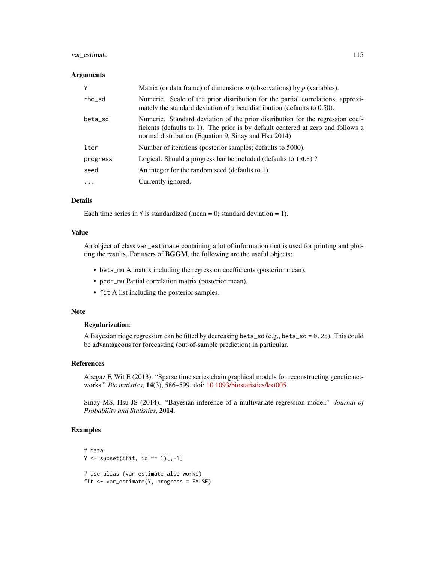## var\_estimate 115

#### **Arguments**

| Y        | Matrix (or data frame) of dimensions $n$ (observations) by $p$ (variables).                                                                                                                                                |
|----------|----------------------------------------------------------------------------------------------------------------------------------------------------------------------------------------------------------------------------|
| rho_sd   | Numeric. Scale of the prior distribution for the partial correlations, approxi-<br>mately the standard deviation of a beta distribution (defaults to $0.50$ ).                                                             |
| beta_sd  | Numeric. Standard deviation of the prior distribution for the regression coef-<br>ficients (defaults to 1). The prior is by default centered at zero and follows a<br>normal distribution (Equation 9, Sinay and Hsu 2014) |
| iter     | Number of iterations (posterior samples; defaults to 5000).                                                                                                                                                                |
| progress | Logical. Should a progress bar be included (defaults to TRUE)?                                                                                                                                                             |
| seed     | An integer for the random seed (defaults to 1).                                                                                                                                                                            |
| .        | Currently ignored.                                                                                                                                                                                                         |

## Details

Each time series in  $Y$  is standardized (mean = 0; standard deviation = 1).

#### Value

An object of class var\_estimate containing a lot of information that is used for printing and plotting the results. For users of BGGM, the following are the useful objects:

- beta\_mu A matrix including the regression coefficients (posterior mean).
- pcor\_mu Partial correlation matrix (posterior mean).
- fit A list including the posterior samples.

#### Note

# Regularization:

A Bayesian ridge regression can be fitted by decreasing beta\_sd (e.g., beta\_sd = 0.25). This could be advantageous for forecasting (out-of-sample prediction) in particular.

## References

Abegaz F, Wit E (2013). "Sparse time series chain graphical models for reconstructing genetic networks." *Biostatistics*, 14(3), 586–599. doi: [10.1093/biostatistics/kxt005.](https://doi.org/10.1093/biostatistics/kxt005)

Sinay MS, Hsu JS (2014). "Bayesian inference of a multivariate regression model." *Journal of Probability and Statistics*, 2014.

```
# data
Y \leftarrow \text{subset}(ifit, id == 1)[,-1]# use alias (var_estimate also works)
fit <- var_estimate(Y, progress = FALSE)
```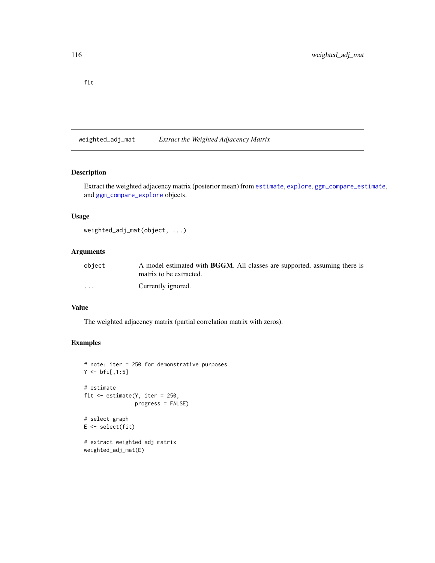<span id="page-115-0"></span>fit

weighted\_adj\_mat *Extract the Weighted Adjacency Matrix*

# Description

Extract the weighted adjacency matrix (posterior mean) from [estimate](#page-24-0), [explore](#page-28-0), [ggm\\_compare\\_estimate](#page-40-0), and [ggm\\_compare\\_explore](#page-44-0) objects.

## Usage

```
weighted_adj_mat(object, ...)
```
## Arguments

| object                  | A model estimated with <b>BGGM</b> . All classes are supported, assuming there is |
|-------------------------|-----------------------------------------------------------------------------------|
|                         | matrix to be extracted.                                                           |
| $\cdot$ $\cdot$ $\cdot$ | Currently ignored.                                                                |

## Value

The weighted adjacency matrix (partial correlation matrix with zeros).

```
# note: iter = 250 for demonstrative purposes
Y < - \text{bf}[1, 1:5]# estimate
fit <- estimate(Y, iter = 250,
                 progress = FALSE)
# select graph
E \leftarrow select(fit)# extract weighted adj matrix
weighted_adj_mat(E)
```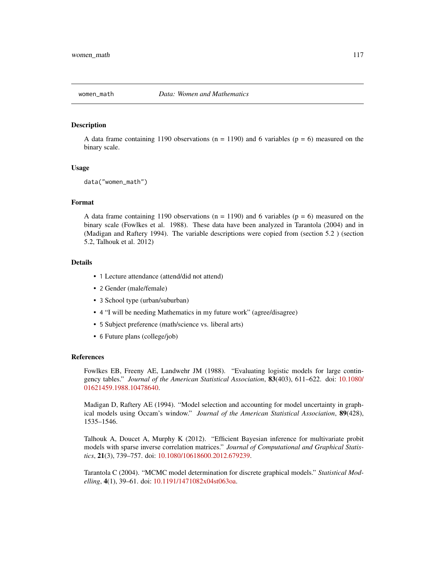<span id="page-116-0"></span>

## Description

A data frame containing 1190 observations ( $n = 1190$ ) and 6 variables ( $p = 6$ ) measured on the binary scale.

#### Usage

```
data("women_math")
```
## Format

A data frame containing 1190 observations ( $n = 1190$ ) and 6 variables ( $p = 6$ ) measured on the binary scale (Fowlkes et al. 1988). These data have been analyzed in Tarantola (2004) and in (Madigan and Raftery 1994). The variable descriptions were copied from (section 5.2 ) (section 5.2, Talhouk et al. 2012)

#### Details

- 1 Lecture attendance (attend/did not attend)
- 2 Gender (male/female)
- 3 School type (urban/suburban)
- 4 "I will be needing Mathematics in my future work" (agree/disagree)
- 5 Subject preference (math/science vs. liberal arts)
- 6 Future plans (college/job)

#### References

Fowlkes EB, Freeny AE, Landwehr JM (1988). "Evaluating logistic models for large contingency tables." *Journal of the American Statistical Association*, 83(403), 611–622. doi: [10.1080/](https://doi.org/10.1080/01621459.1988.10478640) [01621459.1988.10478640.](https://doi.org/10.1080/01621459.1988.10478640)

Madigan D, Raftery AE (1994). "Model selection and accounting for model uncertainty in graphical models using Occam's window." *Journal of the American Statistical Association*, 89(428), 1535–1546.

Talhouk A, Doucet A, Murphy K (2012). "Efficient Bayesian inference for multivariate probit models with sparse inverse correlation matrices." *Journal of Computational and Graphical Statistics*, 21(3), 739–757. doi: [10.1080/10618600.2012.679239.](https://doi.org/10.1080/10618600.2012.679239)

Tarantola C (2004). "MCMC model determination for discrete graphical models." *Statistical Modelling*, 4(1), 39–61. doi: [10.1191/1471082x04st063oa.](https://doi.org/10.1191/1471082x04st063oa)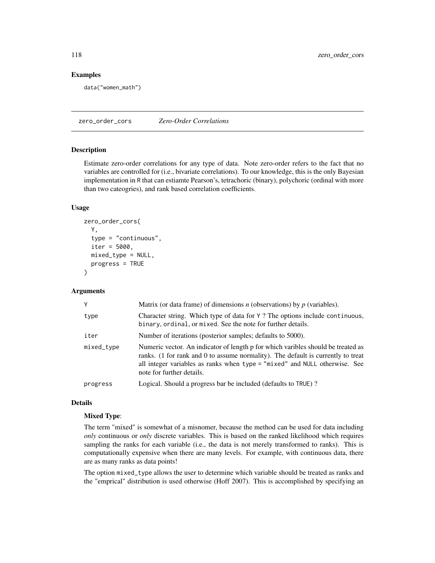### Examples

data("women\_math")

zero\_order\_cors *Zero-Order Correlations*

#### Description

Estimate zero-order correlations for any type of data. Note zero-order refers to the fact that no variables are controlled for (i.e., bivariate correlations). To our knowledge, this is the only Bayesian implementation in R that can estiamte Pearson's, tetrachoric (binary), polychoric (ordinal with more than two cateogries), and rank based correlation coefficients.

## Usage

```
zero_order_cors(
 Y,
  type = "continuous",
  iter = 5000,
 mixed_type = NULL,
 progress = TRUE
)
```
#### Arguments

| Y          | Matrix (or data frame) of dimensions $n$ (observations) by $p$ (variables).                                                                                                                                                                                                     |
|------------|---------------------------------------------------------------------------------------------------------------------------------------------------------------------------------------------------------------------------------------------------------------------------------|
| type       | Character string. Which type of data for Y? The options include continuous,<br>binary, ordinal, or mixed. See the note for further details.                                                                                                                                     |
| iter       | Number of iterations (posterior samples; defaults to 5000).                                                                                                                                                                                                                     |
| mixed_type | Numeric vector. An indicator of length p for which varibles should be treated as<br>ranks. (1 for rank and 0 to assume normality). The default is currently to treat<br>all integer variables as ranks when type = "mixed" and NULL otherwise. See<br>note for further details. |
| progress   | Logical. Should a progress bar be included (defaults to TRUE)?                                                                                                                                                                                                                  |

## Details

#### Mixed Type:

The term "mixed" is somewhat of a misnomer, because the method can be used for data including *only* continuous or *only* discrete variables. This is based on the ranked likelihood which requires sampling the ranks for each variable (i.e., the data is not merely transformed to ranks). This is computationally expensive when there are many levels. For example, with continuous data, there are as many ranks as data points!

The option mixed\_type allows the user to determine which variable should be treated as ranks and the "emprical" distribution is used otherwise (Hoff 2007). This is accomplished by specifying an

<span id="page-117-0"></span>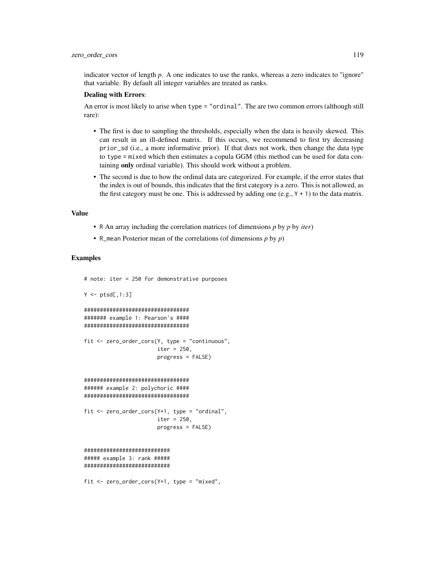indicator vector of length *p*. A one indicates to use the ranks, whereas a zero indicates to "ignore" that variable. By default all integer variables are treated as ranks.

#### Dealing with Errors:

An error is most likely to arise when type = "ordinal". The are two common errors (although still rare):

- The first is due to sampling the thresholds, especially when the data is heavily skewed. This can result in an ill-defined matrix. If this occurs, we recommend to first try decreasing prior\_sd (i.e., a more informative prior). If that does not work, then change the data type to type = mixed which then estimates a copula GGM (this method can be used for data containing only ordinal variable). This should work without a problem.
- The second is due to how the ordinal data are categorized. For example, if the error states that the index is out of bounds, this indicates that the first category is a zero. This is not allowed, as the first category must be one. This is addressed by adding one  $(e.g., Y + 1)$  to the data matrix.

#### Value

- R An array including the correlation matrices (of dimensions *p* by *p* by *iter*)
- R\_mean Posterior mean of the correlations (of dimensions *p* by *p*)

```
# note: iter = 250 for demonstrative purposes
Y \leftarrow \text{ptsd}[, 1:3]#################################
####### example 1: Pearson's ####
#################################
fit <- zero_order_cors(Y, type = "continuous",
                        iter = 250,
                       progress = FALSE)
#################################
###### example 2: polychoric ####
#################################
fit <- zero_order_cors(Y+1, type = "ordinal",
                       iter = 250,
                        progress = FALSE)
###########################
##### example 3: rank #####
###########################
fit <- zero_order_cors(Y+1, type = "mixed",
```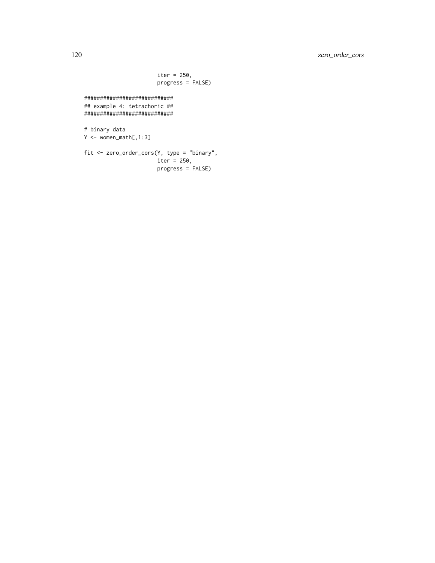```
iter = 250,
                       progress = FALSE)
############################
## example 4: tetrachoric ##
############################
# binary data
Y <- women_math[,1:3]
fit <- zero_order_cors(Y, type = "binary",
                      iter = 250,
```
progress = FALSE)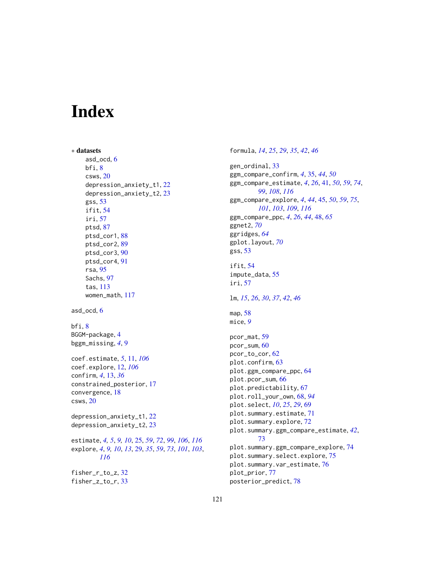# Index

```
∗ datasets
    asd_ocd, 6
    bfi, 8
    csws, 20
    depression_anxiety_t1, 22
    depression_anxiety_t2, 23
    gss, 53
    ifit, 54
    iri, 57
    ptsd, 87
    ptsd_cor1, 88
    ptsd_cor2, 89
    ptsd_cor3, 90
    ptsd_cor4, 91
    rsa, 95
    Sachs, 97
    tas, 113
    women_math, 117
asd_ocd, 6
bfi, 8
BGGM-package, 4
bggm_missing, 4, 9
coef.estimate, 5, 11, 106
coef.explore, 12, 106
confirm, 4, 13, 36
constrained_posterior, 17
convergence, 18
csws, 20
depression_anxiety_t1, 22
depression_anxiety_t2, 23
estimate, 4, 5, 9, 10, 25, 59, 72, 99, 106, 116
explore, 4, 9, 10, 13, 29, 35, 59, 73, 101, 103,
        116
fisher_r_to_z, 32
fisher_z_to_r, 33
```
formula, *[14](#page-13-0)*, *[25](#page-24-1)*, *[29](#page-28-1)*, *[35](#page-34-0)*, *[42](#page-41-0)*, *[46](#page-45-0)* gen\_ordinal, [33](#page-32-0) ggm\_compare\_confirm, *[4](#page-3-0)*, [35,](#page-34-0) *[44](#page-43-0)*, *[50](#page-49-0)* ggm\_compare\_estimate, *[4](#page-3-0)*, *[26](#page-25-0)*, [41,](#page-40-1) *[50](#page-49-0)*, *[59](#page-58-0)*, *[74](#page-73-0)*, *[99](#page-98-0)*, *[108](#page-107-0)*, *[116](#page-115-0)* ggm\_compare\_explore, *[4](#page-3-0)*, *[44](#page-43-0)*, [45,](#page-44-1) *[50](#page-49-0)*, *[59](#page-58-0)*, *[75](#page-74-0)*, *[101](#page-100-0)*, *[103](#page-102-0)*, *[109](#page-108-0)*, *[116](#page-115-0)* ggm\_compare\_ppc, *[4](#page-3-0)*, *[26](#page-25-0)*, *[44](#page-43-0)*, [48,](#page-47-0) *[65](#page-64-0)* ggnet2, *[70](#page-69-0)* ggridges, *[64](#page-63-0)* gplot.layout, *[70](#page-69-0)* gss, [53](#page-52-0) ifit, [54](#page-53-0) impute\_data, [55](#page-54-0) iri, [57](#page-56-0) lm, *[15](#page-14-0)*, *[26](#page-25-0)*, *[30](#page-29-0)*, *[37](#page-36-0)*, *[42](#page-41-0)*, *[46](#page-45-0)* map, [58](#page-57-0) mice, *[9](#page-8-0)* pcor\_mat, [59](#page-58-0) pcor\_sum, [60](#page-59-0) pcor\_to\_cor, [62](#page-61-0) plot.confirm, [63](#page-62-0) plot.ggm\_compare\_ppc, [64](#page-63-0) plot.pcor\_sum, [66](#page-65-0) plot.predictability, [67](#page-66-0) plot.roll\_your\_own, [68,](#page-67-0) *[94](#page-93-0)* plot.select, *[10](#page-9-0)*, *[25](#page-24-1)*, *[29](#page-28-1)*, [69](#page-68-0) plot.summary.estimate, [71](#page-70-0) plot.summary.explore, [72](#page-71-0) plot.summary.ggm\_compare\_estimate, *[42](#page-41-0)*, [73](#page-72-0) plot.summary.ggm\_compare\_explore, [74](#page-73-0) plot.summary.select.explore, [75](#page-74-0) plot.summary.var\_estimate, [76](#page-75-0) plot\_prior, [77](#page-76-0) posterior\_predict, [78](#page-77-0)